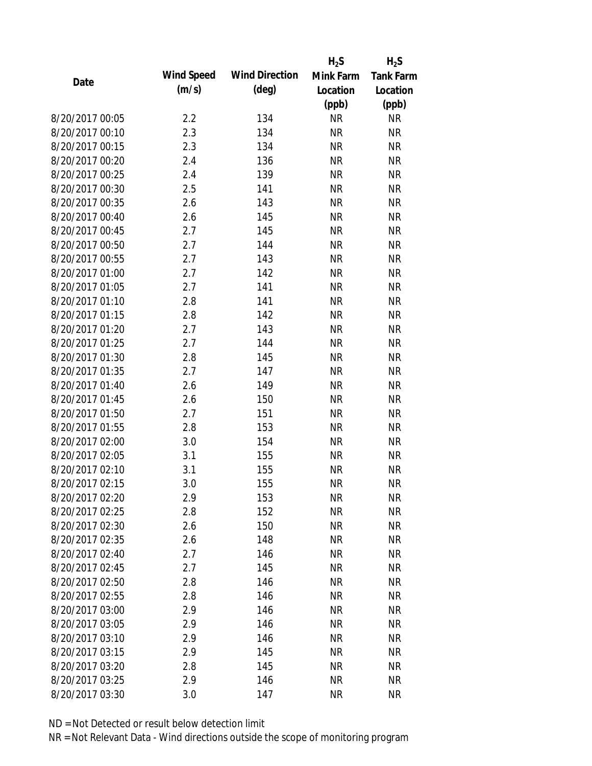|                 |                   |                       | $H_2S$    | $H_2S$           |
|-----------------|-------------------|-----------------------|-----------|------------------|
| Date            | <b>Wind Speed</b> | <b>Wind Direction</b> | Mink Farm | <b>Tank Farm</b> |
|                 | (m/s)             | $(\text{deg})$        | Location  | Location         |
|                 |                   |                       | (ppb)     | (ppb)            |
| 8/20/2017 00:05 | 2.2               | 134                   | <b>NR</b> | <b>NR</b>        |
| 8/20/2017 00:10 | 2.3               | 134                   | <b>NR</b> | <b>NR</b>        |
| 8/20/2017 00:15 | 2.3               | 134                   | <b>NR</b> | <b>NR</b>        |
| 8/20/2017 00:20 | 2.4               | 136                   | <b>NR</b> | <b>NR</b>        |
| 8/20/2017 00:25 | 2.4               | 139                   | <b>NR</b> | <b>NR</b>        |
| 8/20/2017 00:30 | 2.5               | 141                   | <b>NR</b> | <b>NR</b>        |
| 8/20/2017 00:35 | 2.6               | 143                   | <b>NR</b> | <b>NR</b>        |
| 8/20/2017 00:40 | 2.6               | 145                   | <b>NR</b> | <b>NR</b>        |
| 8/20/2017 00:45 | 2.7               | 145                   | <b>NR</b> | <b>NR</b>        |
| 8/20/2017 00:50 | 2.7               | 144                   | <b>NR</b> | <b>NR</b>        |
| 8/20/2017 00:55 | 2.7               | 143                   | <b>NR</b> | <b>NR</b>        |
| 8/20/2017 01:00 | 2.7               | 142                   | <b>NR</b> | <b>NR</b>        |
| 8/20/2017 01:05 | 2.7               | 141                   | <b>NR</b> | <b>NR</b>        |
| 8/20/2017 01:10 | 2.8               | 141                   | <b>NR</b> | <b>NR</b>        |
| 8/20/2017 01:15 | 2.8               | 142                   | <b>NR</b> | <b>NR</b>        |
| 8/20/2017 01:20 | 2.7               | 143                   | <b>NR</b> | <b>NR</b>        |
| 8/20/2017 01:25 | 2.7               | 144                   | <b>NR</b> | <b>NR</b>        |
| 8/20/2017 01:30 | 2.8               | 145                   | <b>NR</b> | <b>NR</b>        |
| 8/20/2017 01:35 | 2.7               | 147                   | <b>NR</b> | <b>NR</b>        |
| 8/20/2017 01:40 | 2.6               | 149                   | <b>NR</b> | <b>NR</b>        |
| 8/20/2017 01:45 | 2.6               | 150                   | <b>NR</b> | <b>NR</b>        |
| 8/20/2017 01:50 | 2.7               | 151                   | <b>NR</b> | <b>NR</b>        |
| 8/20/2017 01:55 | 2.8               | 153                   | <b>NR</b> | <b>NR</b>        |
| 8/20/2017 02:00 | 3.0               | 154                   | <b>NR</b> | <b>NR</b>        |
| 8/20/2017 02:05 | 3.1               | 155                   | <b>NR</b> | <b>NR</b>        |
| 8/20/2017 02:10 | 3.1               | 155                   | <b>NR</b> | <b>NR</b>        |
| 8/20/2017 02:15 | 3.0               | 155                   | <b>NR</b> | <b>NR</b>        |
| 8/20/2017 02:20 | 2.9               | 153                   | <b>NR</b> | <b>NR</b>        |
| 8/20/2017 02:25 | 2.8               | 152                   | <b>NR</b> | <b>NR</b>        |
| 8/20/2017 02:30 | 2.6               | 150                   | <b>NR</b> | <b>NR</b>        |
| 8/20/2017 02:35 | 2.6               | 148                   | <b>NR</b> | <b>NR</b>        |
| 8/20/2017 02:40 | 2.7               | 146                   | <b>NR</b> | <b>NR</b>        |
| 8/20/2017 02:45 | 2.7               | 145                   | <b>NR</b> | <b>NR</b>        |
| 8/20/2017 02:50 | 2.8               | 146                   | <b>NR</b> | <b>NR</b>        |
| 8/20/2017 02:55 | 2.8               | 146                   | <b>NR</b> | <b>NR</b>        |
| 8/20/2017 03:00 | 2.9               | 146                   | <b>NR</b> | <b>NR</b>        |
| 8/20/2017 03:05 | 2.9               | 146                   | <b>NR</b> | <b>NR</b>        |
| 8/20/2017 03:10 | 2.9               | 146                   | <b>NR</b> | <b>NR</b>        |
| 8/20/2017 03:15 | 2.9               | 145                   | <b>NR</b> | <b>NR</b>        |
| 8/20/2017 03:20 | 2.8               | 145                   | NR        | <b>NR</b>        |
| 8/20/2017 03:25 | 2.9               | 146                   | <b>NR</b> | <b>NR</b>        |
| 8/20/2017 03:30 | 3.0               | 147                   | <b>NR</b> | <b>NR</b>        |
|                 |                   |                       |           |                  |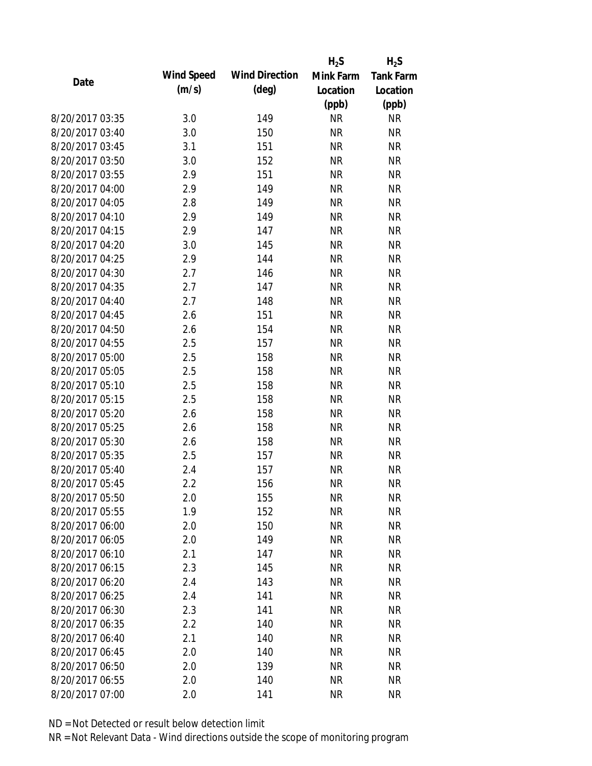|                 |            |                       | $H_2S$    | $H_2S$           |
|-----------------|------------|-----------------------|-----------|------------------|
| Date            | Wind Speed | <b>Wind Direction</b> | Mink Farm | <b>Tank Farm</b> |
|                 | (m/s)      | $(\text{deg})$        | Location  | Location         |
|                 |            |                       | (ppb)     | (ppb)            |
| 8/20/2017 03:35 | 3.0        | 149                   | <b>NR</b> | <b>NR</b>        |
| 8/20/2017 03:40 | 3.0        | 150                   | <b>NR</b> | <b>NR</b>        |
| 8/20/2017 03:45 | 3.1        | 151                   | <b>NR</b> | <b>NR</b>        |
| 8/20/2017 03:50 | 3.0        | 152                   | <b>NR</b> | <b>NR</b>        |
| 8/20/2017 03:55 | 2.9        | 151                   | <b>NR</b> | <b>NR</b>        |
| 8/20/2017 04:00 | 2.9        | 149                   | <b>NR</b> | <b>NR</b>        |
| 8/20/2017 04:05 | 2.8        | 149                   | <b>NR</b> | <b>NR</b>        |
| 8/20/2017 04:10 | 2.9        | 149                   | <b>NR</b> | <b>NR</b>        |
| 8/20/2017 04:15 | 2.9        | 147                   | <b>NR</b> | <b>NR</b>        |
| 8/20/2017 04:20 | 3.0        | 145                   | <b>NR</b> | <b>NR</b>        |
| 8/20/2017 04:25 | 2.9        | 144                   | <b>NR</b> | <b>NR</b>        |
| 8/20/2017 04:30 | 2.7        | 146                   | <b>NR</b> | <b>NR</b>        |
| 8/20/2017 04:35 | 2.7        | 147                   | <b>NR</b> | <b>NR</b>        |
| 8/20/2017 04:40 | 2.7        | 148                   | <b>NR</b> | <b>NR</b>        |
| 8/20/2017 04:45 | 2.6        | 151                   | <b>NR</b> | <b>NR</b>        |
| 8/20/2017 04:50 | 2.6        | 154                   | <b>NR</b> | <b>NR</b>        |
| 8/20/2017 04:55 | 2.5        | 157                   | <b>NR</b> | <b>NR</b>        |
| 8/20/2017 05:00 | 2.5        | 158                   | <b>NR</b> | <b>NR</b>        |
| 8/20/2017 05:05 | 2.5        | 158                   | <b>NR</b> | <b>NR</b>        |
| 8/20/2017 05:10 | 2.5        | 158                   | <b>NR</b> | <b>NR</b>        |
| 8/20/2017 05:15 | 2.5        | 158                   | <b>NR</b> | <b>NR</b>        |
| 8/20/2017 05:20 | 2.6        | 158                   | <b>NR</b> | <b>NR</b>        |
| 8/20/2017 05:25 | 2.6        | 158                   | <b>NR</b> | <b>NR</b>        |
| 8/20/2017 05:30 | 2.6        | 158                   | <b>NR</b> | <b>NR</b>        |
| 8/20/2017 05:35 | 2.5        | 157                   | <b>NR</b> | <b>NR</b>        |
| 8/20/2017 05:40 | 2.4        | 157                   | <b>NR</b> | <b>NR</b>        |
| 8/20/2017 05:45 | 2.2        | 156                   | <b>NR</b> | <b>NR</b>        |
| 8/20/2017 05:50 | 2.0        | 155                   | <b>NR</b> | <b>NR</b>        |
| 8/20/2017 05:55 | 1.9        | 152                   | <b>NR</b> | <b>NR</b>        |
| 8/20/2017 06:00 | 2.0        | 150                   | <b>NR</b> | <b>NR</b>        |
| 8/20/2017 06:05 | 2.0        | 149                   | <b>NR</b> | <b>NR</b>        |
| 8/20/2017 06:10 | 2.1        | 147                   | <b>NR</b> | <b>NR</b>        |
| 8/20/2017 06:15 | 2.3        | 145                   | <b>NR</b> | <b>NR</b>        |
| 8/20/2017 06:20 | 2.4        | 143                   | <b>NR</b> | <b>NR</b>        |
| 8/20/2017 06:25 | 2.4        | 141                   | <b>NR</b> | <b>NR</b>        |
| 8/20/2017 06:30 | 2.3        | 141                   | <b>NR</b> | <b>NR</b>        |
| 8/20/2017 06:35 | 2.2        | 140                   | <b>NR</b> | <b>NR</b>        |
| 8/20/2017 06:40 | 2.1        | 140                   | <b>NR</b> | <b>NR</b>        |
| 8/20/2017 06:45 | 2.0        | 140                   | <b>NR</b> | <b>NR</b>        |
| 8/20/2017 06:50 | 2.0        | 139                   | ΝR        | <b>NR</b>        |
| 8/20/2017 06:55 | 2.0        | 140                   | <b>NR</b> | <b>NR</b>        |
| 8/20/2017 07:00 | 2.0        | 141                   | <b>NR</b> | <b>NR</b>        |
|                 |            |                       |           |                  |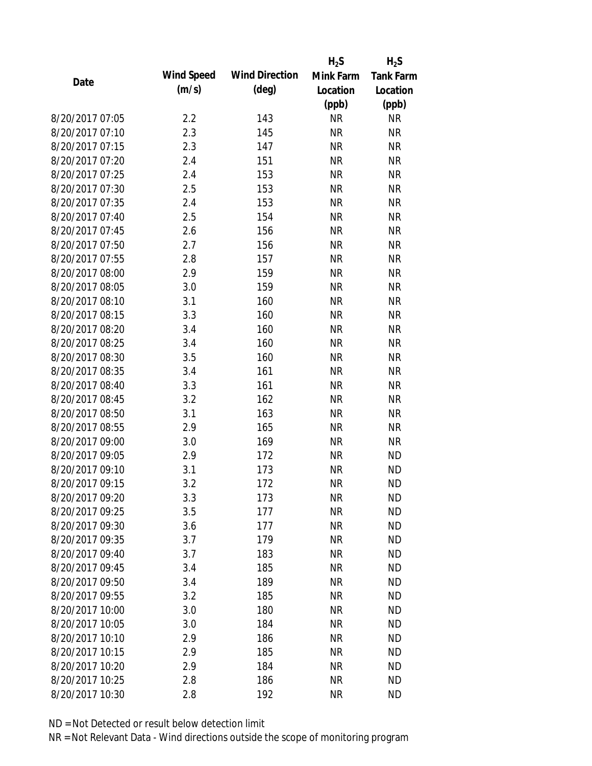|                 |            |                       | $H_2S$    | $H_2S$           |
|-----------------|------------|-----------------------|-----------|------------------|
| Date            | Wind Speed | <b>Wind Direction</b> | Mink Farm | <b>Tank Farm</b> |
|                 | (m/s)      | $(\text{deg})$        | Location  | Location         |
|                 |            |                       | (ppb)     | (ppb)            |
| 8/20/2017 07:05 | 2.2        | 143                   | <b>NR</b> | <b>NR</b>        |
| 8/20/2017 07:10 | 2.3        | 145                   | <b>NR</b> | <b>NR</b>        |
| 8/20/2017 07:15 | 2.3        | 147                   | <b>NR</b> | <b>NR</b>        |
| 8/20/2017 07:20 | 2.4        | 151                   | <b>NR</b> | <b>NR</b>        |
| 8/20/2017 07:25 | 2.4        | 153                   | <b>NR</b> | <b>NR</b>        |
| 8/20/2017 07:30 | 2.5        | 153                   | <b>NR</b> | <b>NR</b>        |
| 8/20/2017 07:35 | 2.4        | 153                   | <b>NR</b> | <b>NR</b>        |
| 8/20/2017 07:40 | 2.5        | 154                   | <b>NR</b> | <b>NR</b>        |
| 8/20/2017 07:45 | 2.6        | 156                   | <b>NR</b> | <b>NR</b>        |
| 8/20/2017 07:50 | 2.7        | 156                   | <b>NR</b> | <b>NR</b>        |
| 8/20/2017 07:55 | 2.8        | 157                   | <b>NR</b> | <b>NR</b>        |
| 8/20/2017 08:00 | 2.9        | 159                   | <b>NR</b> | <b>NR</b>        |
| 8/20/2017 08:05 | 3.0        | 159                   | <b>NR</b> | <b>NR</b>        |
| 8/20/2017 08:10 | 3.1        | 160                   | <b>NR</b> | <b>NR</b>        |
| 8/20/2017 08:15 | 3.3        | 160                   | <b>NR</b> | <b>NR</b>        |
| 8/20/2017 08:20 | 3.4        | 160                   | <b>NR</b> | <b>NR</b>        |
| 8/20/2017 08:25 | 3.4        | 160                   | <b>NR</b> | <b>NR</b>        |
| 8/20/2017 08:30 | 3.5        | 160                   | <b>NR</b> | <b>NR</b>        |
| 8/20/2017 08:35 | 3.4        | 161                   | <b>NR</b> | <b>NR</b>        |
| 8/20/2017 08:40 | 3.3        | 161                   | <b>NR</b> | <b>NR</b>        |
| 8/20/2017 08:45 | 3.2        | 162                   | <b>NR</b> | <b>NR</b>        |
| 8/20/2017 08:50 | 3.1        | 163                   | <b>NR</b> | <b>NR</b>        |
| 8/20/2017 08:55 | 2.9        | 165                   | <b>NR</b> | <b>NR</b>        |
| 8/20/2017 09:00 | 3.0        | 169                   | <b>NR</b> | <b>NR</b>        |
| 8/20/2017 09:05 | 2.9        | 172                   | <b>NR</b> | <b>ND</b>        |
| 8/20/2017 09:10 | 3.1        | 173                   | <b>NR</b> | <b>ND</b>        |
| 8/20/2017 09:15 | 3.2        | 172                   | <b>NR</b> | <b>ND</b>        |
| 8/20/2017 09:20 | 3.3        | 173                   | <b>NR</b> | <b>ND</b>        |
| 8/20/2017 09:25 | 3.5        | 177                   | <b>NR</b> | <b>ND</b>        |
| 8/20/2017 09:30 | 3.6        | 177                   | <b>NR</b> | <b>ND</b>        |
| 8/20/2017 09:35 | 3.7        | 179                   | <b>NR</b> | <b>ND</b>        |
| 8/20/2017 09:40 | 3.7        | 183                   | <b>NR</b> | <b>ND</b>        |
| 8/20/2017 09:45 | 3.4        | 185                   | <b>NR</b> | <b>ND</b>        |
| 8/20/2017 09:50 | 3.4        | 189                   | <b>NR</b> | <b>ND</b>        |
| 8/20/2017 09:55 | 3.2        | 185                   | <b>NR</b> | <b>ND</b>        |
| 8/20/2017 10:00 | 3.0        | 180                   | <b>NR</b> | <b>ND</b>        |
| 8/20/2017 10:05 | 3.0        | 184                   | <b>NR</b> | <b>ND</b>        |
| 8/20/2017 10:10 | 2.9        | 186                   | <b>NR</b> | <b>ND</b>        |
| 8/20/2017 10:15 | 2.9        | 185                   | <b>NR</b> | <b>ND</b>        |
| 8/20/2017 10:20 | 2.9        | 184                   | <b>NR</b> | <b>ND</b>        |
| 8/20/2017 10:25 | 2.8        | 186                   | <b>NR</b> | <b>ND</b>        |
| 8/20/2017 10:30 | 2.8        | 192                   | <b>NR</b> | <b>ND</b>        |
|                 |            |                       |           |                  |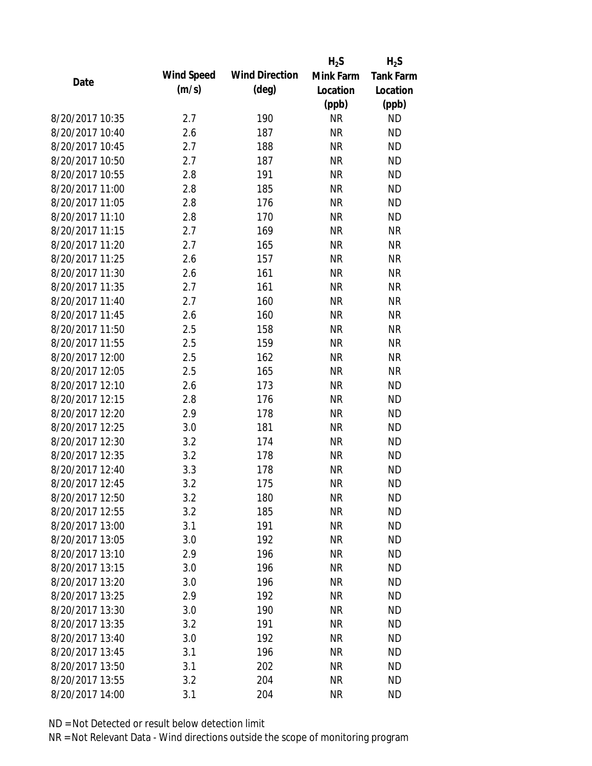|                 |            |                       | $H_2S$    | $H_2S$           |
|-----------------|------------|-----------------------|-----------|------------------|
| Date            | Wind Speed | <b>Wind Direction</b> | Mink Farm | <b>Tank Farm</b> |
|                 | (m/s)      | $(\text{deg})$        | Location  | Location         |
|                 |            |                       | (ppb)     | (ppb)            |
| 8/20/2017 10:35 | 2.7        | 190                   | <b>NR</b> | <b>ND</b>        |
| 8/20/2017 10:40 | 2.6        | 187                   | <b>NR</b> | <b>ND</b>        |
| 8/20/2017 10:45 | 2.7        | 188                   | <b>NR</b> | <b>ND</b>        |
| 8/20/2017 10:50 | 2.7        | 187                   | <b>NR</b> | <b>ND</b>        |
| 8/20/2017 10:55 | 2.8        | 191                   | <b>NR</b> | <b>ND</b>        |
| 8/20/2017 11:00 | 2.8        | 185                   | <b>NR</b> | <b>ND</b>        |
| 8/20/2017 11:05 | 2.8        | 176                   | <b>NR</b> | <b>ND</b>        |
| 8/20/2017 11:10 | 2.8        | 170                   | <b>NR</b> | <b>ND</b>        |
| 8/20/2017 11:15 | 2.7        | 169                   | <b>NR</b> | <b>NR</b>        |
| 8/20/2017 11:20 | 2.7        | 165                   | <b>NR</b> | <b>NR</b>        |
| 8/20/2017 11:25 | 2.6        | 157                   | <b>NR</b> | <b>NR</b>        |
| 8/20/2017 11:30 | 2.6        | 161                   | <b>NR</b> | <b>NR</b>        |
| 8/20/2017 11:35 | 2.7        | 161                   | <b>NR</b> | <b>NR</b>        |
| 8/20/2017 11:40 | 2.7        | 160                   | <b>NR</b> | <b>NR</b>        |
| 8/20/2017 11:45 | 2.6        | 160                   | <b>NR</b> | <b>NR</b>        |
| 8/20/2017 11:50 | 2.5        | 158                   | <b>NR</b> | <b>NR</b>        |
| 8/20/2017 11:55 | 2.5        | 159                   | <b>NR</b> | <b>NR</b>        |
| 8/20/2017 12:00 | 2.5        | 162                   | <b>NR</b> | <b>NR</b>        |
| 8/20/2017 12:05 | 2.5        | 165                   | <b>NR</b> | <b>NR</b>        |
| 8/20/2017 12:10 | 2.6        | 173                   | <b>NR</b> | <b>ND</b>        |
| 8/20/2017 12:15 | 2.8        | 176                   | <b>NR</b> | <b>ND</b>        |
| 8/20/2017 12:20 | 2.9        | 178                   | <b>NR</b> | <b>ND</b>        |
| 8/20/2017 12:25 | 3.0        | 181                   | <b>NR</b> | <b>ND</b>        |
| 8/20/2017 12:30 | 3.2        | 174                   | <b>NR</b> | <b>ND</b>        |
| 8/20/2017 12:35 | 3.2        | 178                   | <b>NR</b> | <b>ND</b>        |
| 8/20/2017 12:40 | 3.3        | 178                   | <b>NR</b> | <b>ND</b>        |
| 8/20/2017 12:45 | 3.2        | 175                   | <b>NR</b> | <b>ND</b>        |
| 8/20/2017 12:50 | 3.2        | 180                   | <b>NR</b> | <b>ND</b>        |
| 8/20/2017 12:55 | 3.2        | 185                   | <b>NR</b> | <b>ND</b>        |
| 8/20/2017 13:00 | 3.1        | 191                   | <b>NR</b> | <b>ND</b>        |
| 8/20/2017 13:05 | 3.0        | 192                   | <b>NR</b> | <b>ND</b>        |
| 8/20/2017 13:10 | 2.9        | 196                   | <b>NR</b> | <b>ND</b>        |
| 8/20/2017 13:15 | 3.0        | 196                   | <b>NR</b> | <b>ND</b>        |
| 8/20/2017 13:20 | 3.0        | 196                   | <b>NR</b> | <b>ND</b>        |
| 8/20/2017 13:25 | 2.9        | 192                   | <b>NR</b> | <b>ND</b>        |
| 8/20/2017 13:30 | 3.0        | 190                   | <b>NR</b> | <b>ND</b>        |
| 8/20/2017 13:35 | 3.2        | 191                   | <b>NR</b> | <b>ND</b>        |
| 8/20/2017 13:40 | 3.0        | 192                   | <b>NR</b> | <b>ND</b>        |
| 8/20/2017 13:45 | 3.1        | 196                   | <b>NR</b> | <b>ND</b>        |
| 8/20/2017 13:50 | 3.1        | 202                   | ΝR        | <b>ND</b>        |
| 8/20/2017 13:55 | 3.2        | 204                   | <b>NR</b> | <b>ND</b>        |
| 8/20/2017 14:00 | 3.1        | 204                   | <b>NR</b> | <b>ND</b>        |
|                 |            |                       |           |                  |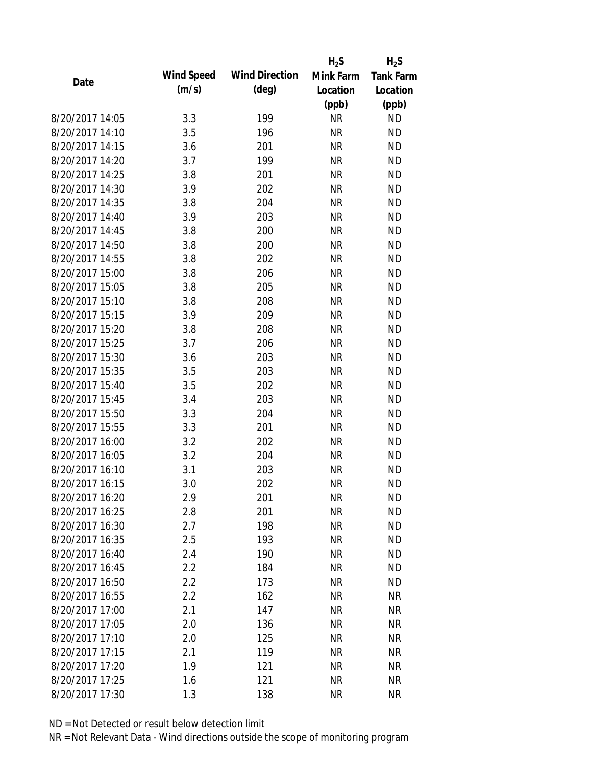|                 |            |                       | $H_2S$    | $H_2S$           |
|-----------------|------------|-----------------------|-----------|------------------|
| Date            | Wind Speed | <b>Wind Direction</b> | Mink Farm | <b>Tank Farm</b> |
|                 | (m/s)      | $(\text{deg})$        | Location  | Location         |
|                 |            |                       | (ppb)     | (ppb)            |
| 8/20/2017 14:05 | 3.3        | 199                   | <b>NR</b> | <b>ND</b>        |
| 8/20/2017 14:10 | 3.5        | 196                   | <b>NR</b> | <b>ND</b>        |
| 8/20/2017 14:15 | 3.6        | 201                   | <b>NR</b> | <b>ND</b>        |
| 8/20/2017 14:20 | 3.7        | 199                   | <b>NR</b> | <b>ND</b>        |
| 8/20/2017 14:25 | 3.8        | 201                   | <b>NR</b> | <b>ND</b>        |
| 8/20/2017 14:30 | 3.9        | 202                   | <b>NR</b> | <b>ND</b>        |
| 8/20/2017 14:35 | 3.8        | 204                   | <b>NR</b> | <b>ND</b>        |
| 8/20/2017 14:40 | 3.9        | 203                   | <b>NR</b> | <b>ND</b>        |
| 8/20/2017 14:45 | 3.8        | 200                   | <b>NR</b> | <b>ND</b>        |
| 8/20/2017 14:50 | 3.8        | 200                   | <b>NR</b> | <b>ND</b>        |
| 8/20/2017 14:55 | 3.8        | 202                   | <b>NR</b> | <b>ND</b>        |
| 8/20/2017 15:00 | 3.8        | 206                   | <b>NR</b> | <b>ND</b>        |
| 8/20/2017 15:05 | 3.8        | 205                   | <b>NR</b> | <b>ND</b>        |
| 8/20/2017 15:10 | 3.8        | 208                   | <b>NR</b> | <b>ND</b>        |
| 8/20/2017 15:15 | 3.9        | 209                   | <b>NR</b> | <b>ND</b>        |
| 8/20/2017 15:20 | 3.8        | 208                   | <b>NR</b> | <b>ND</b>        |
| 8/20/2017 15:25 | 3.7        | 206                   | <b>NR</b> | <b>ND</b>        |
| 8/20/2017 15:30 | 3.6        | 203                   | <b>NR</b> | <b>ND</b>        |
| 8/20/2017 15:35 | 3.5        | 203                   | <b>NR</b> | <b>ND</b>        |
| 8/20/2017 15:40 | 3.5        | 202                   | <b>NR</b> | <b>ND</b>        |
| 8/20/2017 15:45 | 3.4        | 203                   | <b>NR</b> | <b>ND</b>        |
| 8/20/2017 15:50 | 3.3        | 204                   | <b>NR</b> | <b>ND</b>        |
| 8/20/2017 15:55 | 3.3        | 201                   | <b>NR</b> | <b>ND</b>        |
| 8/20/2017 16:00 | 3.2        | 202                   | <b>NR</b> | <b>ND</b>        |
| 8/20/2017 16:05 | 3.2        | 204                   | <b>NR</b> | <b>ND</b>        |
| 8/20/2017 16:10 | 3.1        | 203                   | <b>NR</b> | <b>ND</b>        |
| 8/20/2017 16:15 | 3.0        | 202                   | <b>NR</b> | <b>ND</b>        |
| 8/20/2017 16:20 | 2.9        | 201                   | <b>NR</b> | <b>ND</b>        |
| 8/20/2017 16:25 | 2.8        | 201                   | <b>NR</b> | <b>ND</b>        |
| 8/20/2017 16:30 | 2.7        | 198                   | <b>NR</b> | <b>ND</b>        |
| 8/20/2017 16:35 | 2.5        | 193                   | <b>NR</b> | <b>ND</b>        |
| 8/20/2017 16:40 | 2.4        | 190                   | <b>NR</b> | <b>ND</b>        |
| 8/20/2017 16:45 | 2.2        | 184                   | <b>NR</b> | <b>ND</b>        |
| 8/20/2017 16:50 | 2.2        | 173                   | <b>NR</b> | <b>ND</b>        |
| 8/20/2017 16:55 | 2.2        | 162                   | <b>NR</b> | <b>NR</b>        |
| 8/20/2017 17:00 | 2.1        | 147                   | <b>NR</b> | <b>NR</b>        |
| 8/20/2017 17:05 | 2.0        | 136                   | <b>NR</b> | <b>NR</b>        |
| 8/20/2017 17:10 | 2.0        | 125                   | <b>NR</b> | <b>NR</b>        |
| 8/20/2017 17:15 | 2.1        | 119                   | <b>NR</b> | <b>NR</b>        |
| 8/20/2017 17:20 | 1.9        | 121                   | <b>NR</b> | <b>NR</b>        |
| 8/20/2017 17:25 | 1.6        | 121                   | <b>NR</b> | <b>NR</b>        |
| 8/20/2017 17:30 | 1.3        | 138                   | <b>NR</b> | <b>NR</b>        |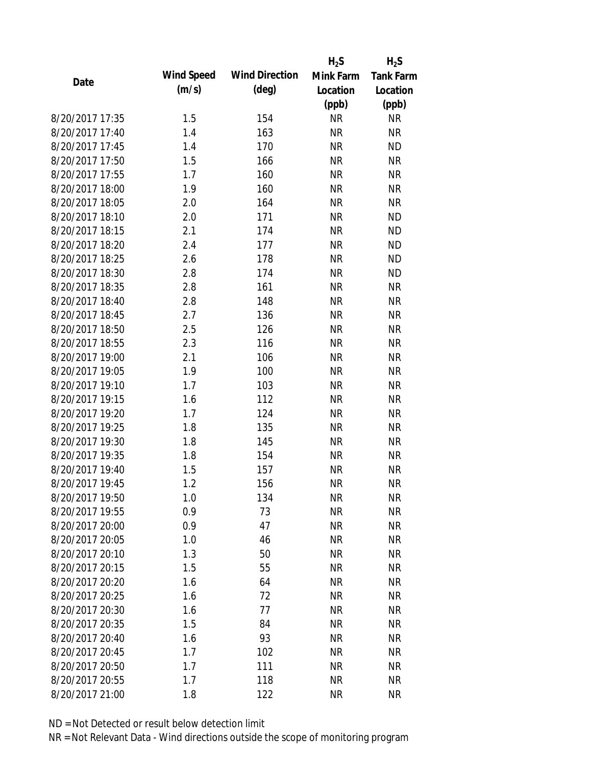|                 |            |                       | $H_2S$    | $H_2S$           |
|-----------------|------------|-----------------------|-----------|------------------|
| Date            | Wind Speed | <b>Wind Direction</b> | Mink Farm | <b>Tank Farm</b> |
|                 | (m/s)      | $(\text{deg})$        | Location  | Location         |
|                 |            |                       | (ppb)     | (ppb)            |
| 8/20/2017 17:35 | 1.5        | 154                   | <b>NR</b> | <b>NR</b>        |
| 8/20/2017 17:40 | 1.4        | 163                   | <b>NR</b> | <b>NR</b>        |
| 8/20/2017 17:45 | 1.4        | 170                   | <b>NR</b> | <b>ND</b>        |
| 8/20/2017 17:50 | 1.5        | 166                   | <b>NR</b> | <b>NR</b>        |
| 8/20/2017 17:55 | 1.7        | 160                   | <b>NR</b> | <b>NR</b>        |
| 8/20/2017 18:00 | 1.9        | 160                   | <b>NR</b> | <b>NR</b>        |
| 8/20/2017 18:05 | 2.0        | 164                   | <b>NR</b> | <b>NR</b>        |
| 8/20/2017 18:10 | 2.0        | 171                   | <b>NR</b> | <b>ND</b>        |
| 8/20/2017 18:15 | 2.1        | 174                   | <b>NR</b> | <b>ND</b>        |
| 8/20/2017 18:20 | 2.4        | 177                   | <b>NR</b> | <b>ND</b>        |
| 8/20/2017 18:25 | 2.6        | 178                   | <b>NR</b> | <b>ND</b>        |
| 8/20/2017 18:30 | 2.8        | 174                   | <b>NR</b> | <b>ND</b>        |
| 8/20/2017 18:35 | 2.8        | 161                   | <b>NR</b> | <b>NR</b>        |
| 8/20/2017 18:40 | 2.8        | 148                   | <b>NR</b> | <b>NR</b>        |
| 8/20/2017 18:45 | 2.7        | 136                   | <b>NR</b> | <b>NR</b>        |
| 8/20/2017 18:50 | 2.5        | 126                   | <b>NR</b> | <b>NR</b>        |
| 8/20/2017 18:55 | 2.3        | 116                   | <b>NR</b> | <b>NR</b>        |
| 8/20/2017 19:00 | 2.1        | 106                   | <b>NR</b> | <b>NR</b>        |
| 8/20/2017 19:05 | 1.9        | 100                   | <b>NR</b> | <b>NR</b>        |
| 8/20/2017 19:10 | 1.7        | 103                   | <b>NR</b> | <b>NR</b>        |
| 8/20/2017 19:15 | 1.6        | 112                   | <b>NR</b> | <b>NR</b>        |
| 8/20/2017 19:20 | 1.7        | 124                   | <b>NR</b> | <b>NR</b>        |
| 8/20/2017 19:25 | 1.8        | 135                   | <b>NR</b> | <b>NR</b>        |
| 8/20/2017 19:30 | 1.8        | 145                   | <b>NR</b> | <b>NR</b>        |
| 8/20/2017 19:35 | 1.8        | 154                   | <b>NR</b> | <b>NR</b>        |
| 8/20/2017 19:40 | 1.5        | 157                   | <b>NR</b> | <b>NR</b>        |
| 8/20/2017 19:45 | 1.2        | 156                   | <b>NR</b> | <b>NR</b>        |
| 8/20/2017 19:50 | 1.0        | 134                   | <b>NR</b> | <b>NR</b>        |
| 8/20/2017 19:55 | 0.9        | 73                    | <b>NR</b> | <b>NR</b>        |
| 8/20/2017 20:00 | 0.9        | 47                    | <b>NR</b> | <b>NR</b>        |
| 8/20/2017 20:05 | 1.0        | 46                    | <b>NR</b> | <b>NR</b>        |
| 8/20/2017 20:10 | 1.3        | 50                    | <b>NR</b> | <b>NR</b>        |
| 8/20/2017 20:15 | 1.5        | 55                    | <b>NR</b> | <b>NR</b>        |
| 8/20/2017 20:20 | 1.6        | 64                    | <b>NR</b> | <b>NR</b>        |
| 8/20/2017 20:25 | 1.6        | 72                    | <b>NR</b> | <b>NR</b>        |
| 8/20/2017 20:30 | 1.6        | 77                    | <b>NR</b> | <b>NR</b>        |
| 8/20/2017 20:35 | 1.5        | 84                    | <b>NR</b> | <b>NR</b>        |
| 8/20/2017 20:40 | 1.6        | 93                    | <b>NR</b> | <b>NR</b>        |
| 8/20/2017 20:45 | 1.7        | 102                   | <b>NR</b> | <b>NR</b>        |
| 8/20/2017 20:50 | 1.7        | 111                   | <b>NR</b> | <b>NR</b>        |
| 8/20/2017 20:55 | 1.7        | 118                   | <b>NR</b> | <b>NR</b>        |
| 8/20/2017 21:00 | 1.8        | 122                   | <b>NR</b> | <b>NR</b>        |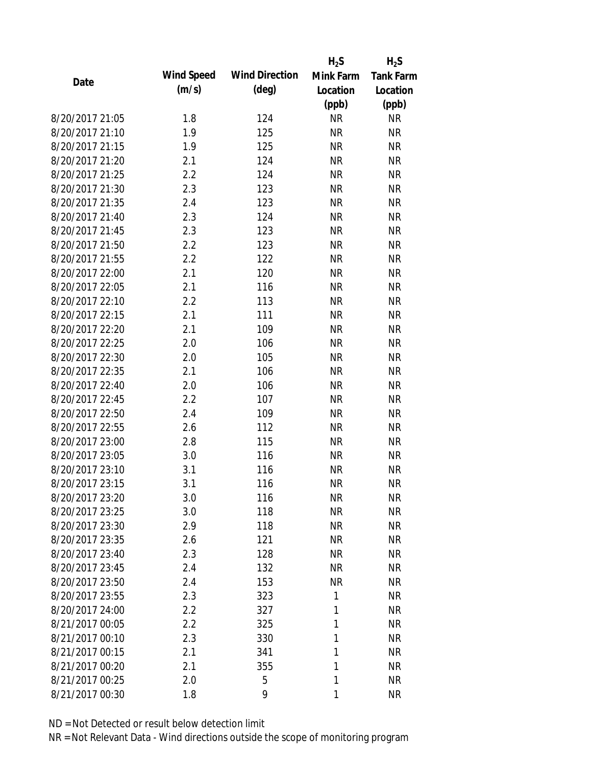|                 |            |                       | $H_2S$    | $H_2S$           |
|-----------------|------------|-----------------------|-----------|------------------|
| Date            | Wind Speed | <b>Wind Direction</b> | Mink Farm | <b>Tank Farm</b> |
|                 | (m/s)      | $(\text{deg})$        | Location  | Location         |
|                 |            |                       | (ppb)     | (ppb)            |
| 8/20/2017 21:05 | 1.8        | 124                   | <b>NR</b> | <b>NR</b>        |
| 8/20/2017 21:10 | 1.9        | 125                   | <b>NR</b> | <b>NR</b>        |
| 8/20/2017 21:15 | 1.9        | 125                   | <b>NR</b> | <b>NR</b>        |
| 8/20/2017 21:20 | 2.1        | 124                   | <b>NR</b> | <b>NR</b>        |
| 8/20/2017 21:25 | 2.2        | 124                   | <b>NR</b> | <b>NR</b>        |
| 8/20/2017 21:30 | 2.3        | 123                   | <b>NR</b> | <b>NR</b>        |
| 8/20/2017 21:35 | 2.4        | 123                   | <b>NR</b> | <b>NR</b>        |
| 8/20/2017 21:40 | 2.3        | 124                   | <b>NR</b> | <b>NR</b>        |
| 8/20/2017 21:45 | 2.3        | 123                   | <b>NR</b> | <b>NR</b>        |
| 8/20/2017 21:50 | 2.2        | 123                   | <b>NR</b> | <b>NR</b>        |
| 8/20/2017 21:55 | 2.2        | 122                   | <b>NR</b> | <b>NR</b>        |
| 8/20/2017 22:00 | 2.1        | 120                   | <b>NR</b> | <b>NR</b>        |
| 8/20/2017 22:05 | 2.1        | 116                   | <b>NR</b> | <b>NR</b>        |
| 8/20/2017 22:10 | 2.2        | 113                   | <b>NR</b> | <b>NR</b>        |
| 8/20/2017 22:15 | 2.1        | 111                   | <b>NR</b> | <b>NR</b>        |
| 8/20/2017 22:20 | 2.1        | 109                   | <b>NR</b> | <b>NR</b>        |
| 8/20/2017 22:25 | 2.0        | 106                   | <b>NR</b> | <b>NR</b>        |
| 8/20/2017 22:30 | 2.0        | 105                   | <b>NR</b> | <b>NR</b>        |
| 8/20/2017 22:35 | 2.1        | 106                   | <b>NR</b> | <b>NR</b>        |
| 8/20/2017 22:40 | 2.0        | 106                   | <b>NR</b> | <b>NR</b>        |
| 8/20/2017 22:45 | 2.2        | 107                   | <b>NR</b> | <b>NR</b>        |
| 8/20/2017 22:50 | 2.4        | 109                   | <b>NR</b> | <b>NR</b>        |
| 8/20/2017 22:55 | 2.6        | 112                   | <b>NR</b> | <b>NR</b>        |
| 8/20/2017 23:00 | 2.8        | 115                   | <b>NR</b> | <b>NR</b>        |
| 8/20/2017 23:05 | 3.0        | 116                   | <b>NR</b> | <b>NR</b>        |
| 8/20/2017 23:10 | 3.1        | 116                   | <b>NR</b> | <b>NR</b>        |
| 8/20/2017 23:15 | 3.1        | 116                   | <b>NR</b> | <b>NR</b>        |
| 8/20/2017 23:20 | 3.0        | 116                   | <b>NR</b> | <b>NR</b>        |
| 8/20/2017 23:25 | 3.0        | 118                   | <b>NR</b> | <b>NR</b>        |
| 8/20/2017 23:30 | 2.9        | 118                   | NR        | <b>NR</b>        |
| 8/20/2017 23:35 | 2.6        | 121                   | <b>NR</b> | <b>NR</b>        |
| 8/20/2017 23:40 | 2.3        | 128                   | <b>NR</b> | <b>NR</b>        |
| 8/20/2017 23:45 | 2.4        | 132                   | NR        | <b>NR</b>        |
| 8/20/2017 23:50 | 2.4        | 153                   | <b>NR</b> | <b>NR</b>        |
| 8/20/2017 23:55 | 2.3        | 323                   | 1         | <b>NR</b>        |
| 8/20/2017 24:00 | 2.2        | 327                   | 1         | <b>NR</b>        |
| 8/21/2017 00:05 | 2.2        | 325                   | 1         | <b>NR</b>        |
| 8/21/2017 00:10 | 2.3        | 330                   | 1         | <b>NR</b>        |
| 8/21/2017 00:15 | 2.1        | 341                   | 1         | <b>NR</b>        |
| 8/21/2017 00:20 | 2.1        | 355                   | 1         | <b>NR</b>        |
| 8/21/2017 00:25 | 2.0        | 5                     | 1         | <b>NR</b>        |
| 8/21/2017 00:30 | 1.8        | 9                     | 1         | <b>NR</b>        |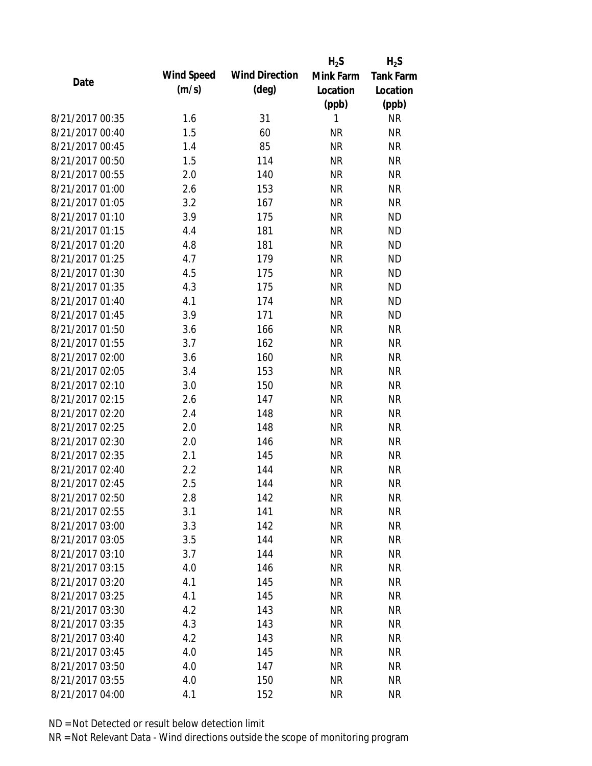|                 |            |                       | $H_2S$    | $H_2S$           |
|-----------------|------------|-----------------------|-----------|------------------|
| Date            | Wind Speed | <b>Wind Direction</b> | Mink Farm | <b>Tank Farm</b> |
|                 | (m/s)      | $(\text{deg})$        | Location  | Location         |
|                 |            |                       | (ppb)     | (ppb)            |
| 8/21/2017 00:35 | 1.6        | 31                    | 1         | <b>NR</b>        |
| 8/21/2017 00:40 | 1.5        | 60                    | <b>NR</b> | <b>NR</b>        |
| 8/21/2017 00:45 | 1.4        | 85                    | <b>NR</b> | <b>NR</b>        |
| 8/21/2017 00:50 | 1.5        | 114                   | <b>NR</b> | <b>NR</b>        |
| 8/21/2017 00:55 | 2.0        | 140                   | <b>NR</b> | <b>NR</b>        |
| 8/21/2017 01:00 | 2.6        | 153                   | <b>NR</b> | <b>NR</b>        |
| 8/21/2017 01:05 | 3.2        | 167                   | <b>NR</b> | <b>NR</b>        |
| 8/21/2017 01:10 | 3.9        | 175                   | <b>NR</b> | <b>ND</b>        |
| 8/21/2017 01:15 | 4.4        | 181                   | <b>NR</b> | <b>ND</b>        |
| 8/21/2017 01:20 | 4.8        | 181                   | <b>NR</b> | <b>ND</b>        |
| 8/21/2017 01:25 | 4.7        | 179                   | <b>NR</b> | <b>ND</b>        |
| 8/21/2017 01:30 | 4.5        | 175                   | <b>NR</b> | <b>ND</b>        |
| 8/21/2017 01:35 | 4.3        | 175                   | <b>NR</b> | <b>ND</b>        |
| 8/21/2017 01:40 | 4.1        | 174                   | <b>NR</b> | <b>ND</b>        |
| 8/21/2017 01:45 | 3.9        | 171                   | <b>NR</b> | <b>ND</b>        |
| 8/21/2017 01:50 | 3.6        | 166                   | <b>NR</b> | <b>NR</b>        |
| 8/21/2017 01:55 | 3.7        | 162                   | <b>NR</b> | <b>NR</b>        |
| 8/21/2017 02:00 | 3.6        | 160                   | <b>NR</b> | <b>NR</b>        |
| 8/21/2017 02:05 | 3.4        | 153                   | <b>NR</b> | <b>NR</b>        |
| 8/21/2017 02:10 | 3.0        | 150                   | <b>NR</b> | <b>NR</b>        |
| 8/21/2017 02:15 | 2.6        | 147                   | <b>NR</b> | <b>NR</b>        |
| 8/21/2017 02:20 | 2.4        | 148                   | <b>NR</b> | <b>NR</b>        |
| 8/21/2017 02:25 | 2.0        | 148                   | <b>NR</b> | <b>NR</b>        |
| 8/21/2017 02:30 | 2.0        | 146                   | <b>NR</b> | <b>NR</b>        |
| 8/21/2017 02:35 | 2.1        | 145                   | <b>NR</b> | <b>NR</b>        |
| 8/21/2017 02:40 | 2.2        | 144                   | <b>NR</b> | <b>NR</b>        |
| 8/21/2017 02:45 | 2.5        | 144                   | <b>NR</b> | <b>NR</b>        |
| 8/21/2017 02:50 | 2.8        | 142                   | <b>NR</b> | <b>NR</b>        |
| 8/21/2017 02:55 | 3.1        | 141                   | <b>NR</b> | <b>NR</b>        |
| 8/21/2017 03:00 | 3.3        | 142                   | <b>NR</b> | <b>NR</b>        |
| 8/21/2017 03:05 | 3.5        | 144                   | <b>NR</b> | <b>NR</b>        |
| 8/21/2017 03:10 | 3.7        | 144                   | <b>NR</b> | <b>NR</b>        |
| 8/21/2017 03:15 | 4.0        | 146                   | <b>NR</b> | <b>NR</b>        |
| 8/21/2017 03:20 | 4.1        | 145                   | <b>NR</b> | <b>NR</b>        |
| 8/21/2017 03:25 | 4.1        | 145                   | <b>NR</b> | <b>NR</b>        |
| 8/21/2017 03:30 | 4.2        | 143                   | <b>NR</b> | <b>NR</b>        |
| 8/21/2017 03:35 | 4.3        | 143                   | <b>NR</b> | <b>NR</b>        |
| 8/21/2017 03:40 | 4.2        | 143                   | <b>NR</b> | <b>NR</b>        |
| 8/21/2017 03:45 | 4.0        | 145                   | <b>NR</b> | <b>NR</b>        |
| 8/21/2017 03:50 | 4.0        | 147                   | <b>NR</b> | <b>NR</b>        |
| 8/21/2017 03:55 | 4.0        | 150                   | <b>NR</b> | <b>NR</b>        |
| 8/21/2017 04:00 | 4.1        | 152                   | <b>NR</b> | <b>NR</b>        |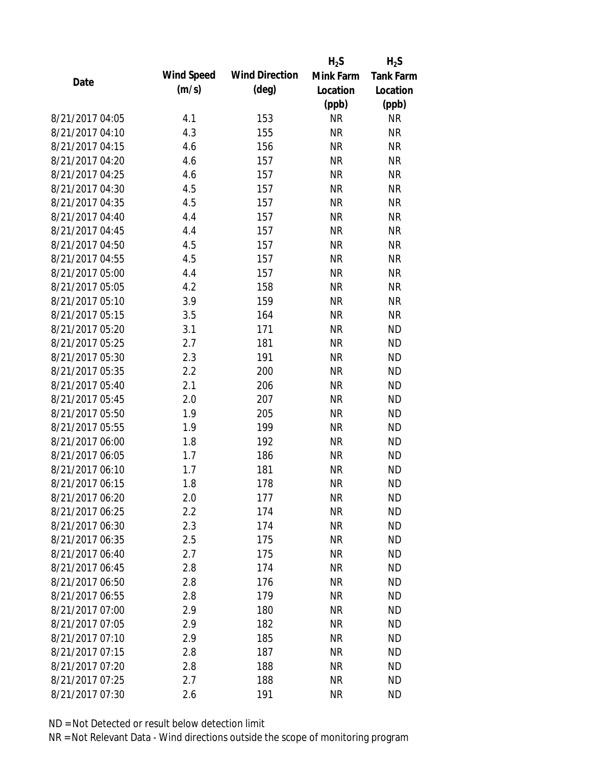|                 |            |                       | $H_2S$    | $H_2S$           |
|-----------------|------------|-----------------------|-----------|------------------|
| Date            | Wind Speed | <b>Wind Direction</b> | Mink Farm | <b>Tank Farm</b> |
|                 | (m/s)      | $(\text{deg})$        | Location  | Location         |
|                 |            |                       | (ppb)     | (ppb)            |
| 8/21/2017 04:05 | 4.1        | 153                   | <b>NR</b> | <b>NR</b>        |
| 8/21/2017 04:10 | 4.3        | 155                   | <b>NR</b> | <b>NR</b>        |
| 8/21/2017 04:15 | 4.6        | 156                   | <b>NR</b> | <b>NR</b>        |
| 8/21/2017 04:20 | 4.6        | 157                   | <b>NR</b> | <b>NR</b>        |
| 8/21/2017 04:25 | 4.6        | 157                   | <b>NR</b> | <b>NR</b>        |
| 8/21/2017 04:30 | 4.5        | 157                   | <b>NR</b> | <b>NR</b>        |
| 8/21/2017 04:35 | 4.5        | 157                   | <b>NR</b> | <b>NR</b>        |
| 8/21/2017 04:40 | 4.4        | 157                   | <b>NR</b> | <b>NR</b>        |
| 8/21/2017 04:45 | 4.4        | 157                   | <b>NR</b> | <b>NR</b>        |
| 8/21/2017 04:50 | 4.5        | 157                   | <b>NR</b> | <b>NR</b>        |
| 8/21/2017 04:55 | 4.5        | 157                   | <b>NR</b> | <b>NR</b>        |
| 8/21/2017 05:00 | 4.4        | 157                   | <b>NR</b> | <b>NR</b>        |
| 8/21/2017 05:05 | 4.2        | 158                   | <b>NR</b> | <b>NR</b>        |
| 8/21/2017 05:10 | 3.9        | 159                   | <b>NR</b> | <b>NR</b>        |
| 8/21/2017 05:15 | 3.5        | 164                   | <b>NR</b> | <b>NR</b>        |
| 8/21/2017 05:20 | 3.1        | 171                   | <b>NR</b> | <b>ND</b>        |
| 8/21/2017 05:25 | 2.7        | 181                   | <b>NR</b> | <b>ND</b>        |
| 8/21/2017 05:30 | 2.3        | 191                   | <b>NR</b> | <b>ND</b>        |
| 8/21/2017 05:35 | 2.2        | 200                   | <b>NR</b> | <b>ND</b>        |
| 8/21/2017 05:40 | 2.1        | 206                   | <b>NR</b> | <b>ND</b>        |
| 8/21/2017 05:45 | 2.0        | 207                   | <b>NR</b> | <b>ND</b>        |
| 8/21/2017 05:50 | 1.9        | 205                   | <b>NR</b> | <b>ND</b>        |
| 8/21/2017 05:55 | 1.9        | 199                   | <b>NR</b> | <b>ND</b>        |
| 8/21/2017 06:00 | 1.8        | 192                   | <b>NR</b> | <b>ND</b>        |
| 8/21/2017 06:05 | 1.7        | 186                   | <b>NR</b> | <b>ND</b>        |
| 8/21/2017 06:10 | 1.7        | 181                   | <b>NR</b> | <b>ND</b>        |
| 8/21/2017 06:15 | 1.8        | 178                   | <b>NR</b> | <b>ND</b>        |
| 8/21/2017 06:20 | 2.0        | 177                   | <b>NR</b> | <b>ND</b>        |
| 8/21/2017 06:25 | 2.2        | 174                   | <b>NR</b> | <b>ND</b>        |
| 8/21/2017 06:30 | 2.3        | 174                   | <b>NR</b> | <b>ND</b>        |
| 8/21/2017 06:35 | 2.5        | 175                   | <b>NR</b> | <b>ND</b>        |
| 8/21/2017 06:40 | 2.7        | 175                   | <b>NR</b> | <b>ND</b>        |
| 8/21/2017 06:45 | 2.8        | 174                   | <b>NR</b> | <b>ND</b>        |
| 8/21/2017 06:50 | 2.8        | 176                   | <b>NR</b> | <b>ND</b>        |
| 8/21/2017 06:55 | 2.8        | 179                   | <b>NR</b> | <b>ND</b>        |
| 8/21/2017 07:00 | 2.9        | 180                   | <b>NR</b> | <b>ND</b>        |
| 8/21/2017 07:05 | 2.9        | 182                   | <b>NR</b> | <b>ND</b>        |
| 8/21/2017 07:10 | 2.9        | 185                   | <b>NR</b> | <b>ND</b>        |
| 8/21/2017 07:15 | 2.8        | 187                   | <b>NR</b> | <b>ND</b>        |
| 8/21/2017 07:20 | 2.8        | 188                   | <b>NR</b> | <b>ND</b>        |
| 8/21/2017 07:25 | 2.7        | 188                   | <b>NR</b> | <b>ND</b>        |
| 8/21/2017 07:30 | 2.6        | 191                   | <b>NR</b> | <b>ND</b>        |
|                 |            |                       |           |                  |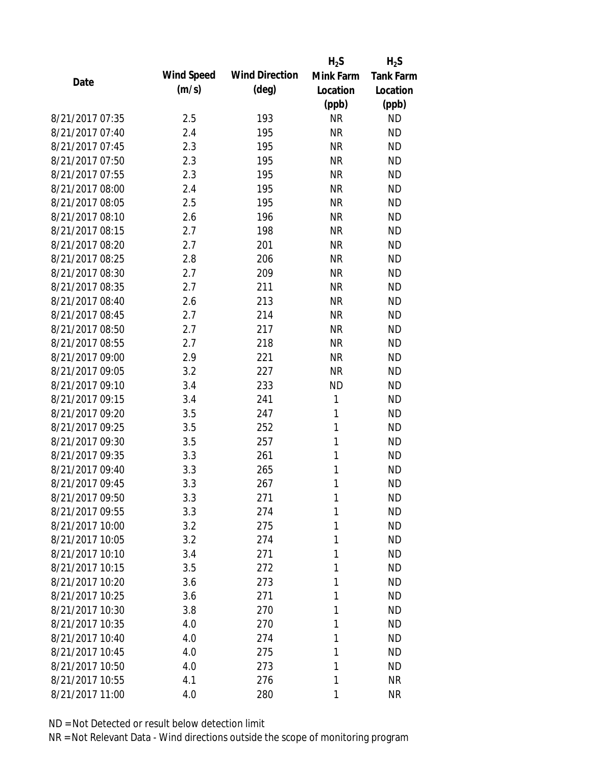|                 |            |                       | $H_2S$    | $H_2S$           |
|-----------------|------------|-----------------------|-----------|------------------|
| Date            | Wind Speed | <b>Wind Direction</b> | Mink Farm | <b>Tank Farm</b> |
|                 | (m/s)      | $(\text{deg})$        | Location  | Location         |
|                 |            |                       | (ppb)     | (ppb)            |
| 8/21/2017 07:35 | 2.5        | 193                   | <b>NR</b> | <b>ND</b>        |
| 8/21/2017 07:40 | 2.4        | 195                   | <b>NR</b> | <b>ND</b>        |
| 8/21/2017 07:45 | 2.3        | 195                   | <b>NR</b> | <b>ND</b>        |
| 8/21/2017 07:50 | 2.3        | 195                   | <b>NR</b> | <b>ND</b>        |
| 8/21/2017 07:55 | 2.3        | 195                   | <b>NR</b> | <b>ND</b>        |
| 8/21/2017 08:00 | 2.4        | 195                   | <b>NR</b> | <b>ND</b>        |
| 8/21/2017 08:05 | 2.5        | 195                   | <b>NR</b> | <b>ND</b>        |
| 8/21/2017 08:10 | 2.6        | 196                   | <b>NR</b> | <b>ND</b>        |
| 8/21/2017 08:15 | 2.7        | 198                   | <b>NR</b> | <b>ND</b>        |
| 8/21/2017 08:20 | 2.7        | 201                   | <b>NR</b> | <b>ND</b>        |
| 8/21/2017 08:25 | 2.8        | 206                   | <b>NR</b> | <b>ND</b>        |
| 8/21/2017 08:30 | 2.7        | 209                   | <b>NR</b> | <b>ND</b>        |
| 8/21/2017 08:35 | 2.7        | 211                   | <b>NR</b> | <b>ND</b>        |
| 8/21/2017 08:40 | 2.6        | 213                   | <b>NR</b> | <b>ND</b>        |
| 8/21/2017 08:45 | 2.7        | 214                   | <b>NR</b> | <b>ND</b>        |
| 8/21/2017 08:50 | 2.7        | 217                   | <b>NR</b> | <b>ND</b>        |
| 8/21/2017 08:55 | 2.7        | 218                   | <b>NR</b> | <b>ND</b>        |
| 8/21/2017 09:00 | 2.9        | 221                   | <b>NR</b> | <b>ND</b>        |
| 8/21/2017 09:05 | 3.2        | 227                   | <b>NR</b> | <b>ND</b>        |
| 8/21/2017 09:10 | 3.4        | 233                   | <b>ND</b> | <b>ND</b>        |
| 8/21/2017 09:15 | 3.4        | 241                   | 1         | <b>ND</b>        |
| 8/21/2017 09:20 | 3.5        | 247                   | 1         | <b>ND</b>        |
| 8/21/2017 09:25 | 3.5        | 252                   | 1         | <b>ND</b>        |
| 8/21/2017 09:30 | 3.5        | 257                   | 1         | <b>ND</b>        |
| 8/21/2017 09:35 | 3.3        | 261                   | 1         | <b>ND</b>        |
| 8/21/2017 09:40 | 3.3        | 265                   | 1         | <b>ND</b>        |
| 8/21/2017 09:45 | 3.3        | 267                   | 1         | <b>ND</b>        |
| 8/21/2017 09:50 | 3.3        | 271                   | 1         | <b>ND</b>        |
| 8/21/2017 09:55 | 3.3        | 274                   | 1         | <b>ND</b>        |
| 8/21/2017 10:00 | 3.2        | 275                   | 1         | <b>ND</b>        |
| 8/21/2017 10:05 | 3.2        | 274                   | 1         | <b>ND</b>        |
| 8/21/2017 10:10 | 3.4        | 271                   | 1         | <b>ND</b>        |
| 8/21/2017 10:15 | 3.5        | 272                   | 1         | <b>ND</b>        |
| 8/21/2017 10:20 | 3.6        | 273                   | 1         | <b>ND</b>        |
| 8/21/2017 10:25 | 3.6        | 271                   | 1         | <b>ND</b>        |
| 8/21/2017 10:30 | 3.8        | 270                   | 1         | <b>ND</b>        |
| 8/21/2017 10:35 | 4.0        | 270                   | 1         | <b>ND</b>        |
| 8/21/2017 10:40 | 4.0        | 274                   | 1         | <b>ND</b>        |
| 8/21/2017 10:45 | 4.0        | 275                   | 1         | <b>ND</b>        |
| 8/21/2017 10:50 | 4.0        | 273                   | 1         | <b>ND</b>        |
| 8/21/2017 10:55 | 4.1        | 276                   | 1         | <b>NR</b>        |
| 8/21/2017 11:00 | 4.0        | 280                   | 1         | <b>NR</b>        |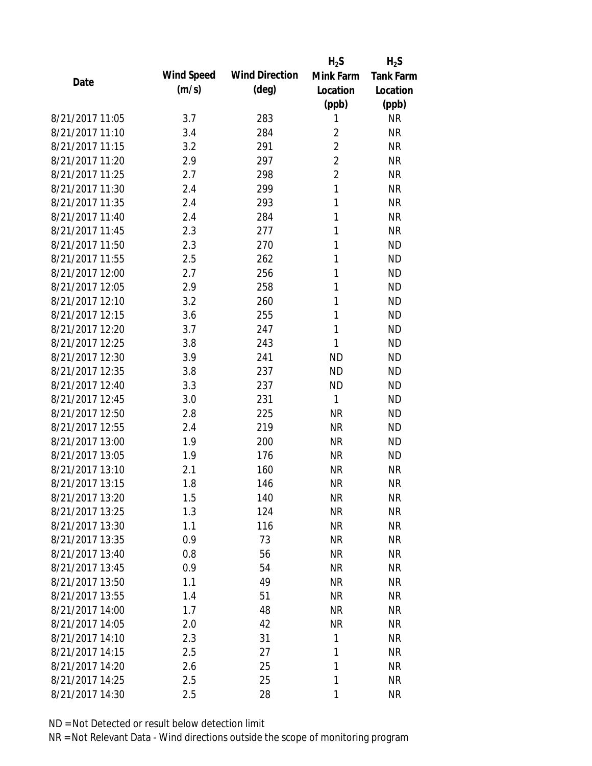|                 |            |                       | $H_2S$         | $H_2S$           |
|-----------------|------------|-----------------------|----------------|------------------|
| Date            | Wind Speed | <b>Wind Direction</b> | Mink Farm      | <b>Tank Farm</b> |
|                 | (m/s)      | $(\text{deg})$        | Location       | Location         |
|                 |            |                       | (ppb)          | (ppb)            |
| 8/21/2017 11:05 | 3.7        | 283                   | 1              | <b>NR</b>        |
| 8/21/2017 11:10 | 3.4        | 284                   | $\overline{2}$ | <b>NR</b>        |
| 8/21/2017 11:15 | 3.2        | 291                   | $\overline{2}$ | <b>NR</b>        |
| 8/21/2017 11:20 | 2.9        | 297                   | $\overline{2}$ | <b>NR</b>        |
| 8/21/2017 11:25 | 2.7        | 298                   | $\overline{2}$ | <b>NR</b>        |
| 8/21/2017 11:30 | 2.4        | 299                   | 1              | <b>NR</b>        |
| 8/21/2017 11:35 | 2.4        | 293                   | 1              | <b>NR</b>        |
| 8/21/2017 11:40 | 2.4        | 284                   | 1              | <b>NR</b>        |
| 8/21/2017 11:45 | 2.3        | 277                   | 1              | <b>NR</b>        |
| 8/21/2017 11:50 | 2.3        | 270                   | 1              | <b>ND</b>        |
| 8/21/2017 11:55 | 2.5        | 262                   | 1              | <b>ND</b>        |
| 8/21/2017 12:00 | 2.7        | 256                   | 1              | <b>ND</b>        |
| 8/21/2017 12:05 | 2.9        | 258                   | 1              | <b>ND</b>        |
| 8/21/2017 12:10 | 3.2        | 260                   | 1              | <b>ND</b>        |
| 8/21/2017 12:15 | 3.6        | 255                   | 1              | <b>ND</b>        |
| 8/21/2017 12:20 | 3.7        | 247                   | 1              | <b>ND</b>        |
| 8/21/2017 12:25 | 3.8        | 243                   | 1              | <b>ND</b>        |
| 8/21/2017 12:30 | 3.9        | 241                   | <b>ND</b>      | <b>ND</b>        |
| 8/21/2017 12:35 | 3.8        | 237                   | <b>ND</b>      | <b>ND</b>        |
| 8/21/2017 12:40 | 3.3        | 237                   | <b>ND</b>      | <b>ND</b>        |
| 8/21/2017 12:45 | 3.0        | 231                   | 1              | <b>ND</b>        |
| 8/21/2017 12:50 | 2.8        | 225                   | <b>NR</b>      | <b>ND</b>        |
| 8/21/2017 12:55 | 2.4        | 219                   | <b>NR</b>      | <b>ND</b>        |
| 8/21/2017 13:00 | 1.9        | 200                   | <b>NR</b>      | <b>ND</b>        |
| 8/21/2017 13:05 | 1.9        | 176                   | <b>NR</b>      | <b>ND</b>        |
| 8/21/2017 13:10 | 2.1        | 160                   | <b>NR</b>      | <b>NR</b>        |
| 8/21/2017 13:15 | 1.8        | 146                   | <b>NR</b>      | <b>NR</b>        |
| 8/21/2017 13:20 | 1.5        | 140                   | <b>NR</b>      | <b>NR</b>        |
| 8/21/2017 13:25 | 1.3        | 124                   | <b>NR</b>      | <b>NR</b>        |
| 8/21/2017 13:30 | 1.1        | 116                   | <b>NR</b>      | <b>NR</b>        |
| 8/21/2017 13:35 | 0.9        | 73                    | <b>NR</b>      | <b>NR</b>        |
| 8/21/2017 13:40 | 0.8        | 56                    | <b>NR</b>      | <b>NR</b>        |
| 8/21/2017 13:45 | 0.9        | 54                    | <b>NR</b>      | <b>NR</b>        |
| 8/21/2017 13:50 | 1.1        | 49                    | <b>NR</b>      | <b>NR</b>        |
| 8/21/2017 13:55 | 1.4        | 51                    | <b>NR</b>      | <b>NR</b>        |
| 8/21/2017 14:00 | 1.7        | 48                    | <b>NR</b>      | <b>NR</b>        |
| 8/21/2017 14:05 | 2.0        | 42                    | <b>NR</b>      | <b>NR</b>        |
| 8/21/2017 14:10 | 2.3        | 31                    | 1              | <b>NR</b>        |
| 8/21/2017 14:15 | 2.5        | 27                    | 1              | <b>NR</b>        |
| 8/21/2017 14:20 | 2.6        | 25                    | 1              | <b>NR</b>        |
| 8/21/2017 14:25 |            | 25                    | 1              | <b>NR</b>        |
|                 | 2.5        |                       |                |                  |
| 8/21/2017 14:30 | 2.5        | 28                    | 1              | <b>NR</b>        |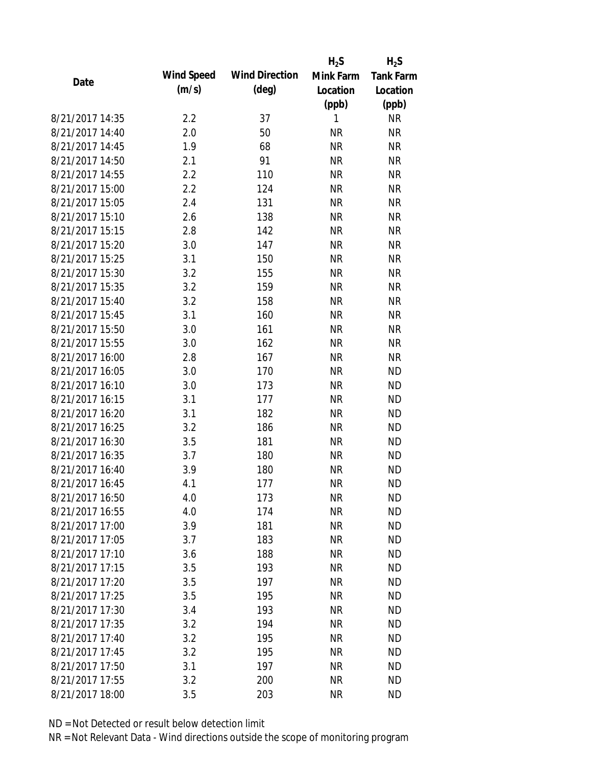|                 |            |                       | $H_2S$    | $H_2S$           |
|-----------------|------------|-----------------------|-----------|------------------|
| Date            | Wind Speed | <b>Wind Direction</b> | Mink Farm | <b>Tank Farm</b> |
|                 | (m/s)      | $(\text{deg})$        | Location  | Location         |
|                 |            |                       | (ppb)     | (ppb)            |
| 8/21/2017 14:35 | 2.2        | 37                    | 1         | <b>NR</b>        |
| 8/21/2017 14:40 | 2.0        | 50                    | <b>NR</b> | <b>NR</b>        |
| 8/21/2017 14:45 | 1.9        | 68                    | <b>NR</b> | <b>NR</b>        |
| 8/21/2017 14:50 | 2.1        | 91                    | <b>NR</b> | <b>NR</b>        |
| 8/21/2017 14:55 | 2.2        | 110                   | <b>NR</b> | <b>NR</b>        |
| 8/21/2017 15:00 | 2.2        | 124                   | <b>NR</b> | <b>NR</b>        |
| 8/21/2017 15:05 | 2.4        | 131                   | <b>NR</b> | <b>NR</b>        |
| 8/21/2017 15:10 | 2.6        | 138                   | <b>NR</b> | <b>NR</b>        |
| 8/21/2017 15:15 | 2.8        | 142                   | <b>NR</b> | <b>NR</b>        |
| 8/21/2017 15:20 | 3.0        | 147                   | <b>NR</b> | <b>NR</b>        |
| 8/21/2017 15:25 | 3.1        | 150                   | <b>NR</b> | <b>NR</b>        |
| 8/21/2017 15:30 | 3.2        | 155                   | <b>NR</b> | <b>NR</b>        |
| 8/21/2017 15:35 | 3.2        | 159                   | <b>NR</b> | <b>NR</b>        |
| 8/21/2017 15:40 | 3.2        | 158                   | <b>NR</b> | <b>NR</b>        |
| 8/21/2017 15:45 | 3.1        | 160                   | <b>NR</b> | <b>NR</b>        |
| 8/21/2017 15:50 | 3.0        | 161                   | <b>NR</b> | <b>NR</b>        |
| 8/21/2017 15:55 | 3.0        | 162                   | <b>NR</b> | <b>NR</b>        |
| 8/21/2017 16:00 | 2.8        | 167                   | <b>NR</b> | <b>NR</b>        |
| 8/21/2017 16:05 | 3.0        | 170                   | <b>NR</b> | <b>ND</b>        |
| 8/21/2017 16:10 | 3.0        | 173                   | <b>NR</b> | <b>ND</b>        |
| 8/21/2017 16:15 | 3.1        | 177                   | <b>NR</b> | <b>ND</b>        |
| 8/21/2017 16:20 | 3.1        | 182                   | <b>NR</b> | <b>ND</b>        |
| 8/21/2017 16:25 | 3.2        | 186                   | <b>NR</b> | <b>ND</b>        |
| 8/21/2017 16:30 | 3.5        | 181                   | <b>NR</b> | <b>ND</b>        |
| 8/21/2017 16:35 | 3.7        | 180                   | <b>NR</b> | <b>ND</b>        |
| 8/21/2017 16:40 | 3.9        | 180                   | <b>NR</b> | <b>ND</b>        |
| 8/21/2017 16:45 | 4.1        | 177                   | <b>NR</b> | <b>ND</b>        |
| 8/21/2017 16:50 | 4.0        | 173                   | <b>NR</b> | <b>ND</b>        |
| 8/21/2017 16:55 | 4.0        | 174                   | <b>NR</b> | <b>ND</b>        |
| 8/21/2017 17:00 | 3.9        | 181                   | <b>NR</b> | <b>ND</b>        |
| 8/21/2017 17:05 | 3.7        | 183                   | <b>NR</b> | <b>ND</b>        |
| 8/21/2017 17:10 | 3.6        | 188                   | <b>NR</b> | <b>ND</b>        |
| 8/21/2017 17:15 | 3.5        | 193                   | <b>NR</b> | <b>ND</b>        |
| 8/21/2017 17:20 | 3.5        | 197                   | <b>NR</b> | <b>ND</b>        |
| 8/21/2017 17:25 | 3.5        | 195                   | <b>NR</b> | <b>ND</b>        |
| 8/21/2017 17:30 | 3.4        | 193                   | <b>NR</b> | <b>ND</b>        |
| 8/21/2017 17:35 | 3.2        | 194                   | <b>NR</b> | <b>ND</b>        |
| 8/21/2017 17:40 | 3.2        | 195                   | <b>NR</b> | <b>ND</b>        |
| 8/21/2017 17:45 | 3.2        | 195                   | <b>NR</b> | <b>ND</b>        |
| 8/21/2017 17:50 | 3.1        | 197                   | NR        | <b>ND</b>        |
|                 |            |                       |           |                  |
| 8/21/2017 17:55 | 3.2        | 200                   | <b>NR</b> | <b>ND</b>        |
| 8/21/2017 18:00 | 3.5        | 203                   | <b>NR</b> | <b>ND</b>        |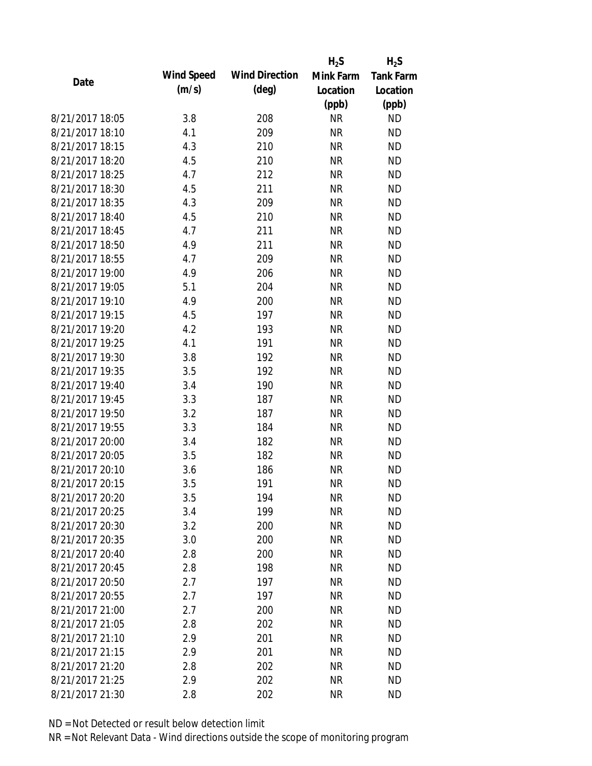|                 |            |                       | $H_2S$    | $H_2S$           |
|-----------------|------------|-----------------------|-----------|------------------|
| Date            | Wind Speed | <b>Wind Direction</b> | Mink Farm | <b>Tank Farm</b> |
|                 | (m/s)      | $(\text{deg})$        | Location  | Location         |
|                 |            |                       | (ppb)     | (ppb)            |
| 8/21/2017 18:05 | 3.8        | 208                   | <b>NR</b> | <b>ND</b>        |
| 8/21/2017 18:10 | 4.1        | 209                   | <b>NR</b> | <b>ND</b>        |
| 8/21/2017 18:15 | 4.3        | 210                   | <b>NR</b> | <b>ND</b>        |
| 8/21/2017 18:20 | 4.5        | 210                   | <b>NR</b> | <b>ND</b>        |
| 8/21/2017 18:25 | 4.7        | 212                   | <b>NR</b> | <b>ND</b>        |
| 8/21/2017 18:30 | 4.5        | 211                   | <b>NR</b> | <b>ND</b>        |
| 8/21/2017 18:35 | 4.3        | 209                   | <b>NR</b> | <b>ND</b>        |
| 8/21/2017 18:40 | 4.5        | 210                   | <b>NR</b> | <b>ND</b>        |
| 8/21/2017 18:45 | 4.7        | 211                   | <b>NR</b> | <b>ND</b>        |
| 8/21/2017 18:50 | 4.9        | 211                   | <b>NR</b> | <b>ND</b>        |
| 8/21/2017 18:55 | 4.7        | 209                   | <b>NR</b> | <b>ND</b>        |
| 8/21/2017 19:00 | 4.9        | 206                   | <b>NR</b> | <b>ND</b>        |
| 8/21/2017 19:05 | 5.1        | 204                   | <b>NR</b> | <b>ND</b>        |
| 8/21/2017 19:10 | 4.9        | 200                   | <b>NR</b> | <b>ND</b>        |
| 8/21/2017 19:15 | 4.5        | 197                   | <b>NR</b> | <b>ND</b>        |
| 8/21/2017 19:20 | 4.2        | 193                   | <b>NR</b> | <b>ND</b>        |
| 8/21/2017 19:25 | 4.1        | 191                   | <b>NR</b> | <b>ND</b>        |
| 8/21/2017 19:30 | 3.8        | 192                   | <b>NR</b> | <b>ND</b>        |
| 8/21/2017 19:35 | 3.5        | 192                   | <b>NR</b> | <b>ND</b>        |
| 8/21/2017 19:40 | 3.4        | 190                   | <b>NR</b> | <b>ND</b>        |
| 8/21/2017 19:45 | 3.3        | 187                   | <b>NR</b> | <b>ND</b>        |
| 8/21/2017 19:50 | 3.2        | 187                   | <b>NR</b> | <b>ND</b>        |
| 8/21/2017 19:55 | 3.3        | 184                   | <b>NR</b> | <b>ND</b>        |
| 8/21/2017 20:00 | 3.4        | 182                   | <b>NR</b> | <b>ND</b>        |
| 8/21/2017 20:05 | 3.5        | 182                   | <b>NR</b> | <b>ND</b>        |
| 8/21/2017 20:10 | 3.6        | 186                   | <b>NR</b> | <b>ND</b>        |
| 8/21/2017 20:15 | 3.5        | 191                   | <b>NR</b> | <b>ND</b>        |
| 8/21/2017 20:20 | 3.5        | 194                   | <b>NR</b> | <b>ND</b>        |
| 8/21/2017 20:25 | 3.4        | 199                   | <b>NR</b> | <b>ND</b>        |
| 8/21/2017 20:30 | 3.2        | 200                   | <b>NR</b> | <b>ND</b>        |
| 8/21/2017 20:35 | 3.0        | 200                   | <b>NR</b> | <b>ND</b>        |
| 8/21/2017 20:40 | 2.8        | 200                   | <b>NR</b> | <b>ND</b>        |
| 8/21/2017 20:45 | 2.8        | 198                   | <b>NR</b> | <b>ND</b>        |
| 8/21/2017 20:50 | 2.7        | 197                   | <b>NR</b> | <b>ND</b>        |
| 8/21/2017 20:55 | 2.7        | 197                   | <b>NR</b> | <b>ND</b>        |
| 8/21/2017 21:00 | 2.7        | 200                   | <b>NR</b> | <b>ND</b>        |
| 8/21/2017 21:05 | 2.8        | 202                   | <b>NR</b> | <b>ND</b>        |
| 8/21/2017 21:10 | 2.9        | 201                   | <b>NR</b> | <b>ND</b>        |
| 8/21/2017 21:15 | 2.9        | 201                   | <b>NR</b> | <b>ND</b>        |
| 8/21/2017 21:20 | 2.8        | 202                   | NR        | <b>ND</b>        |
| 8/21/2017 21:25 | 2.9        | 202                   | <b>NR</b> | <b>ND</b>        |
| 8/21/2017 21:30 | 2.8        | 202                   | <b>NR</b> | <b>ND</b>        |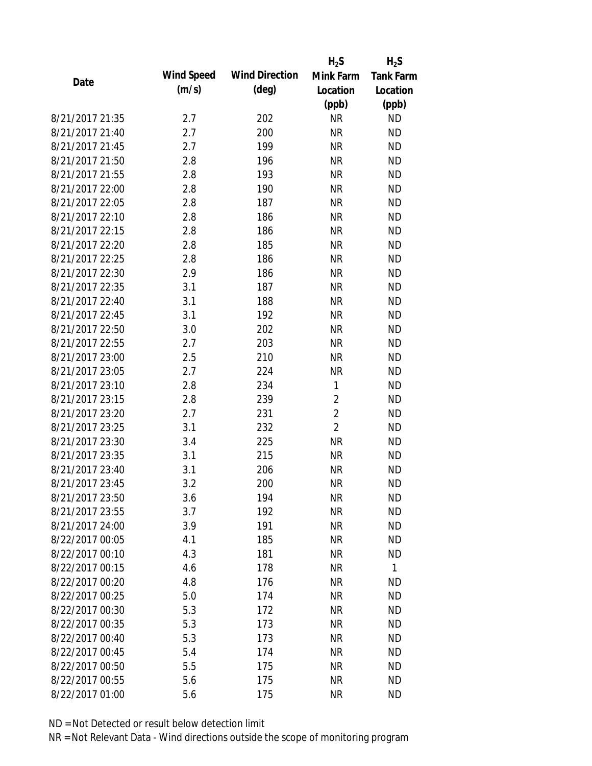|                 |            |                       | $H_2S$         | $H_2S$           |
|-----------------|------------|-----------------------|----------------|------------------|
| Date            | Wind Speed | <b>Wind Direction</b> | Mink Farm      | <b>Tank Farm</b> |
|                 | (m/s)      | $(\text{deg})$        | Location       | Location         |
|                 |            |                       | (ppb)          | (ppb)            |
| 8/21/2017 21:35 | 2.7        | 202                   | <b>NR</b>      | <b>ND</b>        |
| 8/21/2017 21:40 | 2.7        | 200                   | <b>NR</b>      | <b>ND</b>        |
| 8/21/2017 21:45 | 2.7        | 199                   | <b>NR</b>      | <b>ND</b>        |
| 8/21/2017 21:50 | 2.8        | 196                   | <b>NR</b>      | <b>ND</b>        |
| 8/21/2017 21:55 | 2.8        | 193                   | <b>NR</b>      | <b>ND</b>        |
| 8/21/2017 22:00 | 2.8        | 190                   | <b>NR</b>      | <b>ND</b>        |
| 8/21/2017 22:05 | 2.8        | 187                   | <b>NR</b>      | <b>ND</b>        |
| 8/21/2017 22:10 | 2.8        | 186                   | <b>NR</b>      | <b>ND</b>        |
| 8/21/2017 22:15 | 2.8        | 186                   | <b>NR</b>      | <b>ND</b>        |
| 8/21/2017 22:20 | 2.8        | 185                   | <b>NR</b>      | <b>ND</b>        |
| 8/21/2017 22:25 | 2.8        | 186                   | <b>NR</b>      | <b>ND</b>        |
| 8/21/2017 22:30 | 2.9        | 186                   | <b>NR</b>      | <b>ND</b>        |
| 8/21/2017 22:35 | 3.1        | 187                   | <b>NR</b>      | <b>ND</b>        |
| 8/21/2017 22:40 | 3.1        | 188                   | <b>NR</b>      | <b>ND</b>        |
| 8/21/2017 22:45 | 3.1        | 192                   | <b>NR</b>      | <b>ND</b>        |
| 8/21/2017 22:50 | 3.0        | 202                   | <b>NR</b>      | <b>ND</b>        |
| 8/21/2017 22:55 | 2.7        | 203                   | <b>NR</b>      | <b>ND</b>        |
| 8/21/2017 23:00 | 2.5        | 210                   | <b>NR</b>      | <b>ND</b>        |
| 8/21/2017 23:05 | 2.7        | 224                   | <b>NR</b>      | <b>ND</b>        |
| 8/21/2017 23:10 | 2.8        | 234                   | 1              | <b>ND</b>        |
| 8/21/2017 23:15 | 2.8        | 239                   | $\overline{2}$ | <b>ND</b>        |
| 8/21/2017 23:20 | 2.7        | 231                   | $\overline{2}$ | <b>ND</b>        |
| 8/21/2017 23:25 | 3.1        | 232                   | $\overline{2}$ | <b>ND</b>        |
| 8/21/2017 23:30 | 3.4        | 225                   | <b>NR</b>      | <b>ND</b>        |
| 8/21/2017 23:35 | 3.1        | 215                   | <b>NR</b>      | <b>ND</b>        |
| 8/21/2017 23:40 | 3.1        | 206                   | <b>NR</b>      | <b>ND</b>        |
| 8/21/2017 23:45 | 3.2        | 200                   | <b>NR</b>      | <b>ND</b>        |
| 8/21/2017 23:50 | 3.6        | 194                   | <b>NR</b>      | <b>ND</b>        |
| 8/21/2017 23:55 | 3.7        | 192                   | <b>NR</b>      | <b>ND</b>        |
| 8/21/2017 24:00 | 3.9        | 191                   | <b>NR</b>      | <b>ND</b>        |
| 8/22/2017 00:05 | 4.1        | 185                   | <b>NR</b>      | <b>ND</b>        |
| 8/22/2017 00:10 | 4.3        | 181                   | <b>NR</b>      | <b>ND</b>        |
| 8/22/2017 00:15 | 4.6        | 178                   | <b>NR</b>      | $\mathbf{1}$     |
| 8/22/2017 00:20 | 4.8        | 176                   | <b>NR</b>      | <b>ND</b>        |
| 8/22/2017 00:25 | 5.0        | 174                   | <b>NR</b>      | <b>ND</b>        |
| 8/22/2017 00:30 | 5.3        | 172                   | <b>NR</b>      | <b>ND</b>        |
| 8/22/2017 00:35 | 5.3        | 173                   | <b>NR</b>      | <b>ND</b>        |
| 8/22/2017 00:40 | 5.3        | 173                   | <b>NR</b>      | <b>ND</b>        |
| 8/22/2017 00:45 | 5.4        | 174                   | <b>NR</b>      | <b>ND</b>        |
| 8/22/2017 00:50 | 5.5        | 175                   | <b>NR</b>      | <b>ND</b>        |
| 8/22/2017 00:55 | 5.6        | 175                   | <b>NR</b>      | <b>ND</b>        |
| 8/22/2017 01:00 | 5.6        | 175                   | <b>NR</b>      | <b>ND</b>        |
|                 |            |                       |                |                  |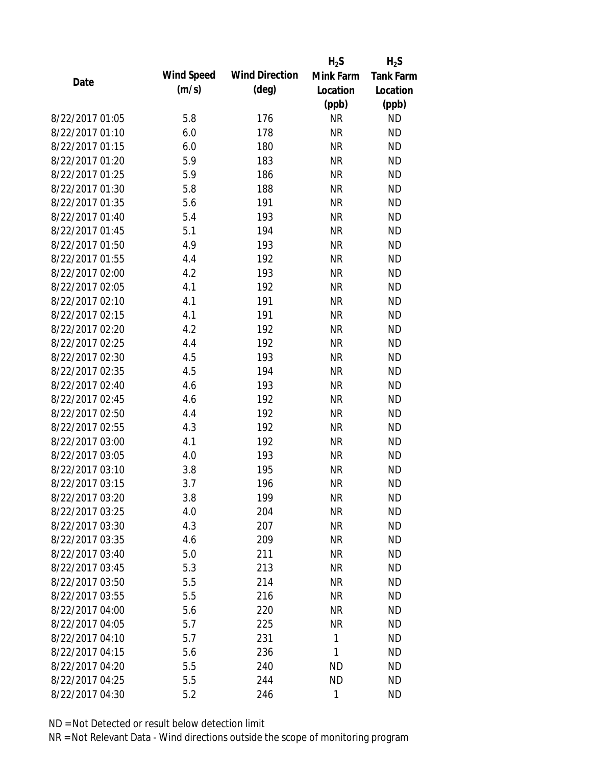|                 |            |                       | $H_2S$    | $H_2S$           |
|-----------------|------------|-----------------------|-----------|------------------|
| Date            | Wind Speed | <b>Wind Direction</b> | Mink Farm | <b>Tank Farm</b> |
|                 | (m/s)      | $(\text{deg})$        | Location  | Location         |
|                 |            |                       | (ppb)     | (ppb)            |
| 8/22/2017 01:05 | 5.8        | 176                   | <b>NR</b> | <b>ND</b>        |
| 8/22/2017 01:10 | 6.0        | 178                   | <b>NR</b> | <b>ND</b>        |
| 8/22/2017 01:15 | 6.0        | 180                   | <b>NR</b> | <b>ND</b>        |
| 8/22/2017 01:20 | 5.9        | 183                   | <b>NR</b> | <b>ND</b>        |
| 8/22/2017 01:25 | 5.9        | 186                   | <b>NR</b> | <b>ND</b>        |
| 8/22/2017 01:30 | 5.8        | 188                   | <b>NR</b> | <b>ND</b>        |
| 8/22/2017 01:35 | 5.6        | 191                   | <b>NR</b> | <b>ND</b>        |
| 8/22/2017 01:40 | 5.4        | 193                   | <b>NR</b> | <b>ND</b>        |
| 8/22/2017 01:45 | 5.1        | 194                   | <b>NR</b> | <b>ND</b>        |
| 8/22/2017 01:50 | 4.9        | 193                   | <b>NR</b> | <b>ND</b>        |
| 8/22/2017 01:55 | 4.4        | 192                   | <b>NR</b> | <b>ND</b>        |
| 8/22/2017 02:00 | 4.2        | 193                   | <b>NR</b> | <b>ND</b>        |
| 8/22/2017 02:05 | 4.1        | 192                   | <b>NR</b> | <b>ND</b>        |
| 8/22/2017 02:10 | 4.1        | 191                   | <b>NR</b> | <b>ND</b>        |
| 8/22/2017 02:15 | 4.1        | 191                   | <b>NR</b> | <b>ND</b>        |
| 8/22/2017 02:20 | 4.2        | 192                   | <b>NR</b> | <b>ND</b>        |
| 8/22/2017 02:25 | 4.4        | 192                   | <b>NR</b> | <b>ND</b>        |
| 8/22/2017 02:30 | 4.5        | 193                   | <b>NR</b> | <b>ND</b>        |
| 8/22/2017 02:35 | 4.5        | 194                   | <b>NR</b> | <b>ND</b>        |
| 8/22/2017 02:40 | 4.6        | 193                   | <b>NR</b> | <b>ND</b>        |
| 8/22/2017 02:45 | 4.6        | 192                   | <b>NR</b> | <b>ND</b>        |
| 8/22/2017 02:50 | 4.4        | 192                   | <b>NR</b> | <b>ND</b>        |
| 8/22/2017 02:55 | 4.3        | 192                   | <b>NR</b> | <b>ND</b>        |
| 8/22/2017 03:00 | 4.1        | 192                   | <b>NR</b> | <b>ND</b>        |
| 8/22/2017 03:05 | 4.0        | 193                   | <b>NR</b> | <b>ND</b>        |
| 8/22/2017 03:10 | 3.8        | 195                   | <b>NR</b> | <b>ND</b>        |
| 8/22/2017 03:15 | 3.7        | 196                   | <b>NR</b> | <b>ND</b>        |
| 8/22/2017 03:20 | 3.8        | 199                   | <b>NR</b> | <b>ND</b>        |
| 8/22/2017 03:25 | 4.0        | 204                   | <b>NR</b> | <b>ND</b>        |
| 8/22/2017 03:30 | 4.3        | 207                   | <b>NR</b> | <b>ND</b>        |
| 8/22/2017 03:35 | 4.6        | 209                   | <b>NR</b> | <b>ND</b>        |
| 8/22/2017 03:40 | 5.0        | 211                   | <b>NR</b> | <b>ND</b>        |
| 8/22/2017 03:45 | 5.3        | 213                   | <b>NR</b> | <b>ND</b>        |
| 8/22/2017 03:50 | 5.5        | 214                   | <b>NR</b> | <b>ND</b>        |
| 8/22/2017 03:55 | 5.5        | 216                   | <b>NR</b> | <b>ND</b>        |
| 8/22/2017 04:00 | 5.6        | 220                   | <b>NR</b> | <b>ND</b>        |
| 8/22/2017 04:05 | 5.7        | 225                   | <b>NR</b> | <b>ND</b>        |
| 8/22/2017 04:10 | 5.7        | 231                   | 1         | <b>ND</b>        |
| 8/22/2017 04:15 | 5.6        | 236                   | 1         | <b>ND</b>        |
| 8/22/2017 04:20 | 5.5        | 240                   | ΝD        | <b>ND</b>        |
| 8/22/2017 04:25 | 5.5        | 244                   | <b>ND</b> | <b>ND</b>        |
| 8/22/2017 04:30 |            | 246                   | 1         | <b>ND</b>        |
|                 | 5.2        |                       |           |                  |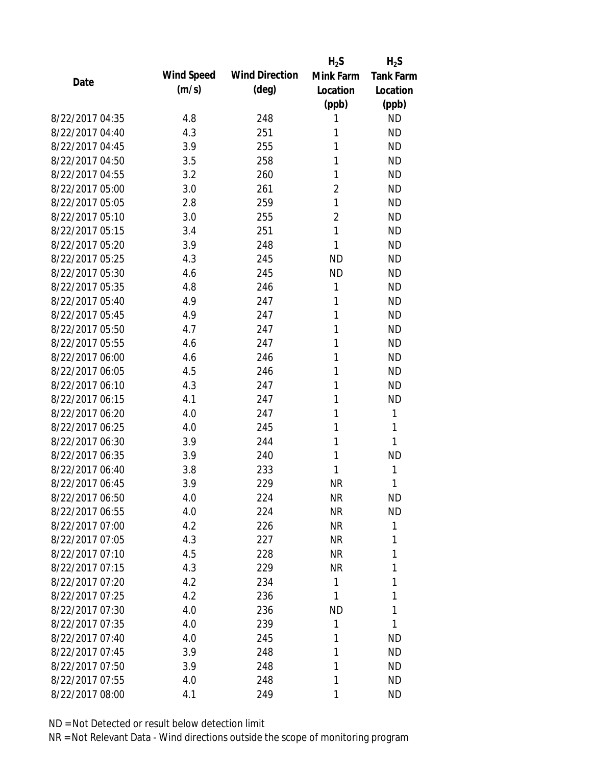|                 |            |                       | $H_2S$         | $H_2S$           |
|-----------------|------------|-----------------------|----------------|------------------|
| Date            | Wind Speed | <b>Wind Direction</b> | Mink Farm      | <b>Tank Farm</b> |
|                 | (m/s)      | $(\text{deg})$        | Location       | Location         |
|                 |            |                       | (ppb)          | (ppb)            |
| 8/22/2017 04:35 | 4.8        | 248                   | 1              | <b>ND</b>        |
| 8/22/2017 04:40 | 4.3        | 251                   | 1              | <b>ND</b>        |
| 8/22/2017 04:45 | 3.9        | 255                   | 1              | <b>ND</b>        |
| 8/22/2017 04:50 | 3.5        | 258                   | 1              | <b>ND</b>        |
| 8/22/2017 04:55 | 3.2        | 260                   | 1              | <b>ND</b>        |
| 8/22/2017 05:00 | 3.0        | 261                   | $\overline{2}$ | <b>ND</b>        |
| 8/22/2017 05:05 | 2.8        | 259                   | 1              | <b>ND</b>        |
| 8/22/2017 05:10 | 3.0        | 255                   | $\overline{2}$ | <b>ND</b>        |
| 8/22/2017 05:15 | 3.4        | 251                   | 1              | <b>ND</b>        |
| 8/22/2017 05:20 | 3.9        | 248                   | 1              | <b>ND</b>        |
| 8/22/2017 05:25 | 4.3        | 245                   | <b>ND</b>      | <b>ND</b>        |
| 8/22/2017 05:30 | 4.6        | 245                   | <b>ND</b>      | <b>ND</b>        |
| 8/22/2017 05:35 | 4.8        | 246                   | 1              | <b>ND</b>        |
| 8/22/2017 05:40 | 4.9        | 247                   | 1              | <b>ND</b>        |
| 8/22/2017 05:45 | 4.9        | 247                   | 1              | <b>ND</b>        |
| 8/22/2017 05:50 | 4.7        | 247                   | 1              | <b>ND</b>        |
| 8/22/2017 05:55 | 4.6        | 247                   | 1              | <b>ND</b>        |
| 8/22/2017 06:00 | 4.6        | 246                   | 1              | <b>ND</b>        |
| 8/22/2017 06:05 | 4.5        | 246                   | 1              | <b>ND</b>        |
| 8/22/2017 06:10 | 4.3        | 247                   | 1              | <b>ND</b>        |
| 8/22/2017 06:15 | 4.1        | 247                   | 1              | <b>ND</b>        |
| 8/22/2017 06:20 | 4.0        | 247                   | 1              | 1                |
| 8/22/2017 06:25 | 4.0        | 245                   | 1              | 1                |
| 8/22/2017 06:30 | 3.9        | 244                   | 1              | 1                |
| 8/22/2017 06:35 | 3.9        | 240                   | 1              | <b>ND</b>        |
| 8/22/2017 06:40 | 3.8        | 233                   | 1              | 1                |
| 8/22/2017 06:45 | 3.9        | 229                   | <b>NR</b>      | 1                |
| 8/22/2017 06:50 | 4.0        | 224                   | <b>NR</b>      | <b>ND</b>        |
| 8/22/2017 06:55 | 4.0        | 224                   | <b>NR</b>      | <b>ND</b>        |
| 8/22/2017 07:00 | 4.2        | 226                   | <b>NR</b>      | 1                |
| 8/22/2017 07:05 | 4.3        | 227                   | <b>NR</b>      | 1                |
| 8/22/2017 07:10 | 4.5        | 228                   | <b>NR</b>      | 1                |
| 8/22/2017 07:15 | 4.3        | 229                   | <b>NR</b>      | 1                |
| 8/22/2017 07:20 | 4.2        | 234                   | 1              | 1                |
| 8/22/2017 07:25 | 4.2        | 236                   | 1              | 1                |
| 8/22/2017 07:30 | 4.0        | 236                   | <b>ND</b>      | 1                |
| 8/22/2017 07:35 | 4.0        | 239                   | 1              | 1                |
| 8/22/2017 07:40 | 4.0        | 245                   | 1              | <b>ND</b>        |
| 8/22/2017 07:45 | 3.9        | 248                   | 1              | <b>ND</b>        |
| 8/22/2017 07:50 | 3.9        | 248                   | 1              | <b>ND</b>        |
| 8/22/2017 07:55 | 4.0        | 248                   | 1              | <b>ND</b>        |
| 8/22/2017 08:00 | 4.1        | 249                   | 1              | <b>ND</b>        |
|                 |            |                       |                |                  |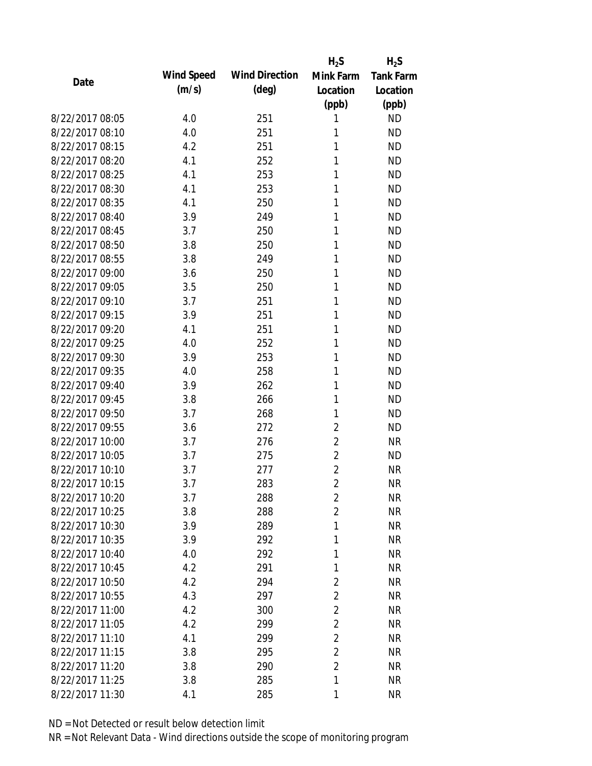|                 |            |                       | $H_2S$         | $H_2S$           |
|-----------------|------------|-----------------------|----------------|------------------|
| Date            | Wind Speed | <b>Wind Direction</b> | Mink Farm      | <b>Tank Farm</b> |
|                 | (m/s)      | $(\text{deg})$        | Location       | Location         |
|                 |            |                       | (ppb)          | (ppb)            |
| 8/22/2017 08:05 | 4.0        | 251                   | 1              | <b>ND</b>        |
| 8/22/2017 08:10 | 4.0        | 251                   | 1              | <b>ND</b>        |
| 8/22/2017 08:15 | 4.2        | 251                   | 1              | <b>ND</b>        |
| 8/22/2017 08:20 | 4.1        | 252                   | 1              | <b>ND</b>        |
| 8/22/2017 08:25 | 4.1        | 253                   | 1              | <b>ND</b>        |
| 8/22/2017 08:30 | 4.1        | 253                   | 1              | <b>ND</b>        |
| 8/22/2017 08:35 | 4.1        | 250                   | 1              | <b>ND</b>        |
| 8/22/2017 08:40 | 3.9        | 249                   | 1              | <b>ND</b>        |
| 8/22/2017 08:45 | 3.7        | 250                   | 1              | <b>ND</b>        |
| 8/22/2017 08:50 | 3.8        | 250                   | 1              | <b>ND</b>        |
| 8/22/2017 08:55 | 3.8        | 249                   | 1              | <b>ND</b>        |
| 8/22/2017 09:00 | 3.6        | 250                   | 1              | <b>ND</b>        |
| 8/22/2017 09:05 | 3.5        | 250                   | 1              | <b>ND</b>        |
| 8/22/2017 09:10 | 3.7        | 251                   | 1              | <b>ND</b>        |
| 8/22/2017 09:15 | 3.9        | 251                   | 1              | <b>ND</b>        |
| 8/22/2017 09:20 | 4.1        | 251                   | 1              | <b>ND</b>        |
| 8/22/2017 09:25 | 4.0        | 252                   | 1              | <b>ND</b>        |
| 8/22/2017 09:30 | 3.9        | 253                   | 1              | <b>ND</b>        |
| 8/22/2017 09:35 | 4.0        | 258                   | 1              | <b>ND</b>        |
| 8/22/2017 09:40 | 3.9        | 262                   | 1              | <b>ND</b>        |
| 8/22/2017 09:45 | 3.8        | 266                   | 1              | <b>ND</b>        |
| 8/22/2017 09:50 | 3.7        | 268                   | 1              | <b>ND</b>        |
| 8/22/2017 09:55 | 3.6        | 272                   | $\overline{2}$ | <b>ND</b>        |
| 8/22/2017 10:00 | 3.7        | 276                   | $\overline{2}$ | <b>NR</b>        |
| 8/22/2017 10:05 | 3.7        | 275                   | $\overline{2}$ | <b>ND</b>        |
| 8/22/2017 10:10 | 3.7        | 277                   | $\overline{c}$ | <b>NR</b>        |
| 8/22/2017 10:15 | 3.7        | 283                   | $\overline{2}$ | <b>NR</b>        |
| 8/22/2017 10:20 | 3.7        | 288                   | 2              | <b>NR</b>        |
| 8/22/2017 10:25 | 3.8        | 288                   | $\overline{2}$ | <b>NR</b>        |
| 8/22/2017 10:30 | 3.9        | 289                   | 1              | <b>NR</b>        |
| 8/22/2017 10:35 | 3.9        | 292                   | 1              | <b>NR</b>        |
| 8/22/2017 10:40 | 4.0        | 292                   | 1              | <b>NR</b>        |
| 8/22/2017 10:45 | 4.2        | 291                   | 1              | <b>NR</b>        |
| 8/22/2017 10:50 | 4.2        | 294                   | $\overline{2}$ | <b>NR</b>        |
| 8/22/2017 10:55 | 4.3        | 297                   | $\overline{2}$ | <b>NR</b>        |
| 8/22/2017 11:00 | 4.2        | 300                   | $\overline{2}$ | <b>NR</b>        |
| 8/22/2017 11:05 | 4.2        | 299                   | $\overline{2}$ | <b>NR</b>        |
| 8/22/2017 11:10 | 4.1        | 299                   | $\overline{2}$ | <b>NR</b>        |
| 8/22/2017 11:15 | 3.8        | 295                   | $\overline{2}$ | <b>NR</b>        |
| 8/22/2017 11:20 | 3.8        | 290                   | $\overline{2}$ | <b>NR</b>        |
| 8/22/2017 11:25 | 3.8        | 285                   | 1              | <b>NR</b>        |
| 8/22/2017 11:30 | 4.1        | 285                   | 1              | <b>NR</b>        |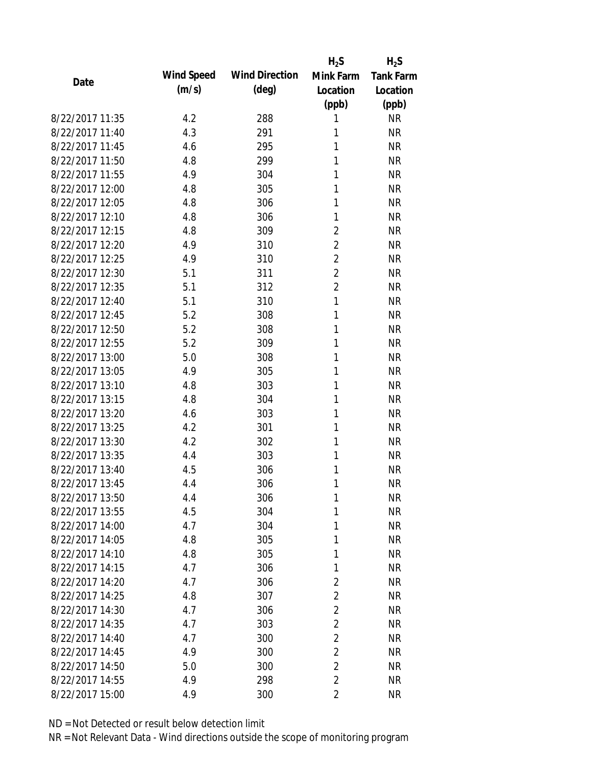|                 |            |                       | $H_2S$         | $H_2S$           |
|-----------------|------------|-----------------------|----------------|------------------|
| Date            | Wind Speed | <b>Wind Direction</b> | Mink Farm      | <b>Tank Farm</b> |
|                 | (m/s)      | $(\text{deg})$        | Location       | Location         |
|                 |            |                       | (ppb)          | (ppb)            |
| 8/22/2017 11:35 | 4.2        | 288                   | 1              | <b>NR</b>        |
| 8/22/2017 11:40 | 4.3        | 291                   | 1              | <b>NR</b>        |
| 8/22/2017 11:45 | 4.6        | 295                   | 1              | <b>NR</b>        |
| 8/22/2017 11:50 | 4.8        | 299                   | 1              | <b>NR</b>        |
| 8/22/2017 11:55 | 4.9        | 304                   | 1              | <b>NR</b>        |
| 8/22/2017 12:00 | 4.8        | 305                   | 1              | <b>NR</b>        |
| 8/22/2017 12:05 | 4.8        | 306                   | 1              | <b>NR</b>        |
| 8/22/2017 12:10 | 4.8        | 306                   | 1              | <b>NR</b>        |
| 8/22/2017 12:15 | 4.8        | 309                   | $\overline{c}$ | <b>NR</b>        |
| 8/22/2017 12:20 | 4.9        | 310                   | $\overline{2}$ | <b>NR</b>        |
| 8/22/2017 12:25 | 4.9        | 310                   | $\overline{2}$ | <b>NR</b>        |
| 8/22/2017 12:30 | 5.1        | 311                   | $\overline{2}$ | <b>NR</b>        |
| 8/22/2017 12:35 | 5.1        | 312                   | $\overline{2}$ | <b>NR</b>        |
| 8/22/2017 12:40 | 5.1        | 310                   | 1              | <b>NR</b>        |
| 8/22/2017 12:45 | 5.2        | 308                   | 1              | <b>NR</b>        |
| 8/22/2017 12:50 | 5.2        | 308                   | 1              | <b>NR</b>        |
| 8/22/2017 12:55 | 5.2        | 309                   | 1              | <b>NR</b>        |
| 8/22/2017 13:00 | 5.0        | 308                   | 1              | <b>NR</b>        |
| 8/22/2017 13:05 | 4.9        | 305                   | 1              | <b>NR</b>        |
| 8/22/2017 13:10 | 4.8        | 303                   | 1              | <b>NR</b>        |
| 8/22/2017 13:15 | 4.8        | 304                   | 1              | <b>NR</b>        |
| 8/22/2017 13:20 | 4.6        | 303                   | 1              | <b>NR</b>        |
| 8/22/2017 13:25 | 4.2        | 301                   | 1              | <b>NR</b>        |
| 8/22/2017 13:30 | 4.2        | 302                   | 1              | <b>NR</b>        |
| 8/22/2017 13:35 | 4.4        | 303                   | 1              | <b>NR</b>        |
| 8/22/2017 13:40 | 4.5        | 306                   | 1              | <b>NR</b>        |
| 8/22/2017 13:45 | 4.4        | 306                   | 1              | <b>NR</b>        |
| 8/22/2017 13:50 | 4.4        | 306                   | 1              | <b>NR</b>        |
| 8/22/2017 13:55 | 4.5        | 304                   | 1              | <b>NR</b>        |
| 8/22/2017 14:00 | 4.7        | 304                   | 1              | <b>NR</b>        |
| 8/22/2017 14:05 | 4.8        | 305                   | 1              | <b>NR</b>        |
| 8/22/2017 14:10 | 4.8        | 305                   | 1              | <b>NR</b>        |
| 8/22/2017 14:15 | 4.7        | 306                   | 1              | <b>NR</b>        |
| 8/22/2017 14:20 | 4.7        | 306                   | $\overline{c}$ | <b>NR</b>        |
| 8/22/2017 14:25 | 4.8        | 307                   | $\overline{2}$ | <b>NR</b>        |
| 8/22/2017 14:30 | 4.7        | 306                   | $\overline{2}$ | <b>NR</b>        |
| 8/22/2017 14:35 | 4.7        | 303                   | $\overline{2}$ | <b>NR</b>        |
| 8/22/2017 14:40 | 4.7        | 300                   | $\overline{2}$ | <b>NR</b>        |
| 8/22/2017 14:45 | 4.9        | 300                   | $\overline{2}$ | <b>NR</b>        |
| 8/22/2017 14:50 | 5.0        | 300                   | $\overline{2}$ | <b>NR</b>        |
| 8/22/2017 14:55 | 4.9        | 298                   | $\overline{2}$ | <b>NR</b>        |
|                 |            |                       |                |                  |
| 8/22/2017 15:00 | 4.9        | 300                   | $\overline{2}$ | <b>NR</b>        |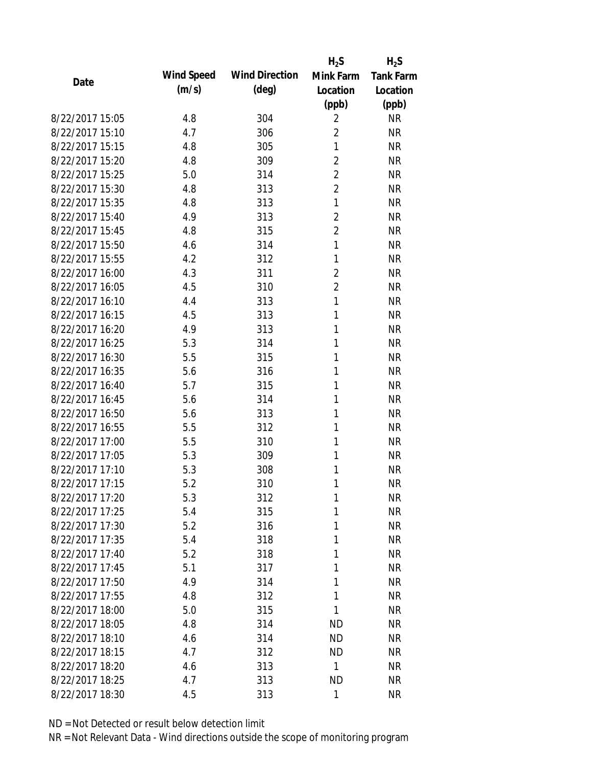|                 |            |                       | $H_2S$         | $H_2S$           |
|-----------------|------------|-----------------------|----------------|------------------|
| Date            | Wind Speed | <b>Wind Direction</b> | Mink Farm      | <b>Tank Farm</b> |
|                 | (m/s)      | $(\text{deg})$        | Location       | Location         |
|                 |            |                       | (ppb)          | (ppb)            |
| 8/22/2017 15:05 | 4.8        | 304                   | $\overline{2}$ | <b>NR</b>        |
| 8/22/2017 15:10 | 4.7        | 306                   | $\overline{2}$ | <b>NR</b>        |
| 8/22/2017 15:15 | 4.8        | 305                   | 1              | <b>NR</b>        |
| 8/22/2017 15:20 | 4.8        | 309                   | $\overline{2}$ | <b>NR</b>        |
| 8/22/2017 15:25 | 5.0        | 314                   | $\overline{2}$ | <b>NR</b>        |
| 8/22/2017 15:30 | 4.8        | 313                   | $\overline{2}$ | <b>NR</b>        |
| 8/22/2017 15:35 | 4.8        | 313                   | 1              | <b>NR</b>        |
| 8/22/2017 15:40 | 4.9        | 313                   | $\overline{2}$ | <b>NR</b>        |
| 8/22/2017 15:45 | 4.8        | 315                   | $\overline{2}$ | <b>NR</b>        |
| 8/22/2017 15:50 | 4.6        | 314                   | 1              | <b>NR</b>        |
| 8/22/2017 15:55 | 4.2        | 312                   | 1              | <b>NR</b>        |
| 8/22/2017 16:00 | 4.3        | 311                   | $\overline{2}$ | <b>NR</b>        |
| 8/22/2017 16:05 | 4.5        | 310                   | $\overline{c}$ | <b>NR</b>        |
| 8/22/2017 16:10 | 4.4        | 313                   | 1              | <b>NR</b>        |
| 8/22/2017 16:15 | 4.5        | 313                   | 1              | <b>NR</b>        |
| 8/22/2017 16:20 | 4.9        | 313                   | 1              | <b>NR</b>        |
| 8/22/2017 16:25 | 5.3        | 314                   | 1              | <b>NR</b>        |
| 8/22/2017 16:30 | 5.5        | 315                   | 1              | <b>NR</b>        |
| 8/22/2017 16:35 | 5.6        | 316                   | 1              | <b>NR</b>        |
| 8/22/2017 16:40 | 5.7        | 315                   | 1              | <b>NR</b>        |
| 8/22/2017 16:45 | 5.6        | 314                   | 1              | <b>NR</b>        |
| 8/22/2017 16:50 | 5.6        | 313                   | 1              | <b>NR</b>        |
| 8/22/2017 16:55 | 5.5        | 312                   | 1              | <b>NR</b>        |
| 8/22/2017 17:00 | 5.5        | 310                   | 1              | <b>NR</b>        |
| 8/22/2017 17:05 | 5.3        | 309                   | 1              | <b>NR</b>        |
| 8/22/2017 17:10 | 5.3        | 308                   | 1              | <b>NR</b>        |
| 8/22/2017 17:15 | 5.2        | 310                   | 1              | <b>NR</b>        |
| 8/22/2017 17:20 | 5.3        | 312                   | 1              | <b>NR</b>        |
| 8/22/2017 17:25 | 5.4        | 315                   | 1              | <b>NR</b>        |
| 8/22/2017 17:30 | 5.2        | 316                   | 1              | <b>NR</b>        |
| 8/22/2017 17:35 | 5.4        | 318                   | 1              | <b>NR</b>        |
| 8/22/2017 17:40 | 5.2        | 318                   | 1              | <b>NR</b>        |
| 8/22/2017 17:45 | 5.1        | 317                   | 1              | <b>NR</b>        |
| 8/22/2017 17:50 | 4.9        | 314                   | 1              | <b>NR</b>        |
| 8/22/2017 17:55 | 4.8        | 312                   | 1              | <b>NR</b>        |
| 8/22/2017 18:00 | 5.0        | 315                   | 1              | <b>NR</b>        |
| 8/22/2017 18:05 | 4.8        | 314                   | <b>ND</b>      | <b>NR</b>        |
| 8/22/2017 18:10 | 4.6        | 314                   | <b>ND</b>      | <b>NR</b>        |
| 8/22/2017 18:15 | 4.7        | 312                   | <b>ND</b>      | <b>NR</b>        |
| 8/22/2017 18:20 | 4.6        | 313                   | 1              | <b>NR</b>        |
| 8/22/2017 18:25 | 4.7        | 313                   | <b>ND</b>      | <b>NR</b>        |
| 8/22/2017 18:30 | 4.5        | 313                   | 1              | <b>NR</b>        |
|                 |            |                       |                |                  |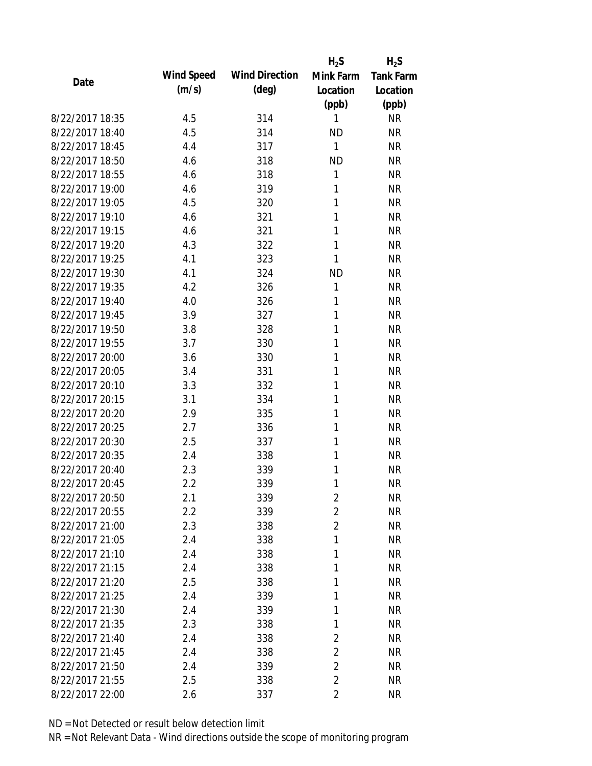|                 |            |                       | $H_2S$         | $H_2S$           |
|-----------------|------------|-----------------------|----------------|------------------|
| Date            | Wind Speed | <b>Wind Direction</b> | Mink Farm      | <b>Tank Farm</b> |
|                 | (m/s)      | $(\text{deg})$        | Location       | Location         |
|                 |            |                       | (ppb)          | (ppb)            |
| 8/22/2017 18:35 | 4.5        | 314                   | 1              | <b>NR</b>        |
| 8/22/2017 18:40 | 4.5        | 314                   | <b>ND</b>      | <b>NR</b>        |
| 8/22/2017 18:45 | 4.4        | 317                   | $\mathbf{1}$   | <b>NR</b>        |
| 8/22/2017 18:50 | 4.6        | 318                   | <b>ND</b>      | <b>NR</b>        |
| 8/22/2017 18:55 | 4.6        | 318                   | 1              | <b>NR</b>        |
| 8/22/2017 19:00 | 4.6        | 319                   | 1              | <b>NR</b>        |
| 8/22/2017 19:05 | 4.5        | 320                   | 1              | <b>NR</b>        |
| 8/22/2017 19:10 | 4.6        | 321                   | 1              | <b>NR</b>        |
| 8/22/2017 19:15 | 4.6        | 321                   | 1              | <b>NR</b>        |
| 8/22/2017 19:20 | 4.3        | 322                   | 1              | <b>NR</b>        |
| 8/22/2017 19:25 | 4.1        | 323                   | 1              | <b>NR</b>        |
| 8/22/2017 19:30 | 4.1        | 324                   | <b>ND</b>      | <b>NR</b>        |
| 8/22/2017 19:35 | 4.2        | 326                   | 1              | <b>NR</b>        |
| 8/22/2017 19:40 | 4.0        | 326                   | 1              | <b>NR</b>        |
| 8/22/2017 19:45 | 3.9        | 327                   | 1              | <b>NR</b>        |
| 8/22/2017 19:50 | 3.8        | 328                   | 1              | <b>NR</b>        |
| 8/22/2017 19:55 | 3.7        | 330                   | 1              | <b>NR</b>        |
| 8/22/2017 20:00 | 3.6        | 330                   | 1              | <b>NR</b>        |
| 8/22/2017 20:05 | 3.4        | 331                   | 1              | <b>NR</b>        |
| 8/22/2017 20:10 | 3.3        | 332                   | 1              | <b>NR</b>        |
| 8/22/2017 20:15 | 3.1        | 334                   | 1              | <b>NR</b>        |
| 8/22/2017 20:20 | 2.9        | 335                   | 1              | <b>NR</b>        |
| 8/22/2017 20:25 | 2.7        | 336                   | 1              | <b>NR</b>        |
| 8/22/2017 20:30 | 2.5        | 337                   | 1              | <b>NR</b>        |
| 8/22/2017 20:35 | 2.4        | 338                   | 1              | <b>NR</b>        |
| 8/22/2017 20:40 | 2.3        | 339                   | 1              | <b>NR</b>        |
| 8/22/2017 20:45 | 2.2        | 339                   | 1              | <b>NR</b>        |
| 8/22/2017 20:50 | 2.1        | 339                   | $\overline{2}$ | <b>NR</b>        |
| 8/22/2017 20:55 | 2.2        | 339                   | $\overline{2}$ | <b>NR</b>        |
| 8/22/2017 21:00 | 2.3        | 338                   | $\overline{2}$ | <b>NR</b>        |
| 8/22/2017 21:05 | 2.4        | 338                   | 1              | <b>NR</b>        |
| 8/22/2017 21:10 | 2.4        | 338                   | 1              | <b>NR</b>        |
| 8/22/2017 21:15 | 2.4        | 338                   | 1              | <b>NR</b>        |
| 8/22/2017 21:20 | 2.5        | 338                   | 1              | <b>NR</b>        |
| 8/22/2017 21:25 | 2.4        | 339                   | 1              | <b>NR</b>        |
| 8/22/2017 21:30 | 2.4        | 339                   | 1              | <b>NR</b>        |
| 8/22/2017 21:35 | 2.3        | 338                   | 1              | <b>NR</b>        |
| 8/22/2017 21:40 | 2.4        | 338                   | $\overline{2}$ | <b>NR</b>        |
| 8/22/2017 21:45 | 2.4        | 338                   | $\overline{2}$ | <b>NR</b>        |
| 8/22/2017 21:50 | 2.4        | 339                   | $\overline{2}$ | <b>NR</b>        |
| 8/22/2017 21:55 | 2.5        | 338                   | $\overline{2}$ | <b>NR</b>        |
| 8/22/2017 22:00 | 2.6        | 337                   | $\overline{2}$ | <b>NR</b>        |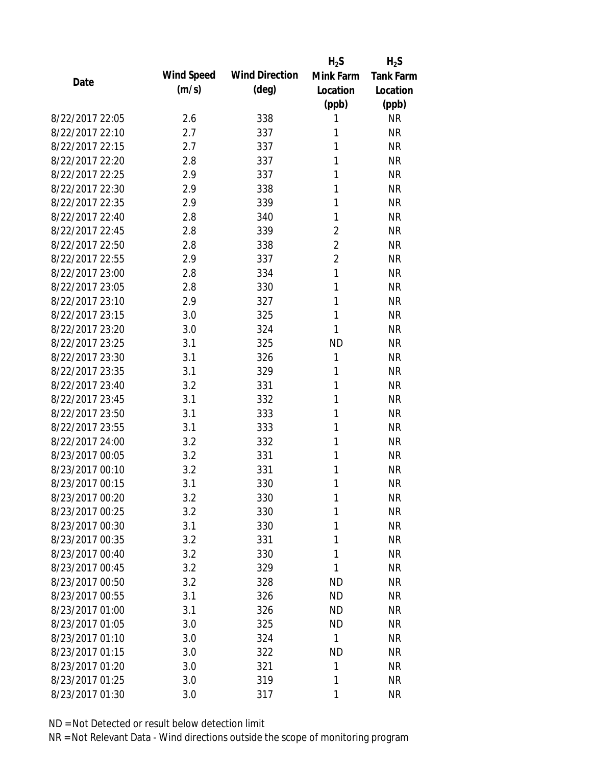|                 |            |                       | $H_2S$         | $H_2S$           |
|-----------------|------------|-----------------------|----------------|------------------|
| Date            | Wind Speed | <b>Wind Direction</b> | Mink Farm      | <b>Tank Farm</b> |
|                 | (m/s)      | $(\text{deg})$        | Location       | Location         |
|                 |            |                       | (ppb)          | (ppb)            |
| 8/22/2017 22:05 | 2.6        | 338                   | 1              | <b>NR</b>        |
| 8/22/2017 22:10 | 2.7        | 337                   | 1              | <b>NR</b>        |
| 8/22/2017 22:15 | 2.7        | 337                   | 1              | <b>NR</b>        |
| 8/22/2017 22:20 | 2.8        | 337                   | 1              | <b>NR</b>        |
| 8/22/2017 22:25 | 2.9        | 337                   | 1              | <b>NR</b>        |
| 8/22/2017 22:30 | 2.9        | 338                   | 1              | <b>NR</b>        |
| 8/22/2017 22:35 | 2.9        | 339                   | 1              | <b>NR</b>        |
| 8/22/2017 22:40 | 2.8        | 340                   | 1              | <b>NR</b>        |
| 8/22/2017 22:45 | 2.8        | 339                   | $\overline{2}$ | <b>NR</b>        |
| 8/22/2017 22:50 | 2.8        | 338                   | $\overline{2}$ | <b>NR</b>        |
| 8/22/2017 22:55 | 2.9        | 337                   | $\overline{c}$ | <b>NR</b>        |
| 8/22/2017 23:00 | 2.8        | 334                   | 1              | <b>NR</b>        |
| 8/22/2017 23:05 | 2.8        | 330                   | 1              | <b>NR</b>        |
| 8/22/2017 23:10 | 2.9        | 327                   | 1              | <b>NR</b>        |
| 8/22/2017 23:15 | 3.0        | 325                   | 1              | <b>NR</b>        |
| 8/22/2017 23:20 | 3.0        | 324                   | 1              | <b>NR</b>        |
| 8/22/2017 23:25 | 3.1        | 325                   | <b>ND</b>      | <b>NR</b>        |
| 8/22/2017 23:30 | 3.1        | 326                   | 1              | <b>NR</b>        |
| 8/22/2017 23:35 | 3.1        | 329                   | 1              | <b>NR</b>        |
| 8/22/2017 23:40 | 3.2        | 331                   | 1              | <b>NR</b>        |
| 8/22/2017 23:45 | 3.1        | 332                   | 1              | <b>NR</b>        |
| 8/22/2017 23:50 | 3.1        | 333                   | 1              | <b>NR</b>        |
| 8/22/2017 23:55 | 3.1        | 333                   | 1              | <b>NR</b>        |
| 8/22/2017 24:00 | 3.2        | 332                   | 1              | <b>NR</b>        |
| 8/23/2017 00:05 | 3.2        | 331                   | 1              | <b>NR</b>        |
| 8/23/2017 00:10 | 3.2        | 331                   | 1              | <b>NR</b>        |
| 8/23/2017 00:15 | 3.1        | 330                   | 1              | <b>NR</b>        |
| 8/23/2017 00:20 | 3.2        | 330                   | 1              | <b>NR</b>        |
| 8/23/2017 00:25 | 3.2        | 330                   | 1              | <b>NR</b>        |
| 8/23/2017 00:30 | 3.1        | 330                   | 1              | <b>NR</b>        |
| 8/23/2017 00:35 | 3.2        | 331                   | 1              | <b>NR</b>        |
| 8/23/2017 00:40 | 3.2        | 330                   | 1              | <b>NR</b>        |
| 8/23/2017 00:45 | 3.2        | 329                   | 1              | <b>NR</b>        |
| 8/23/2017 00:50 | 3.2        | 328                   | <b>ND</b>      | <b>NR</b>        |
| 8/23/2017 00:55 | 3.1        | 326                   | <b>ND</b>      | <b>NR</b>        |
| 8/23/2017 01:00 | 3.1        | 326                   | <b>ND</b>      | <b>NR</b>        |
| 8/23/2017 01:05 | 3.0        | 325                   | <b>ND</b>      | <b>NR</b>        |
| 8/23/2017 01:10 | 3.0        | 324                   | $\mathbf{1}$   | <b>NR</b>        |
| 8/23/2017 01:15 | 3.0        | 322                   | <b>ND</b>      | <b>NR</b>        |
| 8/23/2017 01:20 | 3.0        | 321                   | 1              | <b>NR</b>        |
| 8/23/2017 01:25 | 3.0        | 319                   | 1              | <b>NR</b>        |
| 8/23/2017 01:30 | 3.0        | 317                   | 1              | <b>NR</b>        |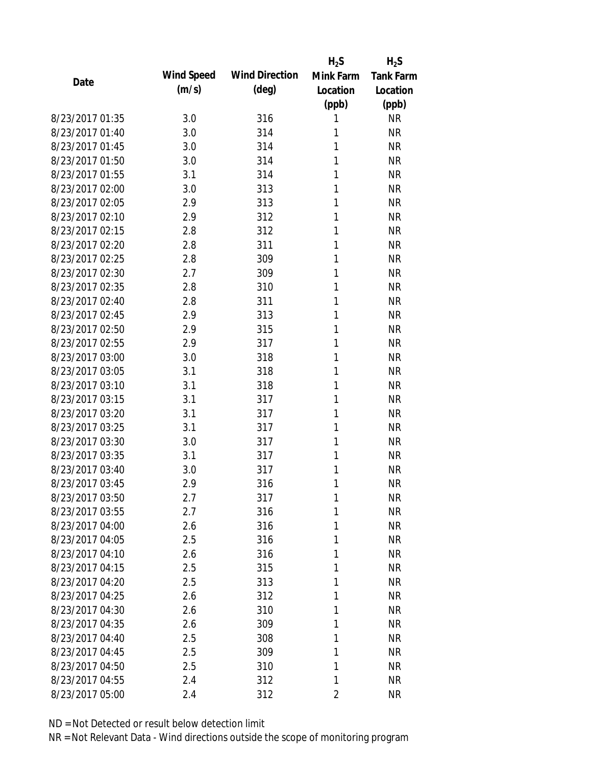|                 |            |                       | $H_2S$    | $H_2S$    |
|-----------------|------------|-----------------------|-----------|-----------|
| Date            | Wind Speed | <b>Wind Direction</b> | Mink Farm | Tank Farm |
|                 | (m/s)      | $(\text{deg})$        | Location  | Location  |
|                 |            |                       | (ppb)     | (ppb)     |
| 8/23/2017 01:35 | 3.0        | 316                   | 1         | <b>NR</b> |
| 8/23/2017 01:40 | 3.0        | 314                   | 1         | <b>NR</b> |
| 8/23/2017 01:45 | 3.0        | 314                   | 1         | <b>NR</b> |
| 8/23/2017 01:50 | 3.0        | 314                   | 1         | <b>NR</b> |
| 8/23/2017 01:55 | 3.1        | 314                   | 1         | <b>NR</b> |
| 8/23/2017 02:00 | 3.0        | 313                   | 1         | <b>NR</b> |
| 8/23/2017 02:05 | 2.9        | 313                   | 1         | <b>NR</b> |
| 8/23/2017 02:10 | 2.9        | 312                   | 1         | <b>NR</b> |
| 8/23/2017 02:15 | 2.8        | 312                   | 1         | <b>NR</b> |
| 8/23/2017 02:20 | 2.8        | 311                   | 1         | <b>NR</b> |
| 8/23/2017 02:25 | 2.8        | 309                   | 1         | <b>NR</b> |
| 8/23/2017 02:30 | 2.7        | 309                   | 1         | <b>NR</b> |
| 8/23/2017 02:35 | 2.8        | 310                   | 1         | <b>NR</b> |
| 8/23/2017 02:40 | 2.8        | 311                   | 1         | <b>NR</b> |
| 8/23/2017 02:45 | 2.9        | 313                   | 1         | <b>NR</b> |
| 8/23/2017 02:50 | 2.9        | 315                   | 1         | <b>NR</b> |
| 8/23/2017 02:55 | 2.9        | 317                   | 1         | <b>NR</b> |
| 8/23/2017 03:00 | 3.0        | 318                   | 1         | <b>NR</b> |
| 8/23/2017 03:05 | 3.1        | 318                   | 1         | <b>NR</b> |
| 8/23/2017 03:10 | 3.1        | 318                   | 1         | <b>NR</b> |
| 8/23/2017 03:15 | 3.1        | 317                   | 1         | <b>NR</b> |
| 8/23/2017 03:20 | 3.1        | 317                   | 1         | <b>NR</b> |
| 8/23/2017 03:25 | 3.1        | 317                   | 1         | <b>NR</b> |
| 8/23/2017 03:30 | 3.0        | 317                   | 1         | <b>NR</b> |
| 8/23/2017 03:35 | 3.1        | 317                   | 1         | <b>NR</b> |
| 8/23/2017 03:40 | 3.0        | 317                   | 1         | <b>NR</b> |
| 8/23/2017 03:45 | 2.9        | 316                   | 1         | <b>NR</b> |
| 8/23/2017 03:50 | 2.7        | 317                   | 1         | <b>NR</b> |
| 8/23/2017 03:55 | 2.7        | 316                   | 1         | <b>NR</b> |
| 8/23/2017 04:00 | 2.6        | 316                   | 1         | <b>NR</b> |
| 8/23/2017 04:05 | 2.5        | 316                   | 1         | <b>NR</b> |
| 8/23/2017 04:10 | 2.6        | 316                   | 1         | <b>NR</b> |
| 8/23/2017 04:15 | 2.5        | 315                   | 1         | <b>NR</b> |
| 8/23/2017 04:20 | 2.5        | 313                   | 1         | <b>NR</b> |
| 8/23/2017 04:25 | 2.6        | 312                   | 1         | <b>NR</b> |
| 8/23/2017 04:30 | 2.6        | 310                   | 1         | <b>NR</b> |
| 8/23/2017 04:35 | 2.6        | 309                   | 1         | <b>NR</b> |
| 8/23/2017 04:40 | 2.5        | 308                   | 1         | <b>NR</b> |
| 8/23/2017 04:45 | 2.5        | 309                   | 1         | <b>NR</b> |
| 8/23/2017 04:50 | 2.5        | 310                   | 1         | <b>NR</b> |
| 8/23/2017 04:55 | 2.4        | 312                   | 1         | <b>NR</b> |
| 8/23/2017 05:00 | 2.4        | 312                   | 2         | <b>NR</b> |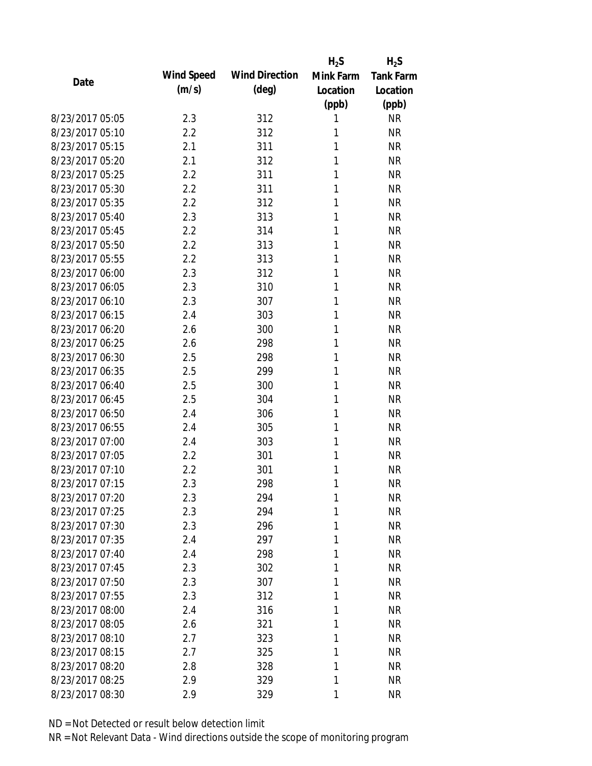|                 |            |                       | $H_2S$    | $H_2S$           |
|-----------------|------------|-----------------------|-----------|------------------|
| Date            | Wind Speed | <b>Wind Direction</b> | Mink Farm | <b>Tank Farm</b> |
|                 | (m/s)      | $(\text{deg})$        | Location  | Location         |
|                 |            |                       | (ppb)     | (ppb)            |
| 8/23/2017 05:05 | 2.3        | 312                   | 1         | <b>NR</b>        |
| 8/23/2017 05:10 | 2.2        | 312                   | 1         | <b>NR</b>        |
| 8/23/2017 05:15 | 2.1        | 311                   | 1         | <b>NR</b>        |
| 8/23/2017 05:20 | 2.1        | 312                   | 1         | <b>NR</b>        |
| 8/23/2017 05:25 | 2.2        | 311                   | 1         | <b>NR</b>        |
| 8/23/2017 05:30 | 2.2        | 311                   | 1         | <b>NR</b>        |
| 8/23/2017 05:35 | 2.2        | 312                   | 1         | <b>NR</b>        |
| 8/23/2017 05:40 | 2.3        | 313                   | 1         | <b>NR</b>        |
| 8/23/2017 05:45 | 2.2        | 314                   | 1         | <b>NR</b>        |
| 8/23/2017 05:50 | 2.2        | 313                   | 1         | <b>NR</b>        |
| 8/23/2017 05:55 | 2.2        | 313                   | 1         | <b>NR</b>        |
| 8/23/2017 06:00 | 2.3        | 312                   | 1         | <b>NR</b>        |
| 8/23/2017 06:05 | 2.3        | 310                   | 1         | <b>NR</b>        |
| 8/23/2017 06:10 | 2.3        | 307                   | 1         | <b>NR</b>        |
| 8/23/2017 06:15 | 2.4        | 303                   | 1         | <b>NR</b>        |
| 8/23/2017 06:20 | 2.6        | 300                   | 1         | <b>NR</b>        |
| 8/23/2017 06:25 | 2.6        | 298                   | 1         | <b>NR</b>        |
| 8/23/2017 06:30 | 2.5        | 298                   | 1         | <b>NR</b>        |
| 8/23/2017 06:35 | 2.5        | 299                   | 1         | <b>NR</b>        |
| 8/23/2017 06:40 | 2.5        | 300                   | 1         | <b>NR</b>        |
| 8/23/2017 06:45 | 2.5        | 304                   | 1         | <b>NR</b>        |
| 8/23/2017 06:50 | 2.4        | 306                   | 1         | <b>NR</b>        |
| 8/23/2017 06:55 | 2.4        | 305                   | 1         | <b>NR</b>        |
| 8/23/2017 07:00 | 2.4        | 303                   | 1         | <b>NR</b>        |
| 8/23/2017 07:05 | 2.2        | 301                   | 1         | <b>NR</b>        |
| 8/23/2017 07:10 | 2.2        | 301                   | 1         | <b>NR</b>        |
| 8/23/2017 07:15 | 2.3        | 298                   | 1         | <b>NR</b>        |
| 8/23/2017 07:20 | 2.3        | 294                   | 1         | <b>NR</b>        |
| 8/23/2017 07:25 | 2.3        | 294                   | 1         | <b>NR</b>        |
| 8/23/2017 07:30 | 2.3        | 296                   | 1         | <b>NR</b>        |
| 8/23/2017 07:35 | 2.4        | 297                   | 1         | <b>NR</b>        |
| 8/23/2017 07:40 | 2.4        | 298                   | 1         | <b>NR</b>        |
| 8/23/2017 07:45 | 2.3        | 302                   | 1         | <b>NR</b>        |
| 8/23/2017 07:50 | 2.3        | 307                   | 1         | <b>NR</b>        |
| 8/23/2017 07:55 | 2.3        | 312                   | 1         | <b>NR</b>        |
| 8/23/2017 08:00 | 2.4        | 316                   | 1         | <b>NR</b>        |
| 8/23/2017 08:05 | 2.6        | 321                   | 1         | <b>NR</b>        |
| 8/23/2017 08:10 | 2.7        | 323                   | 1         | <b>NR</b>        |
| 8/23/2017 08:15 | 2.7        | 325                   | 1         | <b>NR</b>        |
| 8/23/2017 08:20 | 2.8        | 328                   | 1         | <b>NR</b>        |
| 8/23/2017 08:25 | 2.9        | 329                   | 1         | <b>NR</b>        |
| 8/23/2017 08:30 | 2.9        | 329                   | 1         | <b>NR</b>        |
|                 |            |                       |           |                  |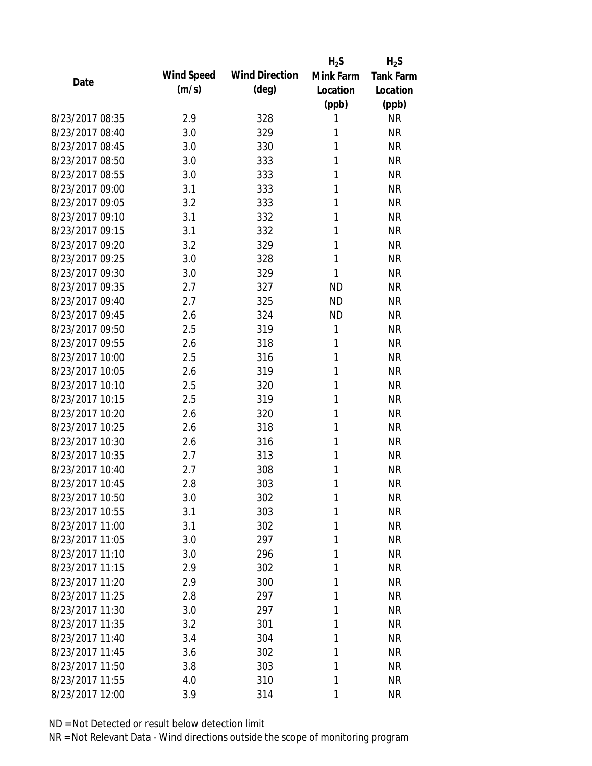|                 |            |                       | $H_2S$    | $H_2S$           |
|-----------------|------------|-----------------------|-----------|------------------|
| Date            | Wind Speed | <b>Wind Direction</b> | Mink Farm | <b>Tank Farm</b> |
|                 | (m/s)      | $(\text{deg})$        | Location  | Location         |
|                 |            |                       | (ppb)     | (ppb)            |
| 8/23/2017 08:35 | 2.9        | 328                   | 1         | <b>NR</b>        |
| 8/23/2017 08:40 | 3.0        | 329                   | 1         | <b>NR</b>        |
| 8/23/2017 08:45 | 3.0        | 330                   | 1         | <b>NR</b>        |
| 8/23/2017 08:50 | 3.0        | 333                   | 1         | <b>NR</b>        |
| 8/23/2017 08:55 | 3.0        | 333                   | 1         | <b>NR</b>        |
| 8/23/2017 09:00 | 3.1        | 333                   | 1         | <b>NR</b>        |
| 8/23/2017 09:05 | 3.2        | 333                   | 1         | <b>NR</b>        |
| 8/23/2017 09:10 | 3.1        | 332                   | 1         | <b>NR</b>        |
| 8/23/2017 09:15 | 3.1        | 332                   | 1         | <b>NR</b>        |
| 8/23/2017 09:20 | 3.2        | 329                   | 1         | <b>NR</b>        |
| 8/23/2017 09:25 | 3.0        | 328                   | 1         | <b>NR</b>        |
| 8/23/2017 09:30 | 3.0        | 329                   | 1         | <b>NR</b>        |
| 8/23/2017 09:35 | 2.7        | 327                   | <b>ND</b> | <b>NR</b>        |
| 8/23/2017 09:40 | 2.7        | 325                   | <b>ND</b> | <b>NR</b>        |
| 8/23/2017 09:45 | 2.6        | 324                   | <b>ND</b> | <b>NR</b>        |
| 8/23/2017 09:50 | 2.5        | 319                   | 1         | <b>NR</b>        |
| 8/23/2017 09:55 | 2.6        | 318                   | 1         | <b>NR</b>        |
| 8/23/2017 10:00 | 2.5        | 316                   | 1         | <b>NR</b>        |
| 8/23/2017 10:05 | 2.6        | 319                   | 1         | <b>NR</b>        |
| 8/23/2017 10:10 | 2.5        | 320                   | 1         | <b>NR</b>        |
| 8/23/2017 10:15 | 2.5        | 319                   | 1         | <b>NR</b>        |
| 8/23/2017 10:20 | 2.6        | 320                   | 1         | <b>NR</b>        |
| 8/23/2017 10:25 | 2.6        | 318                   | 1         | <b>NR</b>        |
| 8/23/2017 10:30 | 2.6        | 316                   | 1         | <b>NR</b>        |
| 8/23/2017 10:35 | 2.7        | 313                   | 1         | <b>NR</b>        |
| 8/23/2017 10:40 | 2.7        | 308                   | 1         | <b>NR</b>        |
| 8/23/2017 10:45 | 2.8        | 303                   | 1         | <b>NR</b>        |
| 8/23/2017 10:50 | 3.0        | 302                   | 1         | <b>NR</b>        |
| 8/23/2017 10:55 | 3.1        | 303                   | 1         | <b>NR</b>        |
| 8/23/2017 11:00 | 3.1        | 302                   | 1         | <b>NR</b>        |
| 8/23/2017 11:05 | 3.0        | 297                   | 1         | <b>NR</b>        |
| 8/23/2017 11:10 | 3.0        | 296                   | 1         | <b>NR</b>        |
| 8/23/2017 11:15 | 2.9        | 302                   | 1         | <b>NR</b>        |
| 8/23/2017 11:20 | 2.9        | 300                   | 1         | <b>NR</b>        |
| 8/23/2017 11:25 | 2.8        | 297                   | 1         | <b>NR</b>        |
| 8/23/2017 11:30 | 3.0        | 297                   | 1         | <b>NR</b>        |
| 8/23/2017 11:35 | 3.2        | 301                   | 1         | <b>NR</b>        |
| 8/23/2017 11:40 | 3.4        | 304                   | 1         | <b>NR</b>        |
| 8/23/2017 11:45 | 3.6        | 302                   | 1         | <b>NR</b>        |
| 8/23/2017 11:50 | 3.8        | 303                   | 1         | <b>NR</b>        |
| 8/23/2017 11:55 | 4.0        | 310                   | 1         | <b>NR</b>        |
| 8/23/2017 12:00 | 3.9        | 314                   | 1         | <b>NR</b>        |
|                 |            |                       |           |                  |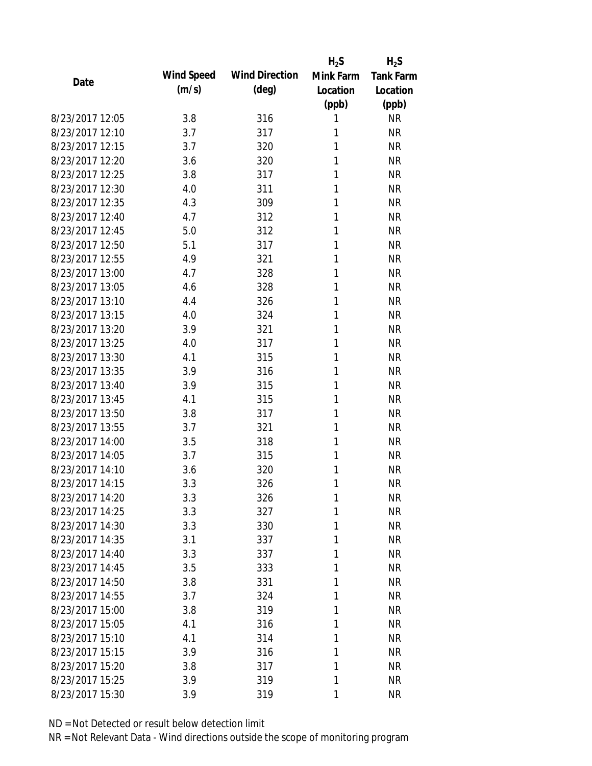|                 |            |                       | $H_2S$    | $H_2S$           |
|-----------------|------------|-----------------------|-----------|------------------|
| Date            | Wind Speed | <b>Wind Direction</b> | Mink Farm | <b>Tank Farm</b> |
|                 | (m/s)      | $(\text{deg})$        | Location  | Location         |
|                 |            |                       | (ppb)     | (ppb)            |
| 8/23/2017 12:05 | 3.8        | 316                   | 1         | <b>NR</b>        |
| 8/23/2017 12:10 | 3.7        | 317                   | 1         | <b>NR</b>        |
| 8/23/2017 12:15 | 3.7        | 320                   | 1         | <b>NR</b>        |
| 8/23/2017 12:20 | 3.6        | 320                   | 1         | <b>NR</b>        |
| 8/23/2017 12:25 | 3.8        | 317                   | 1         | <b>NR</b>        |
| 8/23/2017 12:30 | 4.0        | 311                   | 1         | <b>NR</b>        |
| 8/23/2017 12:35 | 4.3        | 309                   | 1         | <b>NR</b>        |
| 8/23/2017 12:40 | 4.7        | 312                   | 1         | <b>NR</b>        |
| 8/23/2017 12:45 | 5.0        | 312                   | 1         | <b>NR</b>        |
| 8/23/2017 12:50 | 5.1        | 317                   | 1         | <b>NR</b>        |
| 8/23/2017 12:55 | 4.9        | 321                   | 1         | <b>NR</b>        |
| 8/23/2017 13:00 | 4.7        | 328                   | 1         | <b>NR</b>        |
| 8/23/2017 13:05 | 4.6        | 328                   | 1         | <b>NR</b>        |
| 8/23/2017 13:10 | 4.4        | 326                   | 1         | <b>NR</b>        |
| 8/23/2017 13:15 | 4.0        | 324                   | 1         | <b>NR</b>        |
| 8/23/2017 13:20 | 3.9        | 321                   | 1         | <b>NR</b>        |
| 8/23/2017 13:25 | 4.0        | 317                   | 1         | <b>NR</b>        |
| 8/23/2017 13:30 | 4.1        | 315                   | 1         | <b>NR</b>        |
| 8/23/2017 13:35 | 3.9        | 316                   | 1         | <b>NR</b>        |
| 8/23/2017 13:40 | 3.9        | 315                   | 1         | <b>NR</b>        |
| 8/23/2017 13:45 | 4.1        | 315                   | 1         | <b>NR</b>        |
| 8/23/2017 13:50 | 3.8        | 317                   | 1         | <b>NR</b>        |
| 8/23/2017 13:55 | 3.7        | 321                   | 1         | <b>NR</b>        |
| 8/23/2017 14:00 | 3.5        | 318                   | 1         | <b>NR</b>        |
| 8/23/2017 14:05 | 3.7        | 315                   | 1         | <b>NR</b>        |
| 8/23/2017 14:10 | 3.6        | 320                   | 1         | <b>NR</b>        |
| 8/23/2017 14:15 | 3.3        | 326                   | 1         | <b>NR</b>        |
| 8/23/2017 14:20 | 3.3        | 326                   | 1         | <b>NR</b>        |
| 8/23/2017 14:25 | 3.3        | 327                   | 1         | <b>NR</b>        |
| 8/23/2017 14:30 | 3.3        | 330                   | 1         | <b>NR</b>        |
| 8/23/2017 14:35 | 3.1        | 337                   | 1         | <b>NR</b>        |
| 8/23/2017 14:40 | 3.3        | 337                   | 1         | <b>NR</b>        |
| 8/23/2017 14:45 | 3.5        | 333                   | 1         | <b>NR</b>        |
| 8/23/2017 14:50 | 3.8        | 331                   | 1         | <b>NR</b>        |
| 8/23/2017 14:55 | 3.7        | 324                   | 1         | <b>NR</b>        |
| 8/23/2017 15:00 | 3.8        | 319                   | 1         | <b>NR</b>        |
| 8/23/2017 15:05 | 4.1        | 316                   | 1         | <b>NR</b>        |
| 8/23/2017 15:10 | 4.1        | 314                   | 1         | <b>NR</b>        |
| 8/23/2017 15:15 |            |                       | 1         | <b>NR</b>        |
| 8/23/2017 15:20 | 3.9        | 316                   | 1         | <b>NR</b>        |
|                 | 3.8        | 317                   |           |                  |
| 8/23/2017 15:25 | 3.9        | 319                   | 1         | <b>NR</b>        |
| 8/23/2017 15:30 | 3.9        | 319                   | 1         | <b>NR</b>        |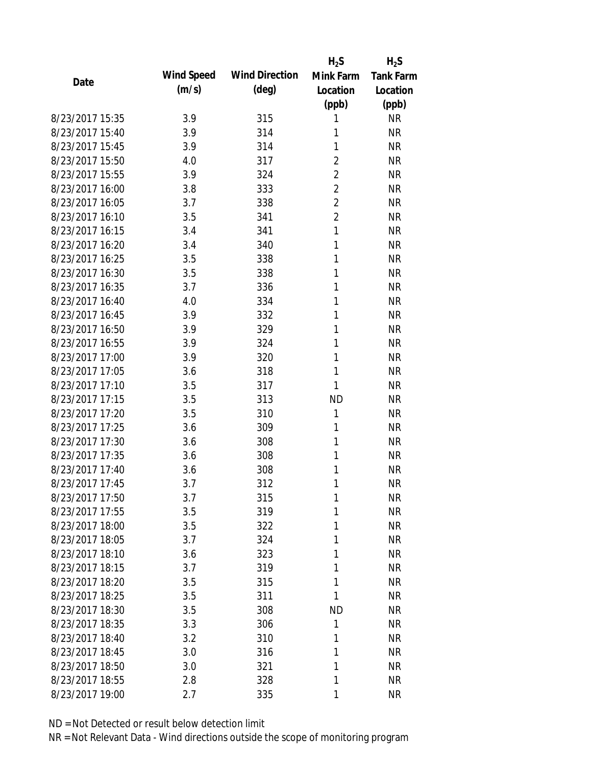|                 |            |                       | $H_2S$         | $H_2S$           |
|-----------------|------------|-----------------------|----------------|------------------|
| Date            | Wind Speed | <b>Wind Direction</b> | Mink Farm      | <b>Tank Farm</b> |
|                 | (m/s)      | $(\text{deg})$        | Location       | Location         |
|                 |            |                       | (ppb)          | (ppb)            |
| 8/23/2017 15:35 | 3.9        | 315                   | 1              | <b>NR</b>        |
| 8/23/2017 15:40 | 3.9        | 314                   | 1              | <b>NR</b>        |
| 8/23/2017 15:45 | 3.9        | 314                   | 1              | <b>NR</b>        |
| 8/23/2017 15:50 | 4.0        | 317                   | $\overline{2}$ | <b>NR</b>        |
| 8/23/2017 15:55 | 3.9        | 324                   | $\overline{2}$ | <b>NR</b>        |
| 8/23/2017 16:00 | 3.8        | 333                   | $\overline{2}$ | <b>NR</b>        |
| 8/23/2017 16:05 | 3.7        | 338                   | $\overline{2}$ | <b>NR</b>        |
| 8/23/2017 16:10 | 3.5        | 341                   | $\overline{2}$ | <b>NR</b>        |
| 8/23/2017 16:15 | 3.4        | 341                   | 1              | <b>NR</b>        |
| 8/23/2017 16:20 | 3.4        | 340                   | 1              | <b>NR</b>        |
| 8/23/2017 16:25 | 3.5        | 338                   | 1              | <b>NR</b>        |
| 8/23/2017 16:30 | 3.5        | 338                   | 1              | <b>NR</b>        |
| 8/23/2017 16:35 | 3.7        | 336                   | 1              | <b>NR</b>        |
| 8/23/2017 16:40 | 4.0        | 334                   | 1              | <b>NR</b>        |
| 8/23/2017 16:45 | 3.9        | 332                   | 1              | <b>NR</b>        |
| 8/23/2017 16:50 | 3.9        | 329                   | 1              | <b>NR</b>        |
| 8/23/2017 16:55 | 3.9        | 324                   | 1              | <b>NR</b>        |
| 8/23/2017 17:00 | 3.9        | 320                   | 1              | <b>NR</b>        |
| 8/23/2017 17:05 | 3.6        | 318                   | 1              | <b>NR</b>        |
| 8/23/2017 17:10 | 3.5        | 317                   | 1              | <b>NR</b>        |
| 8/23/2017 17:15 | 3.5        | 313                   | <b>ND</b>      | <b>NR</b>        |
| 8/23/2017 17:20 | 3.5        | 310                   | 1              | <b>NR</b>        |
| 8/23/2017 17:25 | 3.6        | 309                   | 1              | <b>NR</b>        |
| 8/23/2017 17:30 | 3.6        | 308                   | 1              | <b>NR</b>        |
| 8/23/2017 17:35 | 3.6        | 308                   | 1              | <b>NR</b>        |
| 8/23/2017 17:40 | 3.6        | 308                   | 1              | <b>NR</b>        |
| 8/23/2017 17:45 | 3.7        | 312                   | 1              | <b>NR</b>        |
| 8/23/2017 17:50 | 3.7        | 315                   | 1              | <b>NR</b>        |
| 8/23/2017 17:55 | 3.5        | 319                   | 1              | <b>NR</b>        |
| 8/23/2017 18:00 | 3.5        | 322                   | 1              | <b>NR</b>        |
| 8/23/2017 18:05 | 3.7        | 324                   | 1              | <b>NR</b>        |
| 8/23/2017 18:10 | 3.6        | 323                   | 1              | <b>NR</b>        |
| 8/23/2017 18:15 | 3.7        | 319                   | 1              | <b>NR</b>        |
| 8/23/2017 18:20 | 3.5        | 315                   | 1              | <b>NR</b>        |
| 8/23/2017 18:25 | 3.5        | 311                   | 1              | <b>NR</b>        |
| 8/23/2017 18:30 | 3.5        | 308                   | ND             | <b>NR</b>        |
| 8/23/2017 18:35 | 3.3        | 306                   | 1              | <b>NR</b>        |
| 8/23/2017 18:40 | 3.2        | 310                   | 1              | <b>NR</b>        |
| 8/23/2017 18:45 | 3.0        | 316                   | 1              | <b>NR</b>        |
| 8/23/2017 18:50 | 3.0        | 321                   | 1              | <b>NR</b>        |
| 8/23/2017 18:55 | 2.8        | 328                   | 1              | <b>NR</b>        |
| 8/23/2017 19:00 | 2.7        | 335                   | 1              | <b>NR</b>        |
|                 |            |                       |                |                  |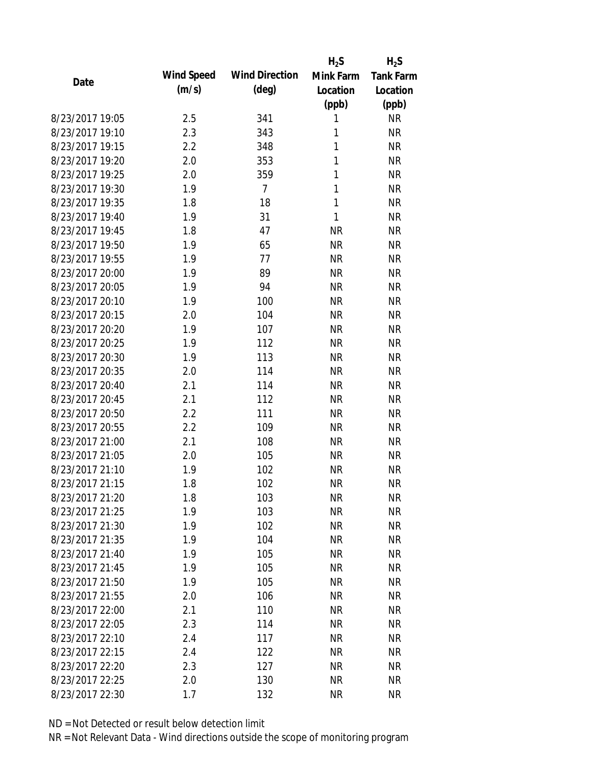|                 |            |                       | $H_2S$    | $H_2S$           |
|-----------------|------------|-----------------------|-----------|------------------|
| Date            | Wind Speed | <b>Wind Direction</b> | Mink Farm | <b>Tank Farm</b> |
|                 | (m/s)      | $(\text{deg})$        | Location  | Location         |
|                 |            |                       | (ppb)     | (ppb)            |
| 8/23/2017 19:05 | 2.5        | 341                   | 1         | <b>NR</b>        |
| 8/23/2017 19:10 | 2.3        | 343                   | 1         | <b>NR</b>        |
| 8/23/2017 19:15 | 2.2        | 348                   | 1         | <b>NR</b>        |
| 8/23/2017 19:20 | 2.0        | 353                   | 1         | <b>NR</b>        |
| 8/23/2017 19:25 | 2.0        | 359                   | 1         | <b>NR</b>        |
| 8/23/2017 19:30 | 1.9        | $\overline{7}$        | 1         | <b>NR</b>        |
| 8/23/2017 19:35 | 1.8        | 18                    | 1         | <b>NR</b>        |
| 8/23/2017 19:40 | 1.9        | 31                    | 1         | <b>NR</b>        |
| 8/23/2017 19:45 | 1.8        | 47                    | <b>NR</b> | <b>NR</b>        |
| 8/23/2017 19:50 | 1.9        | 65                    | <b>NR</b> | <b>NR</b>        |
| 8/23/2017 19:55 | 1.9        | 77                    | <b>NR</b> | <b>NR</b>        |
| 8/23/2017 20:00 | 1.9        | 89                    | <b>NR</b> | <b>NR</b>        |
| 8/23/2017 20:05 | 1.9        | 94                    | <b>NR</b> | <b>NR</b>        |
| 8/23/2017 20:10 | 1.9        | 100                   | <b>NR</b> | <b>NR</b>        |
| 8/23/2017 20:15 | 2.0        | 104                   | <b>NR</b> | <b>NR</b>        |
| 8/23/2017 20:20 | 1.9        | 107                   | <b>NR</b> | <b>NR</b>        |
| 8/23/2017 20:25 | 1.9        | 112                   | <b>NR</b> | <b>NR</b>        |
| 8/23/2017 20:30 | 1.9        | 113                   | <b>NR</b> | <b>NR</b>        |
| 8/23/2017 20:35 | 2.0        | 114                   | <b>NR</b> | <b>NR</b>        |
| 8/23/2017 20:40 | 2.1        | 114                   | <b>NR</b> | <b>NR</b>        |
| 8/23/2017 20:45 | 2.1        | 112                   | <b>NR</b> | <b>NR</b>        |
| 8/23/2017 20:50 | 2.2        | 111                   | <b>NR</b> | <b>NR</b>        |
| 8/23/2017 20:55 | 2.2        | 109                   | <b>NR</b> | <b>NR</b>        |
| 8/23/2017 21:00 | 2.1        | 108                   | <b>NR</b> | <b>NR</b>        |
| 8/23/2017 21:05 | 2.0        | 105                   | <b>NR</b> | <b>NR</b>        |
| 8/23/2017 21:10 | 1.9        | 102                   | <b>NR</b> | <b>NR</b>        |
| 8/23/2017 21:15 | 1.8        | 102                   | <b>NR</b> | <b>NR</b>        |
| 8/23/2017 21:20 | 1.8        | 103                   | <b>NR</b> | <b>NR</b>        |
| 8/23/2017 21:25 | 1.9        | 103                   | <b>NR</b> | <b>NR</b>        |
| 8/23/2017 21:30 | 1.9        | 102                   | <b>NR</b> | <b>NR</b>        |
| 8/23/2017 21:35 | 1.9        | 104                   | <b>NR</b> | <b>NR</b>        |
| 8/23/2017 21:40 | 1.9        | 105                   | <b>NR</b> | <b>NR</b>        |
| 8/23/2017 21:45 | 1.9        | 105                   | <b>NR</b> | <b>NR</b>        |
| 8/23/2017 21:50 | 1.9        | 105                   | <b>NR</b> | <b>NR</b>        |
| 8/23/2017 21:55 | 2.0        | 106                   | <b>NR</b> | <b>NR</b>        |
| 8/23/2017 22:00 | 2.1        | 110                   | <b>NR</b> | <b>NR</b>        |
| 8/23/2017 22:05 | 2.3        | 114                   | <b>NR</b> | <b>NR</b>        |
| 8/23/2017 22:10 | 2.4        | 117                   | <b>NR</b> | <b>NR</b>        |
| 8/23/2017 22:15 | 2.4        | 122                   | <b>NR</b> | <b>NR</b>        |
| 8/23/2017 22:20 | 2.3        | 127                   | <b>NR</b> | <b>NR</b>        |
| 8/23/2017 22:25 | 2.0        | 130                   | <b>NR</b> | <b>NR</b>        |
| 8/23/2017 22:30 | 1.7        | 132                   | <b>NR</b> | <b>NR</b>        |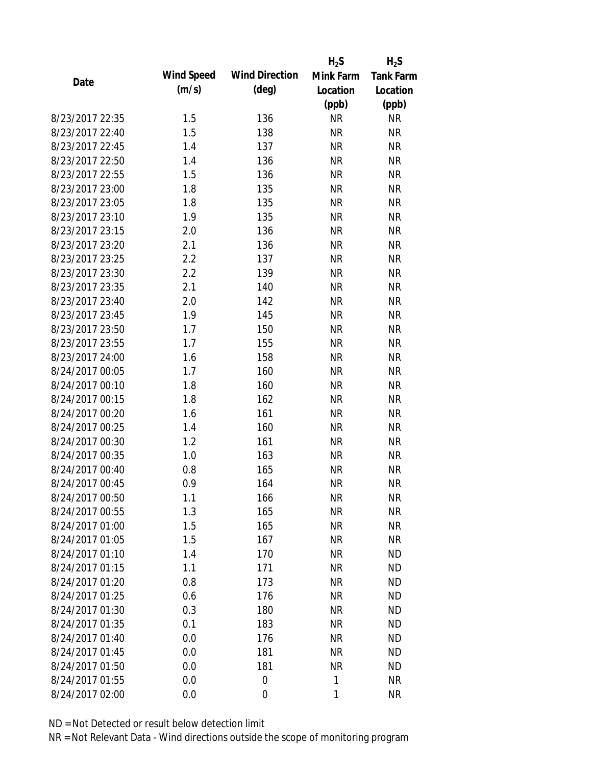|                 |            |                       | $H_2S$    | $H_2S$           |
|-----------------|------------|-----------------------|-----------|------------------|
| Date            | Wind Speed | <b>Wind Direction</b> | Mink Farm | <b>Tank Farm</b> |
|                 | (m/s)      | $(\text{deg})$        | Location  | Location         |
|                 |            |                       | (ppb)     | (ppb)            |
| 8/23/2017 22:35 | 1.5        | 136                   | <b>NR</b> | <b>NR</b>        |
| 8/23/2017 22:40 | 1.5        | 138                   | <b>NR</b> | <b>NR</b>        |
| 8/23/2017 22:45 | 1.4        | 137                   | <b>NR</b> | <b>NR</b>        |
| 8/23/2017 22:50 | 1.4        | 136                   | <b>NR</b> | <b>NR</b>        |
| 8/23/2017 22:55 | 1.5        | 136                   | <b>NR</b> | <b>NR</b>        |
| 8/23/2017 23:00 | 1.8        | 135                   | <b>NR</b> | <b>NR</b>        |
| 8/23/2017 23:05 | 1.8        | 135                   | <b>NR</b> | <b>NR</b>        |
| 8/23/2017 23:10 | 1.9        | 135                   | <b>NR</b> | <b>NR</b>        |
| 8/23/2017 23:15 | 2.0        | 136                   | <b>NR</b> | <b>NR</b>        |
| 8/23/2017 23:20 | 2.1        | 136                   | <b>NR</b> | <b>NR</b>        |
| 8/23/2017 23:25 | 2.2        | 137                   | <b>NR</b> | <b>NR</b>        |
| 8/23/2017 23:30 | 2.2        | 139                   | <b>NR</b> | <b>NR</b>        |
| 8/23/2017 23:35 | 2.1        | 140                   | <b>NR</b> | <b>NR</b>        |
| 8/23/2017 23:40 | 2.0        | 142                   | <b>NR</b> | <b>NR</b>        |
| 8/23/2017 23:45 | 1.9        | 145                   | <b>NR</b> | <b>NR</b>        |
| 8/23/2017 23:50 | 1.7        | 150                   | <b>NR</b> | <b>NR</b>        |
| 8/23/2017 23:55 | 1.7        | 155                   | <b>NR</b> | <b>NR</b>        |
| 8/23/2017 24:00 | 1.6        | 158                   | <b>NR</b> | <b>NR</b>        |
| 8/24/2017 00:05 | 1.7        | 160                   | <b>NR</b> | <b>NR</b>        |
| 8/24/2017 00:10 | 1.8        | 160                   | <b>NR</b> | <b>NR</b>        |
| 8/24/2017 00:15 | 1.8        | 162                   | <b>NR</b> | <b>NR</b>        |
| 8/24/2017 00:20 | 1.6        | 161                   | <b>NR</b> | <b>NR</b>        |
| 8/24/2017 00:25 | 1.4        | 160                   | <b>NR</b> | <b>NR</b>        |
| 8/24/2017 00:30 | 1.2        | 161                   | <b>NR</b> | <b>NR</b>        |
| 8/24/2017 00:35 | 1.0        | 163                   | <b>NR</b> | <b>NR</b>        |
| 8/24/2017 00:40 | 0.8        | 165                   | <b>NR</b> | <b>NR</b>        |
| 8/24/2017 00:45 | 0.9        | 164                   | <b>NR</b> | <b>NR</b>        |
| 8/24/2017 00:50 | 1.1        | 166                   | <b>NR</b> | <b>NR</b>        |
| 8/24/2017 00:55 | 1.3        | 165                   | <b>NR</b> | <b>NR</b>        |
| 8/24/2017 01:00 | 1.5        | 165                   | <b>NR</b> | <b>NR</b>        |
| 8/24/2017 01:05 | 1.5        | 167                   | <b>NR</b> | <b>NR</b>        |
| 8/24/2017 01:10 | 1.4        | 170                   | <b>NR</b> | <b>ND</b>        |
| 8/24/2017 01:15 | 1.1        | 171                   | NR        | <b>ND</b>        |
| 8/24/2017 01:20 | 0.8        | 173                   | <b>NR</b> | <b>ND</b>        |
| 8/24/2017 01:25 | 0.6        | 176                   | NR        | <b>ND</b>        |
| 8/24/2017 01:30 | 0.3        | 180                   | <b>NR</b> | <b>ND</b>        |
| 8/24/2017 01:35 | 0.1        | 183                   | <b>NR</b> | <b>ND</b>        |
| 8/24/2017 01:40 | 0.0        | 176                   | NR        | <b>ND</b>        |
| 8/24/2017 01:45 | 0.0        | 181                   | <b>NR</b> | <b>ND</b>        |
| 8/24/2017 01:50 | 0.0        | 181                   | <b>NR</b> | <b>ND</b>        |
| 8/24/2017 01:55 | 0.0        | 0                     | 1         | <b>NR</b>        |
| 8/24/2017 02:00 | 0.0        | $\mathbf 0$           | 1         | <b>NR</b>        |
|                 |            |                       |           |                  |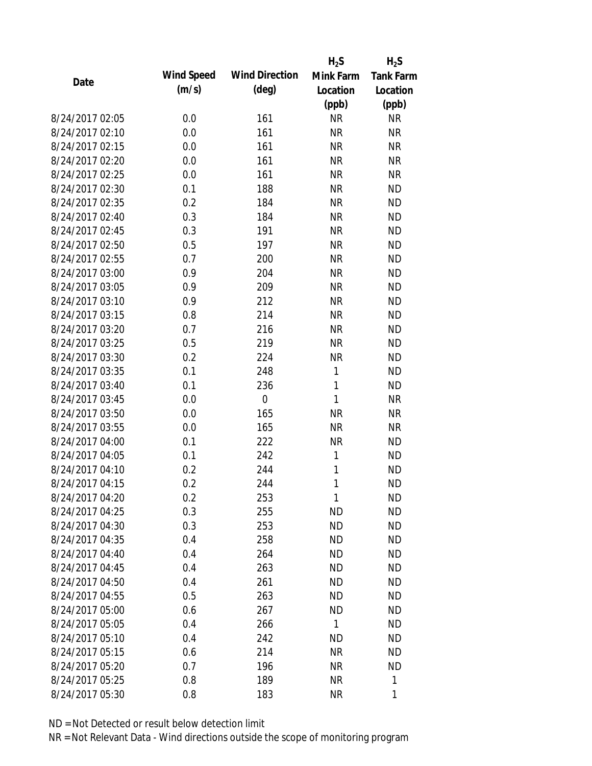|                 |            |                       | $H_2S$       | $H_2S$           |
|-----------------|------------|-----------------------|--------------|------------------|
| Date            | Wind Speed | <b>Wind Direction</b> | Mink Farm    | <b>Tank Farm</b> |
|                 | (m/s)      | $(\text{deg})$        | Location     | Location         |
|                 |            |                       | (ppb)        | (ppb)            |
| 8/24/2017 02:05 | 0.0        | 161                   | <b>NR</b>    | <b>NR</b>        |
| 8/24/2017 02:10 | 0.0        | 161                   | <b>NR</b>    | <b>NR</b>        |
| 8/24/2017 02:15 | 0.0        | 161                   | <b>NR</b>    | <b>NR</b>        |
| 8/24/2017 02:20 | 0.0        | 161                   | <b>NR</b>    | <b>NR</b>        |
| 8/24/2017 02:25 | 0.0        | 161                   | <b>NR</b>    | <b>NR</b>        |
| 8/24/2017 02:30 | 0.1        | 188                   | <b>NR</b>    | <b>ND</b>        |
| 8/24/2017 02:35 | 0.2        | 184                   | <b>NR</b>    | <b>ND</b>        |
| 8/24/2017 02:40 | 0.3        | 184                   | <b>NR</b>    | <b>ND</b>        |
| 8/24/2017 02:45 | 0.3        | 191                   | <b>NR</b>    | <b>ND</b>        |
| 8/24/2017 02:50 | 0.5        | 197                   | <b>NR</b>    | <b>ND</b>        |
| 8/24/2017 02:55 | 0.7        | 200                   | <b>NR</b>    | <b>ND</b>        |
| 8/24/2017 03:00 | 0.9        | 204                   | <b>NR</b>    | <b>ND</b>        |
| 8/24/2017 03:05 | 0.9        | 209                   | <b>NR</b>    | <b>ND</b>        |
| 8/24/2017 03:10 | 0.9        | 212                   | <b>NR</b>    | <b>ND</b>        |
| 8/24/2017 03:15 | 0.8        | 214                   | <b>NR</b>    | <b>ND</b>        |
| 8/24/2017 03:20 | 0.7        | 216                   | <b>NR</b>    | <b>ND</b>        |
| 8/24/2017 03:25 | 0.5        | 219                   | <b>NR</b>    | <b>ND</b>        |
| 8/24/2017 03:30 | 0.2        | 224                   | <b>NR</b>    | <b>ND</b>        |
| 8/24/2017 03:35 | 0.1        | 248                   | 1            | <b>ND</b>        |
| 8/24/2017 03:40 | 0.1        | 236                   | 1            | <b>ND</b>        |
| 8/24/2017 03:45 | 0.0        | $\mathbf 0$           | 1            | <b>NR</b>        |
| 8/24/2017 03:50 | 0.0        | 165                   | <b>NR</b>    | <b>NR</b>        |
| 8/24/2017 03:55 | 0.0        | 165                   | <b>NR</b>    | <b>NR</b>        |
| 8/24/2017 04:00 | 0.1        | 222                   | <b>NR</b>    | <b>ND</b>        |
| 8/24/2017 04:05 | 0.1        | 242                   | 1            | <b>ND</b>        |
| 8/24/2017 04:10 | 0.2        | 244                   | 1            | <b>ND</b>        |
| 8/24/2017 04:15 | 0.2        | 244                   | 1            | <b>ND</b>        |
| 8/24/2017 04:20 | 0.2        | 253                   | 1            | <b>ND</b>        |
| 8/24/2017 04:25 | 0.3        | 255                   | <b>ND</b>    | <b>ND</b>        |
| 8/24/2017 04:30 | 0.3        | 253                   | <b>ND</b>    | <b>ND</b>        |
| 8/24/2017 04:35 | 0.4        | 258                   | <b>ND</b>    | <b>ND</b>        |
| 8/24/2017 04:40 | 0.4        | 264                   | <b>ND</b>    | <b>ND</b>        |
| 8/24/2017 04:45 | 0.4        | 263                   | ND           | <b>ND</b>        |
| 8/24/2017 04:50 | 0.4        | 261                   | <b>ND</b>    | <b>ND</b>        |
| 8/24/2017 04:55 | 0.5        | 263                   | <b>ND</b>    | <b>ND</b>        |
| 8/24/2017 05:00 | 0.6        | 267                   | <b>ND</b>    | <b>ND</b>        |
| 8/24/2017 05:05 | 0.4        | 266                   | $\mathbf{1}$ | <b>ND</b>        |
| 8/24/2017 05:10 | 0.4        | 242                   | ND           | <b>ND</b>        |
| 8/24/2017 05:15 | 0.6        | 214                   | <b>NR</b>    | <b>ND</b>        |
| 8/24/2017 05:20 | 0.7        | 196                   | ΝR           | <b>ND</b>        |
| 8/24/2017 05:25 | 0.8        | 189                   | <b>NR</b>    | 1                |
| 8/24/2017 05:30 | 0.8        | 183                   | <b>NR</b>    | 1                |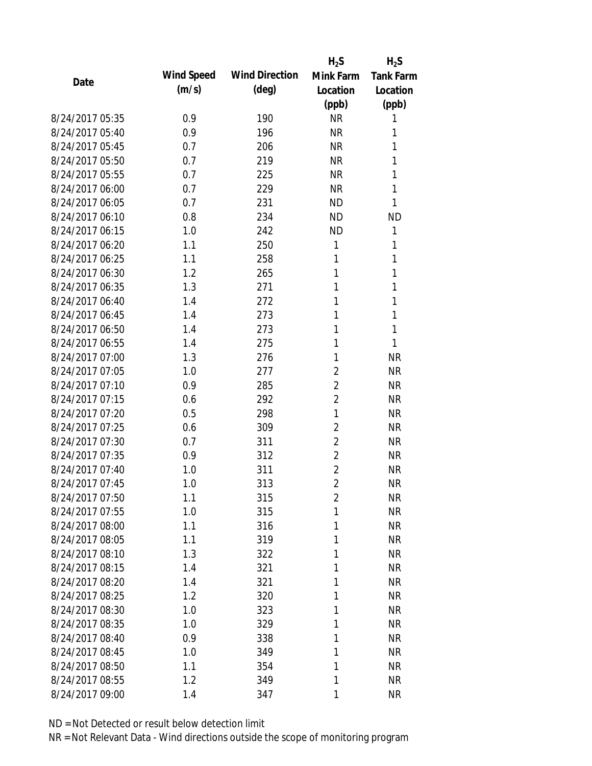|                 |            |                       | $H_2S$         | $H_2S$           |
|-----------------|------------|-----------------------|----------------|------------------|
| Date            | Wind Speed | <b>Wind Direction</b> | Mink Farm      | <b>Tank Farm</b> |
|                 | (m/s)      | $(\text{deg})$        | Location       | Location         |
|                 |            |                       | (ppb)          | (ppb)            |
| 8/24/2017 05:35 | 0.9        | 190                   | <b>NR</b>      | 1                |
| 8/24/2017 05:40 | 0.9        | 196                   | <b>NR</b>      | 1                |
| 8/24/2017 05:45 | 0.7        | 206                   | <b>NR</b>      | 1                |
| 8/24/2017 05:50 | 0.7        | 219                   | <b>NR</b>      | 1                |
| 8/24/2017 05:55 | 0.7        | 225                   | <b>NR</b>      | 1                |
| 8/24/2017 06:00 | 0.7        | 229                   | <b>NR</b>      | 1                |
| 8/24/2017 06:05 | 0.7        | 231                   | <b>ND</b>      | 1                |
| 8/24/2017 06:10 | 0.8        | 234                   | <b>ND</b>      | <b>ND</b>        |
| 8/24/2017 06:15 | 1.0        | 242                   | <b>ND</b>      | 1                |
| 8/24/2017 06:20 | 1.1        | 250                   | 1              | 1                |
| 8/24/2017 06:25 | 1.1        | 258                   | 1              | 1                |
| 8/24/2017 06:30 | 1.2        | 265                   | 1              | 1                |
| 8/24/2017 06:35 | 1.3        | 271                   | 1              | 1                |
| 8/24/2017 06:40 | 1.4        | 272                   | 1              | 1                |
| 8/24/2017 06:45 | 1.4        | 273                   | 1              | 1                |
| 8/24/2017 06:50 | 1.4        | 273                   | 1              | 1                |
| 8/24/2017 06:55 | 1.4        | 275                   | 1              | 1                |
| 8/24/2017 07:00 | 1.3        | 276                   | 1              | <b>NR</b>        |
| 8/24/2017 07:05 | 1.0        | 277                   | $\overline{2}$ | <b>NR</b>        |
| 8/24/2017 07:10 | 0.9        | 285                   | $\overline{2}$ | <b>NR</b>        |
| 8/24/2017 07:15 | 0.6        | 292                   | $\overline{2}$ | <b>NR</b>        |
| 8/24/2017 07:20 | 0.5        | 298                   | 1              | <b>NR</b>        |
| 8/24/2017 07:25 | 0.6        | 309                   | $\overline{2}$ | <b>NR</b>        |
| 8/24/2017 07:30 | 0.7        | 311                   | $\overline{2}$ | <b>NR</b>        |
| 8/24/2017 07:35 | 0.9        | 312                   | $\overline{2}$ | <b>NR</b>        |
| 8/24/2017 07:40 | 1.0        | 311                   | $\overline{2}$ | <b>NR</b>        |
| 8/24/2017 07:45 | 1.0        | 313                   | $\overline{2}$ | <b>NR</b>        |
| 8/24/2017 07:50 | 1.1        | 315                   | $\overline{2}$ | <b>NR</b>        |
| 8/24/2017 07:55 | 1.0        | 315                   | 1              | <b>NR</b>        |
| 8/24/2017 08:00 | 1.1        | 316                   | 1              | <b>NR</b>        |
| 8/24/2017 08:05 | 1.1        | 319                   | 1              | <b>NR</b>        |
| 8/24/2017 08:10 | 1.3        | 322                   | 1              | <b>NR</b>        |
| 8/24/2017 08:15 | 1.4        | 321                   | 1              | <b>NR</b>        |
| 8/24/2017 08:20 | 1.4        | 321                   | 1              | <b>NR</b>        |
| 8/24/2017 08:25 | 1.2        | 320                   | 1              | <b>NR</b>        |
| 8/24/2017 08:30 | 1.0        | 323                   | 1              | <b>NR</b>        |
| 8/24/2017 08:35 | 1.0        | 329                   | 1              | <b>NR</b>        |
| 8/24/2017 08:40 | 0.9        | 338                   | 1              | <b>NR</b>        |
| 8/24/2017 08:45 | 1.0        | 349                   | 1              | <b>NR</b>        |
| 8/24/2017 08:50 | 1.1        | 354                   | 1              | <b>NR</b>        |
| 8/24/2017 08:55 | 1.2        | 349                   | 1              | <b>NR</b>        |
| 8/24/2017 09:00 | 1.4        | 347                   | 1              | <b>NR</b>        |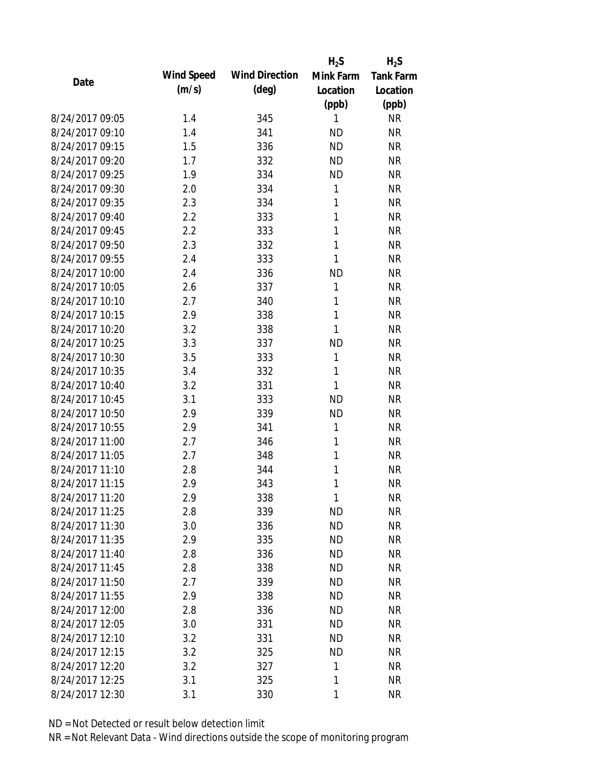|                 |            |                       | $H_2S$    | $H_2S$           |
|-----------------|------------|-----------------------|-----------|------------------|
| Date            | Wind Speed | <b>Wind Direction</b> | Mink Farm | <b>Tank Farm</b> |
|                 | (m/s)      | $(\text{deg})$        | Location  | Location         |
|                 |            |                       | (ppb)     | (ppb)            |
| 8/24/2017 09:05 | 1.4        | 345                   | 1         | <b>NR</b>        |
| 8/24/2017 09:10 | 1.4        | 341                   | <b>ND</b> | <b>NR</b>        |
| 8/24/2017 09:15 | 1.5        | 336                   | <b>ND</b> | <b>NR</b>        |
| 8/24/2017 09:20 | 1.7        | 332                   | <b>ND</b> | <b>NR</b>        |
| 8/24/2017 09:25 | 1.9        | 334                   | <b>ND</b> | <b>NR</b>        |
| 8/24/2017 09:30 | 2.0        | 334                   | 1         | <b>NR</b>        |
| 8/24/2017 09:35 | 2.3        | 334                   | 1         | <b>NR</b>        |
| 8/24/2017 09:40 | 2.2        | 333                   | 1         | <b>NR</b>        |
| 8/24/2017 09:45 | 2.2        | 333                   | 1         | <b>NR</b>        |
| 8/24/2017 09:50 | 2.3        | 332                   | 1         | <b>NR</b>        |
| 8/24/2017 09:55 | 2.4        | 333                   | 1         | <b>NR</b>        |
| 8/24/2017 10:00 | 2.4        | 336                   | <b>ND</b> | <b>NR</b>        |
| 8/24/2017 10:05 | 2.6        | 337                   | 1         | <b>NR</b>        |
| 8/24/2017 10:10 | 2.7        | 340                   | 1         | <b>NR</b>        |
| 8/24/2017 10:15 | 2.9        | 338                   | 1         | <b>NR</b>        |
| 8/24/2017 10:20 | 3.2        | 338                   | 1         | <b>NR</b>        |
| 8/24/2017 10:25 | 3.3        | 337                   | <b>ND</b> | <b>NR</b>        |
| 8/24/2017 10:30 | 3.5        | 333                   | 1         | <b>NR</b>        |
| 8/24/2017 10:35 | 3.4        | 332                   | 1         | <b>NR</b>        |
| 8/24/2017 10:40 | 3.2        | 331                   | 1         | <b>NR</b>        |
| 8/24/2017 10:45 | 3.1        | 333                   | <b>ND</b> | <b>NR</b>        |
| 8/24/2017 10:50 | 2.9        | 339                   | <b>ND</b> | <b>NR</b>        |
| 8/24/2017 10:55 | 2.9        | 341                   | 1         | <b>NR</b>        |
| 8/24/2017 11:00 | 2.7        | 346                   | 1         | <b>NR</b>        |
| 8/24/2017 11:05 | 2.7        | 348                   | 1         | <b>NR</b>        |
| 8/24/2017 11:10 | 2.8        | 344                   | 1         | <b>NR</b>        |
| 8/24/2017 11:15 | 2.9        | 343                   | 1         | <b>NR</b>        |
| 8/24/2017 11:20 | 2.9        | 338                   | 1         | <b>NR</b>        |
| 8/24/2017 11:25 | 2.8        | 339                   | <b>ND</b> | <b>NR</b>        |
| 8/24/2017 11:30 | 3.0        | 336                   | <b>ND</b> | <b>NR</b>        |
| 8/24/2017 11:35 | 2.9        | 335                   | <b>ND</b> | <b>NR</b>        |
| 8/24/2017 11:40 | 2.8        | 336                   | <b>ND</b> | <b>NR</b>        |
| 8/24/2017 11:45 | 2.8        | 338                   | <b>ND</b> | <b>NR</b>        |
| 8/24/2017 11:50 | 2.7        | 339                   | <b>ND</b> | <b>NR</b>        |
| 8/24/2017 11:55 | 2.9        | 338                   | <b>ND</b> | <b>NR</b>        |
| 8/24/2017 12:00 | 2.8        | 336                   | <b>ND</b> | <b>NR</b>        |
| 8/24/2017 12:05 | 3.0        | 331                   | <b>ND</b> | <b>NR</b>        |
| 8/24/2017 12:10 | 3.2        | 331                   | <b>ND</b> | <b>NR</b>        |
| 8/24/2017 12:15 | 3.2        | 325                   | <b>ND</b> | <b>NR</b>        |
| 8/24/2017 12:20 | 3.2        | 327                   | 1         | <b>NR</b>        |
| 8/24/2017 12:25 | 3.1        | 325                   | 1         | <b>NR</b>        |
| 8/24/2017 12:30 | 3.1        | 330                   | 1         | <b>NR</b>        |
|                 |            |                       |           |                  |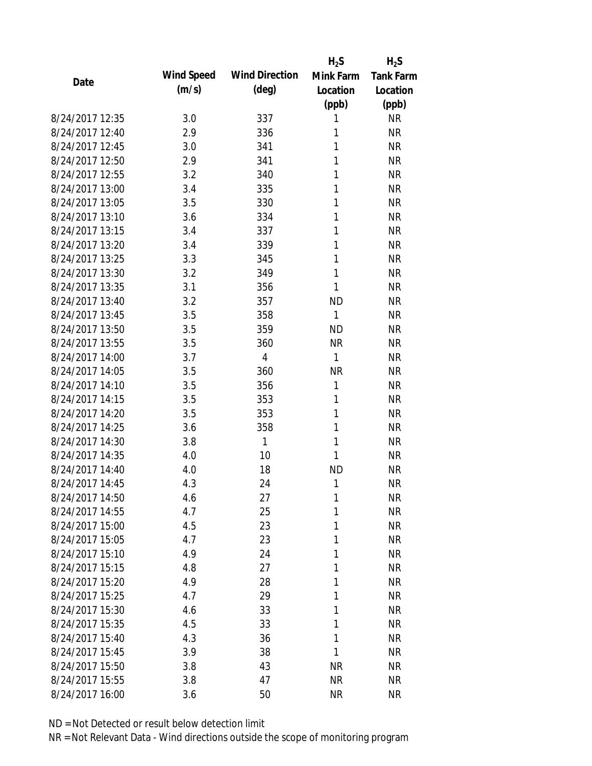|                 |            |                       | $H_2S$       | $H_2S$           |
|-----------------|------------|-----------------------|--------------|------------------|
| Date            | Wind Speed | <b>Wind Direction</b> | Mink Farm    | <b>Tank Farm</b> |
|                 | (m/s)      | $(\text{deg})$        | Location     | Location         |
|                 |            |                       | (ppb)        | (ppb)            |
| 8/24/2017 12:35 | 3.0        | 337                   | 1            | <b>NR</b>        |
| 8/24/2017 12:40 | 2.9        | 336                   | 1            | <b>NR</b>        |
| 8/24/2017 12:45 | 3.0        | 341                   | 1            | <b>NR</b>        |
| 8/24/2017 12:50 | 2.9        | 341                   | 1            | <b>NR</b>        |
| 8/24/2017 12:55 | 3.2        | 340                   | 1            | <b>NR</b>        |
| 8/24/2017 13:00 | 3.4        | 335                   | 1            | <b>NR</b>        |
| 8/24/2017 13:05 | 3.5        | 330                   | 1            | <b>NR</b>        |
| 8/24/2017 13:10 | 3.6        | 334                   | 1            | <b>NR</b>        |
| 8/24/2017 13:15 | 3.4        | 337                   | 1            | <b>NR</b>        |
| 8/24/2017 13:20 | 3.4        | 339                   | 1            | <b>NR</b>        |
| 8/24/2017 13:25 | 3.3        | 345                   | 1            | <b>NR</b>        |
| 8/24/2017 13:30 | 3.2        | 349                   | 1            | <b>NR</b>        |
| 8/24/2017 13:35 | 3.1        | 356                   | 1            | <b>NR</b>        |
| 8/24/2017 13:40 | 3.2        | 357                   | <b>ND</b>    | <b>NR</b>        |
| 8/24/2017 13:45 | 3.5        | 358                   | 1            | <b>NR</b>        |
| 8/24/2017 13:50 | 3.5        | 359                   | <b>ND</b>    | <b>NR</b>        |
| 8/24/2017 13:55 | 3.5        | 360                   | <b>NR</b>    | <b>NR</b>        |
| 8/24/2017 14:00 | 3.7        | $\overline{4}$        | $\mathbf{1}$ | <b>NR</b>        |
| 8/24/2017 14:05 | 3.5        | 360                   | <b>NR</b>    | <b>NR</b>        |
| 8/24/2017 14:10 | 3.5        | 356                   | 1            | <b>NR</b>        |
| 8/24/2017 14:15 | 3.5        | 353                   | 1            | <b>NR</b>        |
| 8/24/2017 14:20 | 3.5        | 353                   | 1            | <b>NR</b>        |
| 8/24/2017 14:25 | 3.6        | 358                   | 1            | <b>NR</b>        |
| 8/24/2017 14:30 | 3.8        | 1                     | 1            | <b>NR</b>        |
| 8/24/2017 14:35 | 4.0        | 10                    | 1            | <b>NR</b>        |
| 8/24/2017 14:40 | 4.0        | 18                    | <b>ND</b>    | <b>NR</b>        |
| 8/24/2017 14:45 | 4.3        | 24                    | 1            | <b>NR</b>        |
| 8/24/2017 14:50 | 4.6        | 27                    | 1            | <b>NR</b>        |
| 8/24/2017 14:55 | 4.7        | 25                    | 1            | <b>NR</b>        |
| 8/24/2017 15:00 | 4.5        | 23                    | 1            | <b>NR</b>        |
| 8/24/2017 15:05 | 4.7        | 23                    | 1            | <b>NR</b>        |
| 8/24/2017 15:10 | 4.9        | 24                    | 1            | <b>NR</b>        |
| 8/24/2017 15:15 | 4.8        | 27                    | 1            | <b>NR</b>        |
| 8/24/2017 15:20 | 4.9        | 28                    | 1            | <b>NR</b>        |
| 8/24/2017 15:25 | 4.7        | 29                    | 1            | <b>NR</b>        |
| 8/24/2017 15:30 | 4.6        | 33                    | 1            | <b>NR</b>        |
| 8/24/2017 15:35 | 4.5        | 33                    | 1            | <b>NR</b>        |
| 8/24/2017 15:40 | 4.3        | 36                    | 1            | <b>NR</b>        |
| 8/24/2017 15:45 | 3.9        | 38                    | 1            | <b>NR</b>        |
| 8/24/2017 15:50 | 3.8        | 43                    | <b>NR</b>    | <b>NR</b>        |
| 8/24/2017 15:55 |            |                       | <b>NR</b>    | <b>NR</b>        |
|                 | 3.8        | 47                    |              |                  |
| 8/24/2017 16:00 | 3.6        | 50                    | <b>NR</b>    | <b>NR</b>        |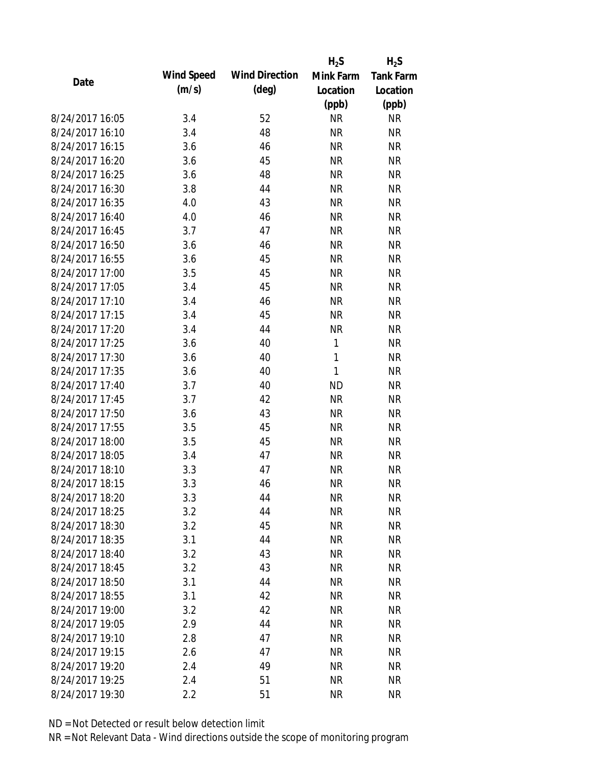|                 |            |                       | $H_2S$       | $H_2S$           |
|-----------------|------------|-----------------------|--------------|------------------|
| Date            | Wind Speed | <b>Wind Direction</b> | Mink Farm    | <b>Tank Farm</b> |
|                 | (m/s)      | $(\text{deg})$        | Location     | Location         |
|                 |            |                       | (ppb)        | (ppb)            |
| 8/24/2017 16:05 | 3.4        | 52                    | <b>NR</b>    | <b>NR</b>        |
| 8/24/2017 16:10 | 3.4        | 48                    | <b>NR</b>    | <b>NR</b>        |
| 8/24/2017 16:15 | 3.6        | 46                    | <b>NR</b>    | <b>NR</b>        |
| 8/24/2017 16:20 | 3.6        | 45                    | <b>NR</b>    | <b>NR</b>        |
| 8/24/2017 16:25 | 3.6        | 48                    | <b>NR</b>    | <b>NR</b>        |
| 8/24/2017 16:30 | 3.8        | 44                    | <b>NR</b>    | <b>NR</b>        |
| 8/24/2017 16:35 | 4.0        | 43                    | <b>NR</b>    | <b>NR</b>        |
| 8/24/2017 16:40 | 4.0        | 46                    | <b>NR</b>    | <b>NR</b>        |
| 8/24/2017 16:45 | 3.7        | 47                    | <b>NR</b>    | <b>NR</b>        |
| 8/24/2017 16:50 | 3.6        | 46                    | <b>NR</b>    | <b>NR</b>        |
| 8/24/2017 16:55 | 3.6        | 45                    | <b>NR</b>    | <b>NR</b>        |
| 8/24/2017 17:00 | 3.5        | 45                    | <b>NR</b>    | <b>NR</b>        |
| 8/24/2017 17:05 | 3.4        | 45                    | <b>NR</b>    | <b>NR</b>        |
| 8/24/2017 17:10 | 3.4        | 46                    | <b>NR</b>    | <b>NR</b>        |
| 8/24/2017 17:15 | 3.4        | 45                    | <b>NR</b>    | <b>NR</b>        |
| 8/24/2017 17:20 | 3.4        | 44                    | <b>NR</b>    | <b>NR</b>        |
| 8/24/2017 17:25 | 3.6        | 40                    | 1            | <b>NR</b>        |
| 8/24/2017 17:30 | 3.6        | 40                    | $\mathbf{1}$ | <b>NR</b>        |
| 8/24/2017 17:35 | 3.6        | 40                    | 1            | <b>NR</b>        |
| 8/24/2017 17:40 | 3.7        | 40                    | <b>ND</b>    | <b>NR</b>        |
| 8/24/2017 17:45 | 3.7        | 42                    | <b>NR</b>    | <b>NR</b>        |
| 8/24/2017 17:50 | 3.6        | 43                    | <b>NR</b>    | <b>NR</b>        |
| 8/24/2017 17:55 | 3.5        | 45                    | <b>NR</b>    | <b>NR</b>        |
| 8/24/2017 18:00 | 3.5        | 45                    | <b>NR</b>    | <b>NR</b>        |
| 8/24/2017 18:05 | 3.4        | 47                    | <b>NR</b>    | <b>NR</b>        |
| 8/24/2017 18:10 | 3.3        | 47                    | <b>NR</b>    | <b>NR</b>        |
| 8/24/2017 18:15 | 3.3        | 46                    | <b>NR</b>    | <b>NR</b>        |
| 8/24/2017 18:20 | 3.3        | 44                    | <b>NR</b>    | <b>NR</b>        |
| 8/24/2017 18:25 | 3.2        | 44                    | <b>NR</b>    | <b>NR</b>        |
| 8/24/2017 18:30 | 3.2        | 45                    | <b>NR</b>    | <b>NR</b>        |
| 8/24/2017 18:35 | 3.1        | 44                    | <b>NR</b>    | <b>NR</b>        |
| 8/24/2017 18:40 | 3.2        | 43                    | <b>NR</b>    | <b>NR</b>        |
| 8/24/2017 18:45 | 3.2        | 43                    | <b>NR</b>    | <b>NR</b>        |
| 8/24/2017 18:50 | 3.1        | 44                    | <b>NR</b>    | <b>NR</b>        |
| 8/24/2017 18:55 | 3.1        | 42                    | <b>NR</b>    | <b>NR</b>        |
| 8/24/2017 19:00 | 3.2        | 42                    | <b>NR</b>    | <b>NR</b>        |
| 8/24/2017 19:05 | 2.9        | 44                    | <b>NR</b>    | <b>NR</b>        |
| 8/24/2017 19:10 | 2.8        | 47                    | <b>NR</b>    | <b>NR</b>        |
| 8/24/2017 19:15 | 2.6        | 47                    | <b>NR</b>    | <b>NR</b>        |
| 8/24/2017 19:20 | 2.4        | 49                    | <b>NR</b>    | <b>NR</b>        |
| 8/24/2017 19:25 |            | 51                    | <b>NR</b>    | <b>NR</b>        |
|                 | 2.4        |                       |              |                  |
| 8/24/2017 19:30 | 2.2        | 51                    | <b>NR</b>    | <b>NR</b>        |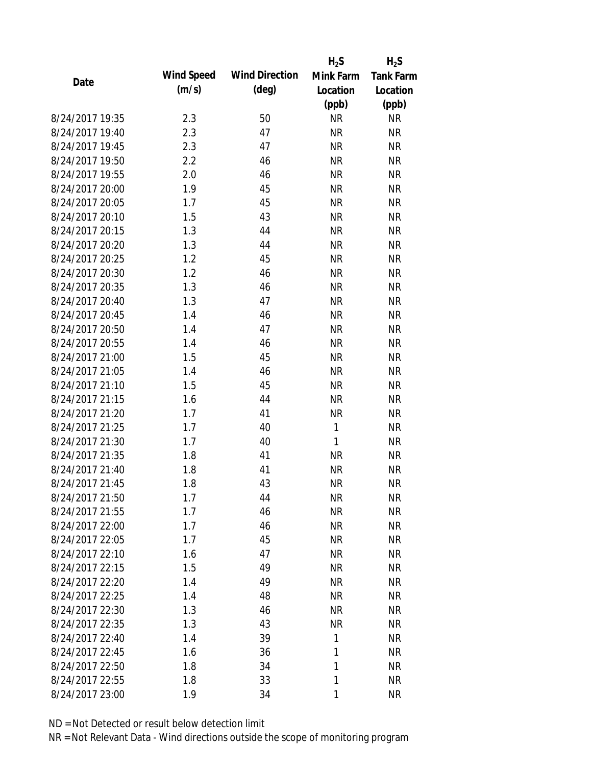|                 |            |                       | $H_2S$    | $H_2S$           |
|-----------------|------------|-----------------------|-----------|------------------|
| Date            | Wind Speed | <b>Wind Direction</b> | Mink Farm | <b>Tank Farm</b> |
|                 | (m/s)      | $(\text{deg})$        | Location  | Location         |
|                 |            |                       | (ppb)     | (ppb)            |
| 8/24/2017 19:35 | 2.3        | 50                    | <b>NR</b> | <b>NR</b>        |
| 8/24/2017 19:40 | 2.3        | 47                    | <b>NR</b> | <b>NR</b>        |
| 8/24/2017 19:45 | 2.3        | 47                    | <b>NR</b> | <b>NR</b>        |
| 8/24/2017 19:50 | 2.2        | 46                    | <b>NR</b> | <b>NR</b>        |
| 8/24/2017 19:55 | 2.0        | 46                    | <b>NR</b> | <b>NR</b>        |
| 8/24/2017 20:00 | 1.9        | 45                    | <b>NR</b> | <b>NR</b>        |
| 8/24/2017 20:05 | 1.7        | 45                    | <b>NR</b> | <b>NR</b>        |
| 8/24/2017 20:10 | 1.5        | 43                    | <b>NR</b> | <b>NR</b>        |
| 8/24/2017 20:15 | 1.3        | 44                    | <b>NR</b> | <b>NR</b>        |
| 8/24/2017 20:20 | 1.3        | 44                    | <b>NR</b> | <b>NR</b>        |
| 8/24/2017 20:25 | 1.2        | 45                    | <b>NR</b> | <b>NR</b>        |
| 8/24/2017 20:30 | 1.2        | 46                    | <b>NR</b> | <b>NR</b>        |
| 8/24/2017 20:35 | 1.3        | 46                    | <b>NR</b> | <b>NR</b>        |
| 8/24/2017 20:40 | 1.3        | 47                    | <b>NR</b> | <b>NR</b>        |
| 8/24/2017 20:45 | 1.4        | 46                    | <b>NR</b> | <b>NR</b>        |
| 8/24/2017 20:50 | 1.4        | 47                    | <b>NR</b> | <b>NR</b>        |
| 8/24/2017 20:55 | 1.4        | 46                    | <b>NR</b> | <b>NR</b>        |
| 8/24/2017 21:00 | 1.5        | 45                    | <b>NR</b> | <b>NR</b>        |
| 8/24/2017 21:05 | 1.4        | 46                    | <b>NR</b> | <b>NR</b>        |
| 8/24/2017 21:10 | 1.5        | 45                    | <b>NR</b> | <b>NR</b>        |
| 8/24/2017 21:15 | 1.6        | 44                    | <b>NR</b> | <b>NR</b>        |
| 8/24/2017 21:20 | 1.7        | 41                    | <b>NR</b> | <b>NR</b>        |
| 8/24/2017 21:25 | 1.7        | 40                    | 1         | <b>NR</b>        |
| 8/24/2017 21:30 | 1.7        | 40                    | 1         | <b>NR</b>        |
| 8/24/2017 21:35 | 1.8        | 41                    | <b>NR</b> | <b>NR</b>        |
| 8/24/2017 21:40 | 1.8        | 41                    | <b>NR</b> | <b>NR</b>        |
| 8/24/2017 21:45 | 1.8        | 43                    | <b>NR</b> | <b>NR</b>        |
| 8/24/2017 21:50 | 1.7        | 44                    | <b>NR</b> | <b>NR</b>        |
| 8/24/2017 21:55 | 1.7        | 46                    | <b>NR</b> | <b>NR</b>        |
| 8/24/2017 22:00 | 1.7        | 46                    | <b>NR</b> | <b>NR</b>        |
| 8/24/2017 22:05 | 1.7        | 45                    | <b>NR</b> | <b>NR</b>        |
| 8/24/2017 22:10 | 1.6        | 47                    | <b>NR</b> | <b>NR</b>        |
| 8/24/2017 22:15 | 1.5        | 49                    | <b>NR</b> | <b>NR</b>        |
| 8/24/2017 22:20 | 1.4        | 49                    | <b>NR</b> | <b>NR</b>        |
| 8/24/2017 22:25 | 1.4        | 48                    | <b>NR</b> | <b>NR</b>        |
| 8/24/2017 22:30 | 1.3        | 46                    | <b>NR</b> | <b>NR</b>        |
| 8/24/2017 22:35 | 1.3        | 43                    | <b>NR</b> | <b>NR</b>        |
| 8/24/2017 22:40 | 1.4        | 39                    | 1         | <b>NR</b>        |
| 8/24/2017 22:45 | 1.6        | 36                    | 1         | <b>NR</b>        |
| 8/24/2017 22:50 | 1.8        | 34                    | 1         | <b>NR</b>        |
| 8/24/2017 22:55 | 1.8        | 33                    | 1         | <b>NR</b>        |
| 8/24/2017 23:00 | 1.9        | 34                    | 1         | <b>NR</b>        |
|                 |            |                       |           |                  |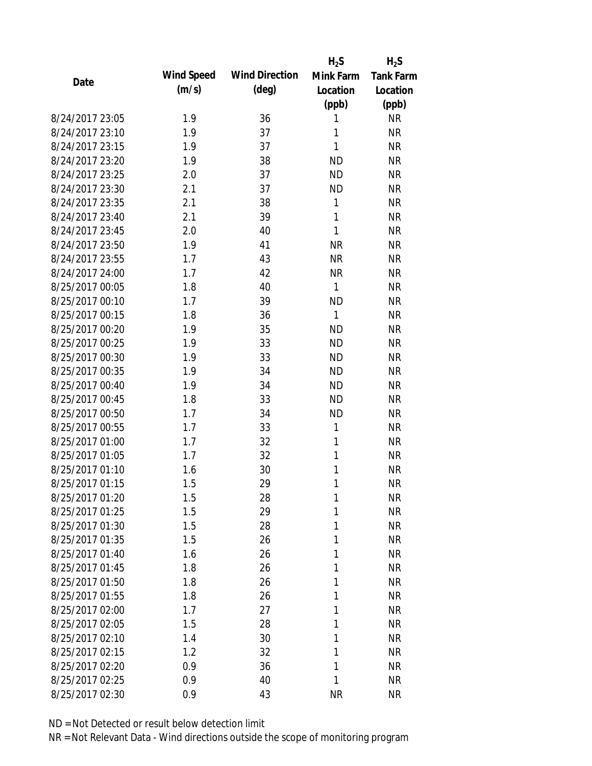|                 |            |                       | $H_2S$       | $H_2S$           |
|-----------------|------------|-----------------------|--------------|------------------|
|                 | Wind Speed | <b>Wind Direction</b> | Mink Farm    | <b>Tank Farm</b> |
| Date            | (m/s)      | $(\text{deg})$        | Location     | Location         |
|                 |            |                       | (ppb)        | (ppb)            |
| 8/24/2017 23:05 | 1.9        | 36                    | 1            | <b>NR</b>        |
| 8/24/2017 23:10 | 1.9        | 37                    | 1            | <b>NR</b>        |
| 8/24/2017 23:15 | 1.9        | 37                    | $\mathbf{1}$ | <b>NR</b>        |
| 8/24/2017 23:20 | 1.9        | 38                    | <b>ND</b>    | <b>NR</b>        |
| 8/24/2017 23:25 | 2.0        | 37                    | <b>ND</b>    | <b>NR</b>        |
| 8/24/2017 23:30 | 2.1        | 37                    | <b>ND</b>    | <b>NR</b>        |
| 8/24/2017 23:35 | 2.1        | 38                    | 1            | <b>NR</b>        |
| 8/24/2017 23:40 | 2.1        | 39                    | $\mathbf{1}$ | <b>NR</b>        |
| 8/24/2017 23:45 | 2.0        | 40                    | 1            | <b>NR</b>        |
| 8/24/2017 23:50 | 1.9        | 41                    | <b>NR</b>    | <b>NR</b>        |
| 8/24/2017 23:55 | 1.7        | 43                    | <b>NR</b>    | <b>NR</b>        |
| 8/24/2017 24:00 | 1.7        | 42                    | <b>NR</b>    | <b>NR</b>        |
| 8/25/2017 00:05 | 1.8        | 40                    | $\mathbf{1}$ | <b>NR</b>        |
| 8/25/2017 00:10 | 1.7        | 39                    | <b>ND</b>    | <b>NR</b>        |
| 8/25/2017 00:15 | 1.8        | 36                    | 1            | <b>NR</b>        |
| 8/25/2017 00:20 | 1.9        | 35                    | <b>ND</b>    | <b>NR</b>        |
| 8/25/2017 00:25 | 1.9        | 33                    | <b>ND</b>    | <b>NR</b>        |
| 8/25/2017 00:30 | 1.9        | 33                    | <b>ND</b>    | <b>NR</b>        |
| 8/25/2017 00:35 | 1.9        | 34                    | <b>ND</b>    | <b>NR</b>        |
| 8/25/2017 00:40 | 1.9        | 34                    | <b>ND</b>    | <b>NR</b>        |
| 8/25/2017 00:45 | 1.8        | 33                    | <b>ND</b>    | <b>NR</b>        |
| 8/25/2017 00:50 | 1.7        | 34                    | <b>ND</b>    | <b>NR</b>        |
| 8/25/2017 00:55 | 1.7        | 33                    | 1            | <b>NR</b>        |
| 8/25/2017 01:00 | 1.7        | 32                    | 1            | <b>NR</b>        |
| 8/25/2017 01:05 | 1.7        | 32                    | 1            | <b>NR</b>        |
| 8/25/2017 01:10 | 1.6        | 30                    | 1            | <b>NR</b>        |
| 8/25/2017 01:15 | 1.5        | 29                    | 1            | <b>NR</b>        |
| 8/25/2017 01:20 | 1.5        | 28                    | 1            | <b>NR</b>        |
| 8/25/2017 01:25 | 1.5        | 29                    | 1            | <b>NR</b>        |
| 8/25/2017 01:30 | 1.5        | 28                    | 1            | <b>NR</b>        |
| 8/25/2017 01:35 | 1.5        | 26                    | 1            | <b>NR</b>        |
| 8/25/2017 01:40 | 1.6        | 26                    | 1            | <b>NR</b>        |
| 8/25/2017 01:45 | 1.8        | 26                    | 1            | <b>NR</b>        |
| 8/25/2017 01:50 | 1.8        | 26                    | 1            | <b>NR</b>        |
| 8/25/2017 01:55 | 1.8        | 26                    | 1            | <b>NR</b>        |
| 8/25/2017 02:00 | 1.7        | 27                    | 1            | <b>NR</b>        |
| 8/25/2017 02:05 | 1.5        | 28                    | 1            | <b>NR</b>        |
| 8/25/2017 02:10 | 1.4        | 30                    | 1            | <b>NR</b>        |
| 8/25/2017 02:15 | 1.2        | 32                    | 1            | <b>NR</b>        |
| 8/25/2017 02:20 | 0.9        | 36                    | 1            | <b>NR</b>        |
| 8/25/2017 02:25 | 0.9        | 40                    | 1            | <b>NR</b>        |
| 8/25/2017 02:30 | 0.9        | 43                    | <b>NR</b>    | <b>NR</b>        |
|                 |            |                       |              |                  |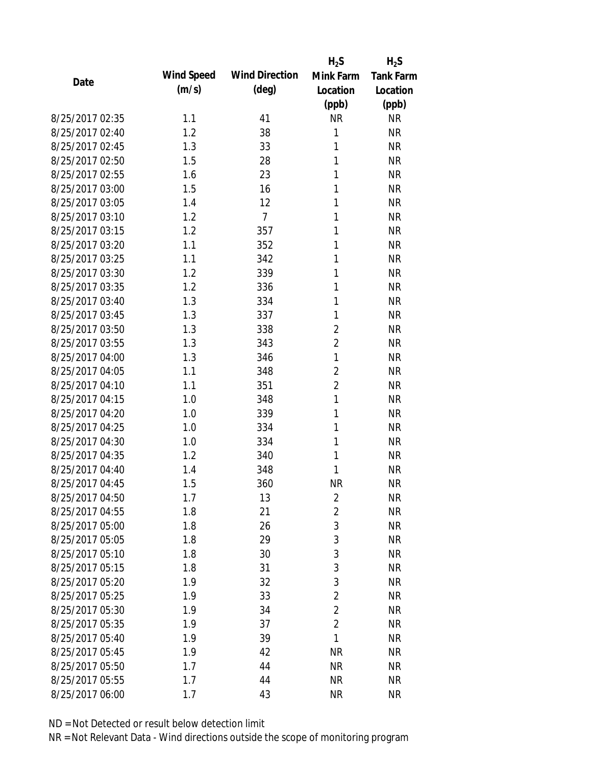|                 |            |                       | $H_2S$         | $H_2S$           |
|-----------------|------------|-----------------------|----------------|------------------|
| Date            | Wind Speed | <b>Wind Direction</b> | Mink Farm      | <b>Tank Farm</b> |
|                 | (m/s)      | $(\text{deg})$        | Location       | Location         |
|                 |            |                       | (ppb)          | (ppb)            |
| 8/25/2017 02:35 | 1.1        | 41                    | <b>NR</b>      | <b>NR</b>        |
| 8/25/2017 02:40 | 1.2        | 38                    | 1              | <b>NR</b>        |
| 8/25/2017 02:45 | 1.3        | 33                    | 1              | <b>NR</b>        |
| 8/25/2017 02:50 | 1.5        | 28                    | 1              | <b>NR</b>        |
| 8/25/2017 02:55 | 1.6        | 23                    | 1              | <b>NR</b>        |
| 8/25/2017 03:00 | 1.5        | 16                    | 1              | <b>NR</b>        |
| 8/25/2017 03:05 | 1.4        | 12                    | 1              | <b>NR</b>        |
| 8/25/2017 03:10 | 1.2        | $\overline{7}$        | 1              | <b>NR</b>        |
| 8/25/2017 03:15 | 1.2        | 357                   | 1              | <b>NR</b>        |
| 8/25/2017 03:20 | 1.1        | 352                   | 1              | <b>NR</b>        |
| 8/25/2017 03:25 | 1.1        | 342                   | 1              | <b>NR</b>        |
| 8/25/2017 03:30 | 1.2        | 339                   | 1              | <b>NR</b>        |
| 8/25/2017 03:35 | 1.2        | 336                   | 1              | <b>NR</b>        |
| 8/25/2017 03:40 | 1.3        | 334                   | 1              | <b>NR</b>        |
| 8/25/2017 03:45 | 1.3        | 337                   | 1              | <b>NR</b>        |
| 8/25/2017 03:50 | 1.3        | 338                   | $\overline{2}$ | <b>NR</b>        |
| 8/25/2017 03:55 | 1.3        | 343                   | $\overline{2}$ | <b>NR</b>        |
| 8/25/2017 04:00 | 1.3        | 346                   | $\mathbf{1}$   | <b>NR</b>        |
| 8/25/2017 04:05 | 1.1        | 348                   | $\overline{2}$ | <b>NR</b>        |
| 8/25/2017 04:10 | 1.1        | 351                   | $\overline{2}$ | <b>NR</b>        |
| 8/25/2017 04:15 | 1.0        | 348                   | $\mathbf{1}$   | <b>NR</b>        |
| 8/25/2017 04:20 | 1.0        | 339                   | 1              | <b>NR</b>        |
| 8/25/2017 04:25 | 1.0        | 334                   | 1              | <b>NR</b>        |
| 8/25/2017 04:30 | 1.0        | 334                   | 1              | <b>NR</b>        |
| 8/25/2017 04:35 | 1.2        | 340                   | 1              | <b>NR</b>        |
| 8/25/2017 04:40 | 1.4        | 348                   | 1              | <b>NR</b>        |
| 8/25/2017 04:45 | 1.5        | 360                   | <b>NR</b>      | <b>NR</b>        |
| 8/25/2017 04:50 | 1.7        | 13                    | $\overline{2}$ | <b>NR</b>        |
| 8/25/2017 04:55 | 1.8        | 21                    | $\overline{2}$ | <b>NR</b>        |
| 8/25/2017 05:00 | 1.8        | 26                    | $\mathfrak{Z}$ | <b>NR</b>        |
| 8/25/2017 05:05 | 1.8        | 29                    | $\mathfrak{Z}$ | <b>NR</b>        |
| 8/25/2017 05:10 | 1.8        | 30                    | $\mathfrak{Z}$ | <b>NR</b>        |
| 8/25/2017 05:15 | 1.8        | 31                    | $\mathfrak{Z}$ | <b>NR</b>        |
| 8/25/2017 05:20 | 1.9        | 32                    | 3              | <b>NR</b>        |
| 8/25/2017 05:25 | 1.9        | 33                    | $\overline{2}$ | <b>NR</b>        |
| 8/25/2017 05:30 | 1.9        | 34                    | $\overline{2}$ | <b>NR</b>        |
| 8/25/2017 05:35 | 1.9        | 37                    | $\overline{2}$ | <b>NR</b>        |
| 8/25/2017 05:40 | 1.9        | 39                    | 1              | <b>NR</b>        |
| 8/25/2017 05:45 | 1.9        | 42                    | <b>NR</b>      | <b>NR</b>        |
| 8/25/2017 05:50 | 1.7        | 44                    | <b>NR</b>      | <b>NR</b>        |
| 8/25/2017 05:55 | 1.7        | 44                    | <b>NR</b>      | <b>NR</b>        |
| 8/25/2017 06:00 | 1.7        | 43                    | <b>NR</b>      | <b>NR</b>        |
|                 |            |                       |                |                  |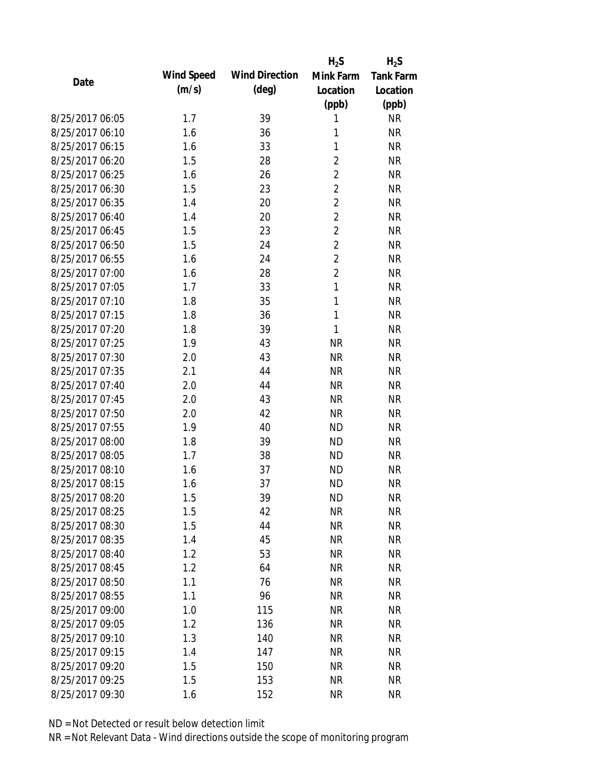|                 |            |                       | $H_2S$         | $H_2S$           |
|-----------------|------------|-----------------------|----------------|------------------|
| Date            | Wind Speed | <b>Wind Direction</b> | Mink Farm      | <b>Tank Farm</b> |
|                 | (m/s)      | $(\text{deg})$        | Location       | Location         |
|                 |            |                       | (ppb)          | (ppb)            |
| 8/25/2017 06:05 | 1.7        | 39                    | 1              | <b>NR</b>        |
| 8/25/2017 06:10 | 1.6        | 36                    | 1              | <b>NR</b>        |
| 8/25/2017 06:15 | 1.6        | 33                    | 1              | <b>NR</b>        |
| 8/25/2017 06:20 | 1.5        | 28                    | $\overline{2}$ | <b>NR</b>        |
| 8/25/2017 06:25 | 1.6        | 26                    | $\overline{c}$ | <b>NR</b>        |
| 8/25/2017 06:30 | 1.5        | 23                    | $\overline{2}$ | <b>NR</b>        |
| 8/25/2017 06:35 | 1.4        | 20                    | $\overline{2}$ | <b>NR</b>        |
| 8/25/2017 06:40 | 1.4        | 20                    | $\overline{2}$ | <b>NR</b>        |
| 8/25/2017 06:45 | 1.5        | 23                    | $\overline{2}$ | <b>NR</b>        |
| 8/25/2017 06:50 | 1.5        | 24                    | $\overline{2}$ | <b>NR</b>        |
| 8/25/2017 06:55 | 1.6        | 24                    | $\overline{2}$ | <b>NR</b>        |
| 8/25/2017 07:00 | 1.6        | 28                    | $\overline{2}$ | <b>NR</b>        |
| 8/25/2017 07:05 | 1.7        | 33                    | 1              | <b>NR</b>        |
| 8/25/2017 07:10 | 1.8        | 35                    | 1              | <b>NR</b>        |
| 8/25/2017 07:15 | 1.8        | 36                    | $\mathbf{1}$   | <b>NR</b>        |
| 8/25/2017 07:20 | 1.8        | 39                    | 1              | <b>NR</b>        |
| 8/25/2017 07:25 | 1.9        | 43                    | <b>NR</b>      | <b>NR</b>        |
| 8/25/2017 07:30 | 2.0        | 43                    | <b>NR</b>      | <b>NR</b>        |
| 8/25/2017 07:35 | 2.1        | 44                    | <b>NR</b>      | <b>NR</b>        |
| 8/25/2017 07:40 | 2.0        | 44                    | <b>NR</b>      | <b>NR</b>        |
| 8/25/2017 07:45 | 2.0        | 43                    | <b>NR</b>      | <b>NR</b>        |
| 8/25/2017 07:50 | 2.0        | 42                    | <b>NR</b>      | <b>NR</b>        |
| 8/25/2017 07:55 | 1.9        | 40                    | <b>ND</b>      | <b>NR</b>        |
| 8/25/2017 08:00 | 1.8        | 39                    | <b>ND</b>      | <b>NR</b>        |
| 8/25/2017 08:05 | 1.7        | 38                    | <b>ND</b>      | <b>NR</b>        |
| 8/25/2017 08:10 | 1.6        | 37                    | <b>ND</b>      | <b>NR</b>        |
| 8/25/2017 08:15 | 1.6        | 37                    | <b>ND</b>      | <b>NR</b>        |
| 8/25/2017 08:20 | 1.5        | 39                    | <b>ND</b>      | <b>NR</b>        |
| 8/25/2017 08:25 | 1.5        | 42                    | <b>NR</b>      | <b>NR</b>        |
| 8/25/2017 08:30 | 1.5        | 44                    | <b>NR</b>      | <b>NR</b>        |
| 8/25/2017 08:35 | 1.4        | 45                    | <b>NR</b>      | <b>NR</b>        |
| 8/25/2017 08:40 | 1.2        | 53                    | <b>NR</b>      | <b>NR</b>        |
| 8/25/2017 08:45 | 1.2        | 64                    | <b>NR</b>      | <b>NR</b>        |
| 8/25/2017 08:50 | 1.1        | 76                    | <b>NR</b>      | <b>NR</b>        |
| 8/25/2017 08:55 | 1.1        | 96                    | <b>NR</b>      | <b>NR</b>        |
| 8/25/2017 09:00 | 1.0        | 115                   | <b>NR</b>      | <b>NR</b>        |
| 8/25/2017 09:05 | 1.2        | 136                   | <b>NR</b>      | <b>NR</b>        |
| 8/25/2017 09:10 | 1.3        | 140                   | <b>NR</b>      | <b>NR</b>        |
| 8/25/2017 09:15 | 1.4        | 147                   | <b>NR</b>      | <b>NR</b>        |
| 8/25/2017 09:20 | 1.5        | 150                   | <b>NR</b>      | <b>NR</b>        |
| 8/25/2017 09:25 | 1.5        | 153                   | <b>NR</b>      | <b>NR</b>        |
| 8/25/2017 09:30 | 1.6        | 152                   | <b>NR</b>      | <b>NR</b>        |
|                 |            |                       |                |                  |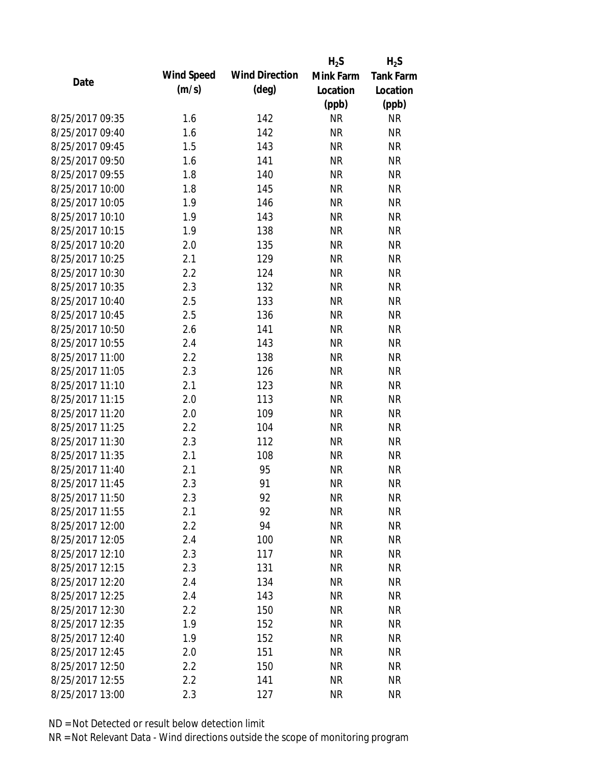|                 |            |                       | $H_2S$    | $H_2S$           |
|-----------------|------------|-----------------------|-----------|------------------|
| Date            | Wind Speed | <b>Wind Direction</b> | Mink Farm | <b>Tank Farm</b> |
|                 | (m/s)      | $(\text{deg})$        | Location  | Location         |
|                 |            |                       | (ppb)     | (ppb)            |
| 8/25/2017 09:35 | 1.6        | 142                   | <b>NR</b> | <b>NR</b>        |
| 8/25/2017 09:40 | 1.6        | 142                   | <b>NR</b> | <b>NR</b>        |
| 8/25/2017 09:45 | 1.5        | 143                   | <b>NR</b> | <b>NR</b>        |
| 8/25/2017 09:50 | 1.6        | 141                   | <b>NR</b> | <b>NR</b>        |
| 8/25/2017 09:55 | 1.8        | 140                   | <b>NR</b> | <b>NR</b>        |
| 8/25/2017 10:00 | 1.8        | 145                   | <b>NR</b> | <b>NR</b>        |
| 8/25/2017 10:05 | 1.9        | 146                   | <b>NR</b> | <b>NR</b>        |
| 8/25/2017 10:10 | 1.9        | 143                   | <b>NR</b> | <b>NR</b>        |
| 8/25/2017 10:15 | 1.9        | 138                   | <b>NR</b> | <b>NR</b>        |
| 8/25/2017 10:20 | 2.0        | 135                   | <b>NR</b> | <b>NR</b>        |
| 8/25/2017 10:25 | 2.1        | 129                   | <b>NR</b> | <b>NR</b>        |
| 8/25/2017 10:30 | 2.2        | 124                   | <b>NR</b> | <b>NR</b>        |
| 8/25/2017 10:35 | 2.3        | 132                   | <b>NR</b> | <b>NR</b>        |
| 8/25/2017 10:40 | 2.5        | 133                   | <b>NR</b> | <b>NR</b>        |
| 8/25/2017 10:45 | 2.5        | 136                   | <b>NR</b> | <b>NR</b>        |
| 8/25/2017 10:50 | 2.6        | 141                   | <b>NR</b> | <b>NR</b>        |
| 8/25/2017 10:55 | 2.4        | 143                   | <b>NR</b> | <b>NR</b>        |
| 8/25/2017 11:00 | 2.2        | 138                   | <b>NR</b> | <b>NR</b>        |
| 8/25/2017 11:05 | 2.3        | 126                   | <b>NR</b> | <b>NR</b>        |
| 8/25/2017 11:10 | 2.1        | 123                   | <b>NR</b> | <b>NR</b>        |
| 8/25/2017 11:15 | 2.0        | 113                   | <b>NR</b> | <b>NR</b>        |
| 8/25/2017 11:20 | 2.0        | 109                   | <b>NR</b> | <b>NR</b>        |
| 8/25/2017 11:25 | 2.2        | 104                   | <b>NR</b> | <b>NR</b>        |
| 8/25/2017 11:30 | 2.3        | 112                   | <b>NR</b> | <b>NR</b>        |
| 8/25/2017 11:35 | 2.1        | 108                   | <b>NR</b> | <b>NR</b>        |
| 8/25/2017 11:40 | 2.1        | 95                    | <b>NR</b> | <b>NR</b>        |
| 8/25/2017 11:45 | 2.3        | 91                    | <b>NR</b> | <b>NR</b>        |
| 8/25/2017 11:50 | 2.3        | 92                    | <b>NR</b> | <b>NR</b>        |
| 8/25/2017 11:55 | 2.1        | 92                    | <b>NR</b> | <b>NR</b>        |
| 8/25/2017 12:00 | 2.2        | 94                    | <b>NR</b> | <b>NR</b>        |
| 8/25/2017 12:05 | 2.4        | 100                   | <b>NR</b> | <b>NR</b>        |
| 8/25/2017 12:10 | 2.3        | 117                   | <b>NR</b> | <b>NR</b>        |
| 8/25/2017 12:15 | 2.3        | 131                   | <b>NR</b> | <b>NR</b>        |
| 8/25/2017 12:20 | 2.4        | 134                   | <b>NR</b> | <b>NR</b>        |
| 8/25/2017 12:25 | 2.4        | 143                   | <b>NR</b> | <b>NR</b>        |
| 8/25/2017 12:30 | 2.2        | 150                   | <b>NR</b> | <b>NR</b>        |
| 8/25/2017 12:35 | 1.9        | 152                   | <b>NR</b> | <b>NR</b>        |
| 8/25/2017 12:40 | 1.9        | 152                   | <b>NR</b> | <b>NR</b>        |
| 8/25/2017 12:45 | 2.0        | 151                   | <b>NR</b> | <b>NR</b>        |
| 8/25/2017 12:50 | 2.2        | 150                   | <b>NR</b> | <b>NR</b>        |
| 8/25/2017 12:55 | 2.2        | 141                   | <b>NR</b> | <b>NR</b>        |
|                 |            |                       |           |                  |
| 8/25/2017 13:00 | 2.3        | 127                   | <b>NR</b> | <b>NR</b>        |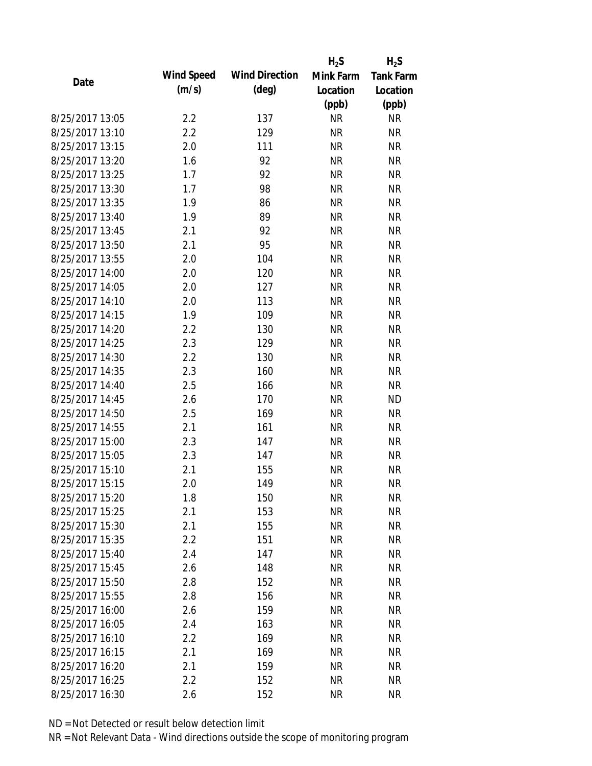|                 |            |                       | $H_2S$    | $H_2S$           |
|-----------------|------------|-----------------------|-----------|------------------|
| Date            | Wind Speed | <b>Wind Direction</b> | Mink Farm | <b>Tank Farm</b> |
|                 | (m/s)      | $(\text{deg})$        | Location  | Location         |
|                 |            |                       | (ppb)     | (ppb)            |
| 8/25/2017 13:05 | 2.2        | 137                   | <b>NR</b> | <b>NR</b>        |
| 8/25/2017 13:10 | 2.2        | 129                   | <b>NR</b> | <b>NR</b>        |
| 8/25/2017 13:15 | 2.0        | 111                   | <b>NR</b> | <b>NR</b>        |
| 8/25/2017 13:20 | 1.6        | 92                    | <b>NR</b> | <b>NR</b>        |
| 8/25/2017 13:25 | 1.7        | 92                    | <b>NR</b> | <b>NR</b>        |
| 8/25/2017 13:30 | 1.7        | 98                    | <b>NR</b> | <b>NR</b>        |
| 8/25/2017 13:35 | 1.9        | 86                    | <b>NR</b> | <b>NR</b>        |
| 8/25/2017 13:40 | 1.9        | 89                    | <b>NR</b> | <b>NR</b>        |
| 8/25/2017 13:45 | 2.1        | 92                    | <b>NR</b> | <b>NR</b>        |
| 8/25/2017 13:50 | 2.1        | 95                    | <b>NR</b> | <b>NR</b>        |
| 8/25/2017 13:55 | 2.0        | 104                   | <b>NR</b> | <b>NR</b>        |
| 8/25/2017 14:00 | 2.0        | 120                   | <b>NR</b> | <b>NR</b>        |
| 8/25/2017 14:05 | 2.0        | 127                   | <b>NR</b> | <b>NR</b>        |
| 8/25/2017 14:10 | 2.0        | 113                   | <b>NR</b> | <b>NR</b>        |
| 8/25/2017 14:15 | 1.9        | 109                   | <b>NR</b> | <b>NR</b>        |
| 8/25/2017 14:20 | 2.2        | 130                   | <b>NR</b> | <b>NR</b>        |
| 8/25/2017 14:25 | 2.3        | 129                   | <b>NR</b> | <b>NR</b>        |
| 8/25/2017 14:30 | 2.2        | 130                   | <b>NR</b> | <b>NR</b>        |
| 8/25/2017 14:35 | 2.3        | 160                   | <b>NR</b> | <b>NR</b>        |
| 8/25/2017 14:40 | 2.5        | 166                   | <b>NR</b> | <b>NR</b>        |
| 8/25/2017 14:45 | 2.6        | 170                   | <b>NR</b> | <b>ND</b>        |
| 8/25/2017 14:50 | 2.5        | 169                   | <b>NR</b> | <b>NR</b>        |
| 8/25/2017 14:55 | 2.1        | 161                   | <b>NR</b> | <b>NR</b>        |
| 8/25/2017 15:00 | 2.3        | 147                   | <b>NR</b> | <b>NR</b>        |
| 8/25/2017 15:05 | 2.3        | 147                   | <b>NR</b> | <b>NR</b>        |
| 8/25/2017 15:10 | 2.1        | 155                   | <b>NR</b> | <b>NR</b>        |
| 8/25/2017 15:15 | 2.0        | 149                   | <b>NR</b> | <b>NR</b>        |
| 8/25/2017 15:20 | 1.8        | 150                   | ΝR        | <b>NR</b>        |
| 8/25/2017 15:25 | 2.1        | 153                   | <b>NR</b> | <b>NR</b>        |
| 8/25/2017 15:30 | 2.1        | 155                   | <b>NR</b> | <b>NR</b>        |
| 8/25/2017 15:35 | 2.2        | 151                   | <b>NR</b> | <b>NR</b>        |
| 8/25/2017 15:40 | 2.4        | 147                   | <b>NR</b> | <b>NR</b>        |
| 8/25/2017 15:45 | 2.6        | 148                   | <b>NR</b> | <b>NR</b>        |
| 8/25/2017 15:50 | 2.8        | 152                   | <b>NR</b> | <b>NR</b>        |
| 8/25/2017 15:55 | 2.8        | 156                   | <b>NR</b> | <b>NR</b>        |
| 8/25/2017 16:00 | 2.6        | 159                   | <b>NR</b> | <b>NR</b>        |
| 8/25/2017 16:05 | 2.4        | 163                   | <b>NR</b> | <b>NR</b>        |
| 8/25/2017 16:10 | 2.2        | 169                   | <b>NR</b> | <b>NR</b>        |
| 8/25/2017 16:15 | 2.1        | 169                   | <b>NR</b> | <b>NR</b>        |
| 8/25/2017 16:20 | 2.1        | 159                   | ΝR        | <b>NR</b>        |
| 8/25/2017 16:25 | 2.2        | 152                   | <b>NR</b> | <b>NR</b>        |
| 8/25/2017 16:30 | 2.6        | 152                   | <b>NR</b> | <b>NR</b>        |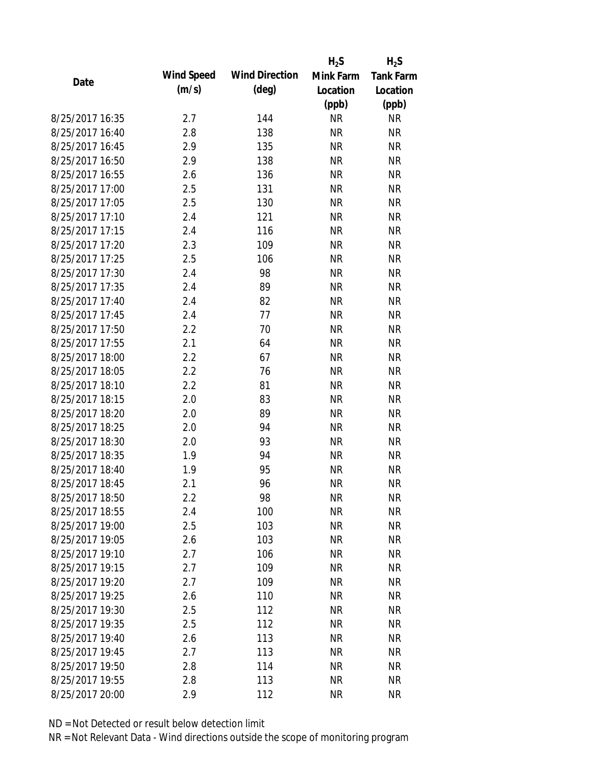|                 |            |                       | $H_2S$    | $H_2S$           |
|-----------------|------------|-----------------------|-----------|------------------|
| Date            | Wind Speed | <b>Wind Direction</b> | Mink Farm | <b>Tank Farm</b> |
|                 | (m/s)      | $(\text{deg})$        | Location  | Location         |
|                 |            |                       | (ppb)     | (ppb)            |
| 8/25/2017 16:35 | 2.7        | 144                   | <b>NR</b> | <b>NR</b>        |
| 8/25/2017 16:40 | 2.8        | 138                   | <b>NR</b> | <b>NR</b>        |
| 8/25/2017 16:45 | 2.9        | 135                   | <b>NR</b> | <b>NR</b>        |
| 8/25/2017 16:50 | 2.9        | 138                   | <b>NR</b> | <b>NR</b>        |
| 8/25/2017 16:55 | 2.6        | 136                   | <b>NR</b> | <b>NR</b>        |
| 8/25/2017 17:00 | 2.5        | 131                   | <b>NR</b> | <b>NR</b>        |
| 8/25/2017 17:05 | 2.5        | 130                   | <b>NR</b> | <b>NR</b>        |
| 8/25/2017 17:10 | 2.4        | 121                   | <b>NR</b> | <b>NR</b>        |
| 8/25/2017 17:15 | 2.4        | 116                   | <b>NR</b> | <b>NR</b>        |
| 8/25/2017 17:20 | 2.3        | 109                   | <b>NR</b> | <b>NR</b>        |
| 8/25/2017 17:25 | 2.5        | 106                   | <b>NR</b> | <b>NR</b>        |
| 8/25/2017 17:30 | 2.4        | 98                    | <b>NR</b> | <b>NR</b>        |
| 8/25/2017 17:35 | 2.4        | 89                    | <b>NR</b> | <b>NR</b>        |
| 8/25/2017 17:40 | 2.4        | 82                    | <b>NR</b> | <b>NR</b>        |
| 8/25/2017 17:45 | 2.4        | 77                    | <b>NR</b> | <b>NR</b>        |
| 8/25/2017 17:50 | 2.2        | 70                    | <b>NR</b> | <b>NR</b>        |
| 8/25/2017 17:55 | 2.1        | 64                    | <b>NR</b> | <b>NR</b>        |
| 8/25/2017 18:00 | 2.2        | 67                    | <b>NR</b> | <b>NR</b>        |
| 8/25/2017 18:05 | 2.2        | 76                    | <b>NR</b> | <b>NR</b>        |
| 8/25/2017 18:10 | 2.2        | 81                    | <b>NR</b> | <b>NR</b>        |
| 8/25/2017 18:15 | 2.0        | 83                    | <b>NR</b> | <b>NR</b>        |
| 8/25/2017 18:20 | 2.0        | 89                    | <b>NR</b> | <b>NR</b>        |
| 8/25/2017 18:25 | 2.0        | 94                    | <b>NR</b> | <b>NR</b>        |
| 8/25/2017 18:30 | 2.0        | 93                    | <b>NR</b> | <b>NR</b>        |
| 8/25/2017 18:35 | 1.9        | 94                    | <b>NR</b> | <b>NR</b>        |
| 8/25/2017 18:40 | 1.9        | 95                    | <b>NR</b> | <b>NR</b>        |
| 8/25/2017 18:45 | 2.1        | 96                    | <b>NR</b> | <b>NR</b>        |
| 8/25/2017 18:50 | 2.2        | 98                    | <b>NR</b> | <b>NR</b>        |
| 8/25/2017 18:55 | 2.4        | 100                   | <b>NR</b> | <b>NR</b>        |
| 8/25/2017 19:00 | 2.5        | 103                   | <b>NR</b> | <b>NR</b>        |
| 8/25/2017 19:05 | 2.6        | 103                   | <b>NR</b> | <b>NR</b>        |
| 8/25/2017 19:10 | 2.7        | 106                   | <b>NR</b> | <b>NR</b>        |
| 8/25/2017 19:15 | 2.7        | 109                   | <b>NR</b> | <b>NR</b>        |
| 8/25/2017 19:20 | 2.7        | 109                   | <b>NR</b> | <b>NR</b>        |
| 8/25/2017 19:25 | 2.6        | 110                   | <b>NR</b> | <b>NR</b>        |
| 8/25/2017 19:30 | 2.5        | 112                   | <b>NR</b> | <b>NR</b>        |
| 8/25/2017 19:35 | 2.5        | 112                   | <b>NR</b> | <b>NR</b>        |
| 8/25/2017 19:40 | 2.6        | 113                   | <b>NR</b> | <b>NR</b>        |
| 8/25/2017 19:45 | 2.7        | 113                   | <b>NR</b> | <b>NR</b>        |
| 8/25/2017 19:50 | 2.8        | 114                   | <b>NR</b> | <b>NR</b>        |
| 8/25/2017 19:55 | 2.8        | 113                   | <b>NR</b> | <b>NR</b>        |
| 8/25/2017 20:00 | 2.9        | 112                   | <b>NR</b> | <b>NR</b>        |
|                 |            |                       |           |                  |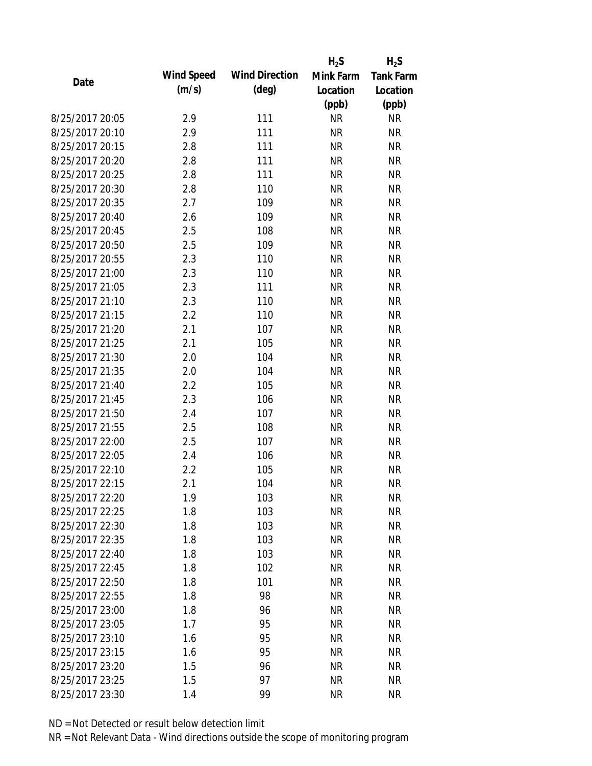|                 |            |                       | $H_2S$    | $H_2S$           |
|-----------------|------------|-----------------------|-----------|------------------|
| Date            | Wind Speed | <b>Wind Direction</b> | Mink Farm | <b>Tank Farm</b> |
|                 | (m/s)      | $(\text{deg})$        | Location  | Location         |
|                 |            |                       | (ppb)     | (ppb)            |
| 8/25/2017 20:05 | 2.9        | 111                   | <b>NR</b> | <b>NR</b>        |
| 8/25/2017 20:10 | 2.9        | 111                   | <b>NR</b> | <b>NR</b>        |
| 8/25/2017 20:15 | 2.8        | 111                   | <b>NR</b> | <b>NR</b>        |
| 8/25/2017 20:20 | 2.8        | 111                   | <b>NR</b> | <b>NR</b>        |
| 8/25/2017 20:25 | 2.8        | 111                   | <b>NR</b> | <b>NR</b>        |
| 8/25/2017 20:30 | 2.8        | 110                   | <b>NR</b> | <b>NR</b>        |
| 8/25/2017 20:35 | 2.7        | 109                   | <b>NR</b> | <b>NR</b>        |
| 8/25/2017 20:40 | 2.6        | 109                   | <b>NR</b> | <b>NR</b>        |
| 8/25/2017 20:45 | 2.5        | 108                   | <b>NR</b> | <b>NR</b>        |
| 8/25/2017 20:50 | 2.5        | 109                   | <b>NR</b> | <b>NR</b>        |
| 8/25/2017 20:55 | 2.3        | 110                   | <b>NR</b> | <b>NR</b>        |
| 8/25/2017 21:00 | 2.3        | 110                   | <b>NR</b> | <b>NR</b>        |
| 8/25/2017 21:05 | 2.3        | 111                   | <b>NR</b> | <b>NR</b>        |
| 8/25/2017 21:10 | 2.3        | 110                   | <b>NR</b> | <b>NR</b>        |
| 8/25/2017 21:15 | 2.2        | 110                   | <b>NR</b> | <b>NR</b>        |
| 8/25/2017 21:20 | 2.1        | 107                   | <b>NR</b> | <b>NR</b>        |
| 8/25/2017 21:25 | 2.1        | 105                   | <b>NR</b> | <b>NR</b>        |
| 8/25/2017 21:30 | 2.0        | 104                   | <b>NR</b> | <b>NR</b>        |
| 8/25/2017 21:35 | 2.0        | 104                   | <b>NR</b> | <b>NR</b>        |
| 8/25/2017 21:40 | 2.2        | 105                   | <b>NR</b> | <b>NR</b>        |
| 8/25/2017 21:45 | 2.3        | 106                   | <b>NR</b> | <b>NR</b>        |
| 8/25/2017 21:50 | 2.4        | 107                   | <b>NR</b> | <b>NR</b>        |
| 8/25/2017 21:55 | 2.5        | 108                   | <b>NR</b> | <b>NR</b>        |
| 8/25/2017 22:00 | 2.5        | 107                   | <b>NR</b> | <b>NR</b>        |
| 8/25/2017 22:05 | 2.4        | 106                   | <b>NR</b> | <b>NR</b>        |
| 8/25/2017 22:10 | 2.2        | 105                   | <b>NR</b> | <b>NR</b>        |
| 8/25/2017 22:15 | 2.1        | 104                   | <b>NR</b> | <b>NR</b>        |
| 8/25/2017 22:20 | 1.9        | 103                   | <b>NR</b> | <b>NR</b>        |
| 8/25/2017 22:25 | 1.8        | 103                   | <b>NR</b> | <b>NR</b>        |
| 8/25/2017 22:30 | 1.8        | 103                   | <b>NR</b> | <b>NR</b>        |
| 8/25/2017 22:35 | 1.8        | 103                   | <b>NR</b> | <b>NR</b>        |
| 8/25/2017 22:40 | 1.8        | 103                   | <b>NR</b> | <b>NR</b>        |
| 8/25/2017 22:45 | 1.8        | 102                   | <b>NR</b> | <b>NR</b>        |
| 8/25/2017 22:50 | 1.8        | 101                   | <b>NR</b> | <b>NR</b>        |
| 8/25/2017 22:55 | 1.8        | 98                    | <b>NR</b> | <b>NR</b>        |
| 8/25/2017 23:00 | 1.8        | 96                    | <b>NR</b> | <b>NR</b>        |
| 8/25/2017 23:05 | 1.7        | 95                    | <b>NR</b> | <b>NR</b>        |
| 8/25/2017 23:10 | 1.6        | 95                    | <b>NR</b> | <b>NR</b>        |
| 8/25/2017 23:15 | 1.6        | 95                    | <b>NR</b> | <b>NR</b>        |
| 8/25/2017 23:20 | 1.5        | 96                    | NR        | <b>NR</b>        |
| 8/25/2017 23:25 | 1.5        | 97                    | <b>NR</b> | <b>NR</b>        |
| 8/25/2017 23:30 | 1.4        | 99                    | <b>NR</b> | <b>NR</b>        |
|                 |            |                       |           |                  |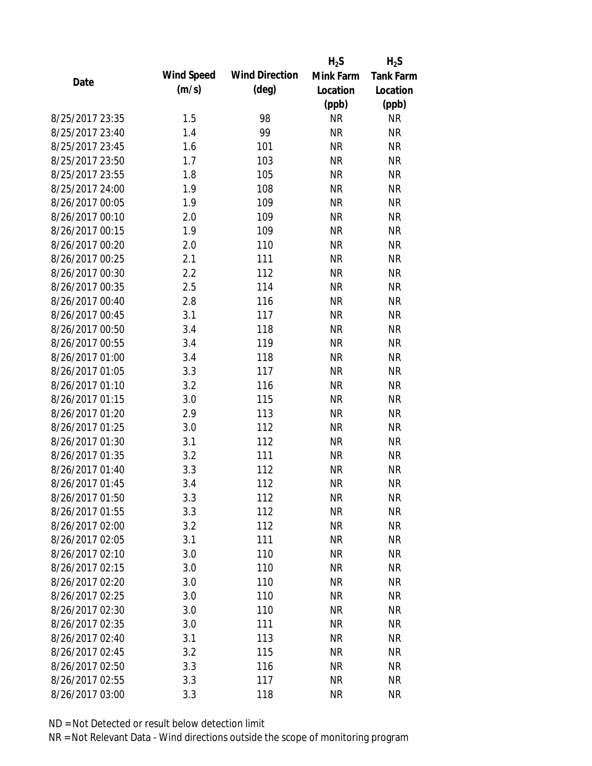|                 |            |                       | $H_2S$    | $H_2S$           |
|-----------------|------------|-----------------------|-----------|------------------|
| Date            | Wind Speed | <b>Wind Direction</b> | Mink Farm | <b>Tank Farm</b> |
|                 | (m/s)      | $(\text{deg})$        | Location  | Location         |
|                 |            |                       | (ppb)     | (ppb)            |
| 8/25/2017 23:35 | 1.5        | 98                    | <b>NR</b> | <b>NR</b>        |
| 8/25/2017 23:40 | 1.4        | 99                    | <b>NR</b> | <b>NR</b>        |
| 8/25/2017 23:45 | 1.6        | 101                   | <b>NR</b> | <b>NR</b>        |
| 8/25/2017 23:50 | 1.7        | 103                   | <b>NR</b> | <b>NR</b>        |
| 8/25/2017 23:55 | 1.8        | 105                   | <b>NR</b> | <b>NR</b>        |
| 8/25/2017 24:00 | 1.9        | 108                   | <b>NR</b> | <b>NR</b>        |
| 8/26/2017 00:05 | 1.9        | 109                   | <b>NR</b> | <b>NR</b>        |
| 8/26/2017 00:10 | 2.0        | 109                   | <b>NR</b> | <b>NR</b>        |
| 8/26/2017 00:15 | 1.9        | 109                   | <b>NR</b> | <b>NR</b>        |
| 8/26/2017 00:20 | 2.0        | 110                   | <b>NR</b> | <b>NR</b>        |
| 8/26/2017 00:25 | 2.1        | 111                   | <b>NR</b> | <b>NR</b>        |
| 8/26/2017 00:30 | 2.2        | 112                   | <b>NR</b> | <b>NR</b>        |
| 8/26/2017 00:35 | 2.5        | 114                   | <b>NR</b> | <b>NR</b>        |
| 8/26/2017 00:40 | 2.8        | 116                   | <b>NR</b> | <b>NR</b>        |
| 8/26/2017 00:45 | 3.1        | 117                   | <b>NR</b> | <b>NR</b>        |
| 8/26/2017 00:50 | 3.4        | 118                   | <b>NR</b> | <b>NR</b>        |
| 8/26/2017 00:55 | 3.4        | 119                   | <b>NR</b> | <b>NR</b>        |
| 8/26/2017 01:00 | 3.4        | 118                   | <b>NR</b> | <b>NR</b>        |
| 8/26/2017 01:05 | 3.3        | 117                   | <b>NR</b> | <b>NR</b>        |
| 8/26/2017 01:10 | 3.2        | 116                   | <b>NR</b> | <b>NR</b>        |
| 8/26/2017 01:15 | 3.0        | 115                   | <b>NR</b> | <b>NR</b>        |
| 8/26/2017 01:20 | 2.9        | 113                   | <b>NR</b> | <b>NR</b>        |
| 8/26/2017 01:25 | 3.0        | 112                   | <b>NR</b> | <b>NR</b>        |
| 8/26/2017 01:30 | 3.1        | 112                   | <b>NR</b> | <b>NR</b>        |
| 8/26/2017 01:35 | 3.2        | 111                   | <b>NR</b> | <b>NR</b>        |
| 8/26/2017 01:40 | 3.3        | 112                   | <b>NR</b> | <b>NR</b>        |
| 8/26/2017 01:45 | 3.4        | 112                   | <b>NR</b> | <b>NR</b>        |
| 8/26/2017 01:50 | 3.3        | 112                   | <b>NR</b> | <b>NR</b>        |
| 8/26/2017 01:55 | 3.3        | 112                   | <b>NR</b> | <b>NR</b>        |
| 8/26/2017 02:00 | 3.2        | 112                   | <b>NR</b> | <b>NR</b>        |
| 8/26/2017 02:05 | 3.1        | 111                   | <b>NR</b> | <b>NR</b>        |
| 8/26/2017 02:10 | 3.0        | 110                   | <b>NR</b> | <b>NR</b>        |
| 8/26/2017 02:15 | 3.0        | 110                   | <b>NR</b> | <b>NR</b>        |
| 8/26/2017 02:20 | 3.0        | 110                   | <b>NR</b> | <b>NR</b>        |
| 8/26/2017 02:25 | 3.0        | 110                   | <b>NR</b> | <b>NR</b>        |
| 8/26/2017 02:30 | 3.0        | 110                   | <b>NR</b> | <b>NR</b>        |
| 8/26/2017 02:35 | 3.0        | 111                   | <b>NR</b> | <b>NR</b>        |
| 8/26/2017 02:40 | 3.1        | 113                   | <b>NR</b> | <b>NR</b>        |
| 8/26/2017 02:45 | 3.2        | 115                   | <b>NR</b> | <b>NR</b>        |
| 8/26/2017 02:50 | 3.3        | 116                   | NR        | <b>NR</b>        |
| 8/26/2017 02:55 | 3.3        | 117                   | <b>NR</b> | <b>NR</b>        |
| 8/26/2017 03:00 | 3.3        | 118                   | <b>NR</b> | <b>NR</b>        |
|                 |            |                       |           |                  |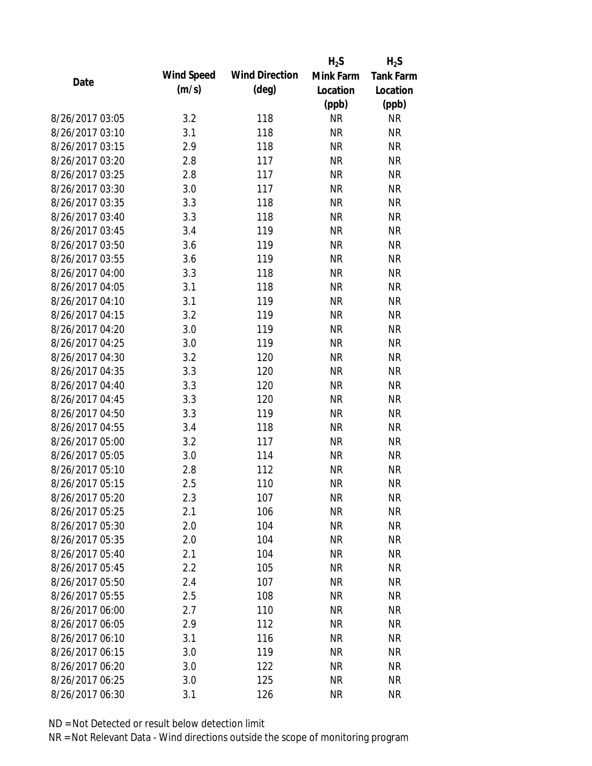|                 |            |                       | $H_2S$    | $H_2S$           |
|-----------------|------------|-----------------------|-----------|------------------|
| Date            | Wind Speed | <b>Wind Direction</b> | Mink Farm | <b>Tank Farm</b> |
|                 | (m/s)      | $(\text{deg})$        | Location  | Location         |
|                 |            |                       | (ppb)     | (ppb)            |
| 8/26/2017 03:05 | 3.2        | 118                   | <b>NR</b> | <b>NR</b>        |
| 8/26/2017 03:10 | 3.1        | 118                   | <b>NR</b> | <b>NR</b>        |
| 8/26/2017 03:15 | 2.9        | 118                   | <b>NR</b> | <b>NR</b>        |
| 8/26/2017 03:20 | 2.8        | 117                   | <b>NR</b> | <b>NR</b>        |
| 8/26/2017 03:25 | 2.8        | 117                   | <b>NR</b> | <b>NR</b>        |
| 8/26/2017 03:30 | 3.0        | 117                   | <b>NR</b> | <b>NR</b>        |
| 8/26/2017 03:35 | 3.3        | 118                   | <b>NR</b> | <b>NR</b>        |
| 8/26/2017 03:40 | 3.3        | 118                   | <b>NR</b> | <b>NR</b>        |
| 8/26/2017 03:45 | 3.4        | 119                   | <b>NR</b> | <b>NR</b>        |
| 8/26/2017 03:50 | 3.6        | 119                   | <b>NR</b> | <b>NR</b>        |
| 8/26/2017 03:55 | 3.6        | 119                   | <b>NR</b> | <b>NR</b>        |
| 8/26/2017 04:00 | 3.3        | 118                   | <b>NR</b> | <b>NR</b>        |
| 8/26/2017 04:05 | 3.1        | 118                   | <b>NR</b> | <b>NR</b>        |
| 8/26/2017 04:10 | 3.1        | 119                   | <b>NR</b> | <b>NR</b>        |
| 8/26/2017 04:15 | 3.2        | 119                   | <b>NR</b> | <b>NR</b>        |
| 8/26/2017 04:20 | 3.0        | 119                   | <b>NR</b> | <b>NR</b>        |
| 8/26/2017 04:25 | 3.0        | 119                   | <b>NR</b> | <b>NR</b>        |
| 8/26/2017 04:30 | 3.2        | 120                   | <b>NR</b> | <b>NR</b>        |
| 8/26/2017 04:35 | 3.3        | 120                   | <b>NR</b> | <b>NR</b>        |
| 8/26/2017 04:40 | 3.3        | 120                   | <b>NR</b> | <b>NR</b>        |
| 8/26/2017 04:45 | 3.3        | 120                   | <b>NR</b> | <b>NR</b>        |
| 8/26/2017 04:50 | 3.3        | 119                   | <b>NR</b> | <b>NR</b>        |
| 8/26/2017 04:55 | 3.4        | 118                   | <b>NR</b> | <b>NR</b>        |
| 8/26/2017 05:00 | 3.2        | 117                   | <b>NR</b> | <b>NR</b>        |
| 8/26/2017 05:05 | 3.0        | 114                   | <b>NR</b> | <b>NR</b>        |
| 8/26/2017 05:10 | 2.8        | 112                   | <b>NR</b> | <b>NR</b>        |
| 8/26/2017 05:15 | 2.5        | 110                   | <b>NR</b> | <b>NR</b>        |
| 8/26/2017 05:20 | 2.3        | 107                   | <b>NR</b> | <b>NR</b>        |
| 8/26/2017 05:25 | 2.1        | 106                   | <b>NR</b> | <b>NR</b>        |
| 8/26/2017 05:30 | 2.0        | 104                   | <b>NR</b> | <b>NR</b>        |
| 8/26/2017 05:35 | 2.0        | 104                   | <b>NR</b> | <b>NR</b>        |
| 8/26/2017 05:40 | 2.1        | 104                   | <b>NR</b> | <b>NR</b>        |
| 8/26/2017 05:45 | 2.2        | 105                   | <b>NR</b> | <b>NR</b>        |
| 8/26/2017 05:50 | 2.4        | 107                   | <b>NR</b> | <b>NR</b>        |
| 8/26/2017 05:55 | 2.5        | 108                   | <b>NR</b> | <b>NR</b>        |
| 8/26/2017 06:00 | 2.7        | 110                   | <b>NR</b> | <b>NR</b>        |
| 8/26/2017 06:05 | 2.9        | 112                   | <b>NR</b> | <b>NR</b>        |
| 8/26/2017 06:10 | 3.1        | 116                   | <b>NR</b> | <b>NR</b>        |
| 8/26/2017 06:15 | 3.0        | 119                   | <b>NR</b> | <b>NR</b>        |
| 8/26/2017 06:20 | 3.0        | 122                   | ΝR        | <b>NR</b>        |
| 8/26/2017 06:25 | 3.0        | 125                   | <b>NR</b> | <b>NR</b>        |
| 8/26/2017 06:30 |            |                       |           | <b>NR</b>        |
|                 | 3.1        | 126                   | <b>NR</b> |                  |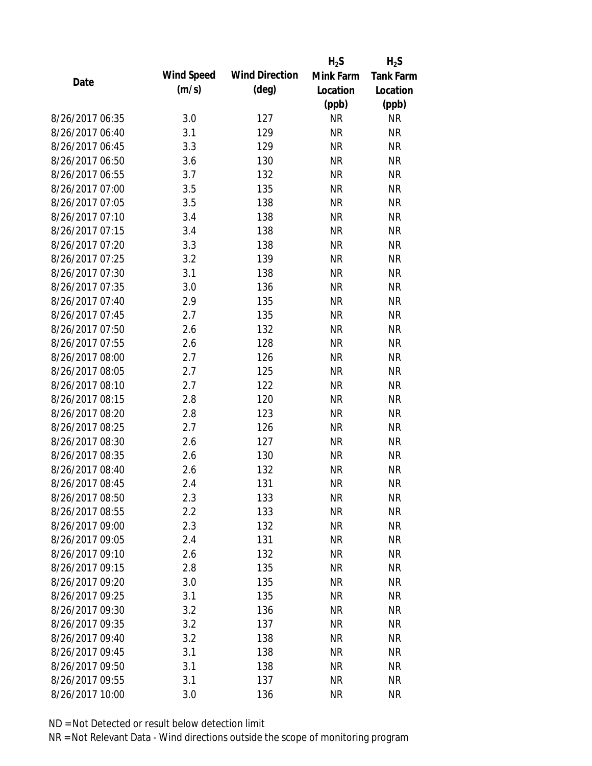|                 |            |                       | $H_2S$    | $H_2S$           |
|-----------------|------------|-----------------------|-----------|------------------|
| Date            | Wind Speed | <b>Wind Direction</b> | Mink Farm | <b>Tank Farm</b> |
|                 | (m/s)      | $(\text{deg})$        | Location  | Location         |
|                 |            |                       | (ppb)     | (ppb)            |
| 8/26/2017 06:35 | 3.0        | 127                   | <b>NR</b> | <b>NR</b>        |
| 8/26/2017 06:40 | 3.1        | 129                   | <b>NR</b> | <b>NR</b>        |
| 8/26/2017 06:45 | 3.3        | 129                   | <b>NR</b> | <b>NR</b>        |
| 8/26/2017 06:50 | 3.6        | 130                   | <b>NR</b> | <b>NR</b>        |
| 8/26/2017 06:55 | 3.7        | 132                   | <b>NR</b> | <b>NR</b>        |
| 8/26/2017 07:00 | 3.5        | 135                   | <b>NR</b> | <b>NR</b>        |
| 8/26/2017 07:05 | 3.5        | 138                   | <b>NR</b> | <b>NR</b>        |
| 8/26/2017 07:10 | 3.4        | 138                   | <b>NR</b> | <b>NR</b>        |
| 8/26/2017 07:15 | 3.4        | 138                   | <b>NR</b> | <b>NR</b>        |
| 8/26/2017 07:20 | 3.3        | 138                   | <b>NR</b> | <b>NR</b>        |
| 8/26/2017 07:25 | 3.2        | 139                   | <b>NR</b> | <b>NR</b>        |
| 8/26/2017 07:30 | 3.1        | 138                   | <b>NR</b> | <b>NR</b>        |
| 8/26/2017 07:35 | 3.0        | 136                   | <b>NR</b> | <b>NR</b>        |
| 8/26/2017 07:40 | 2.9        | 135                   | <b>NR</b> | <b>NR</b>        |
| 8/26/2017 07:45 | 2.7        | 135                   | <b>NR</b> | <b>NR</b>        |
| 8/26/2017 07:50 | 2.6        | 132                   | <b>NR</b> | <b>NR</b>        |
| 8/26/2017 07:55 | 2.6        | 128                   | <b>NR</b> | <b>NR</b>        |
| 8/26/2017 08:00 | 2.7        | 126                   | <b>NR</b> | <b>NR</b>        |
| 8/26/2017 08:05 | 2.7        | 125                   | <b>NR</b> | <b>NR</b>        |
| 8/26/2017 08:10 | 2.7        | 122                   | <b>NR</b> | <b>NR</b>        |
| 8/26/2017 08:15 | 2.8        | 120                   | <b>NR</b> | <b>NR</b>        |
| 8/26/2017 08:20 | 2.8        | 123                   | <b>NR</b> | <b>NR</b>        |
| 8/26/2017 08:25 | 2.7        | 126                   | <b>NR</b> | <b>NR</b>        |
| 8/26/2017 08:30 | 2.6        | 127                   | <b>NR</b> | <b>NR</b>        |
| 8/26/2017 08:35 | 2.6        | 130                   | <b>NR</b> | <b>NR</b>        |
| 8/26/2017 08:40 | 2.6        | 132                   | <b>NR</b> | <b>NR</b>        |
| 8/26/2017 08:45 | 2.4        | 131                   | <b>NR</b> | <b>NR</b>        |
| 8/26/2017 08:50 | 2.3        | 133                   | <b>NR</b> | <b>NR</b>        |
| 8/26/2017 08:55 | 2.2        | 133                   | <b>NR</b> | <b>NR</b>        |
| 8/26/2017 09:00 | 2.3        | 132                   | <b>NR</b> | <b>NR</b>        |
| 8/26/2017 09:05 | 2.4        | 131                   | <b>NR</b> | <b>NR</b>        |
| 8/26/2017 09:10 | 2.6        | 132                   | <b>NR</b> | <b>NR</b>        |
| 8/26/2017 09:15 | 2.8        | 135                   | <b>NR</b> | <b>NR</b>        |
| 8/26/2017 09:20 | 3.0        | 135                   | <b>NR</b> | <b>NR</b>        |
| 8/26/2017 09:25 | 3.1        | 135                   | <b>NR</b> | <b>NR</b>        |
| 8/26/2017 09:30 | 3.2        | 136                   | <b>NR</b> | <b>NR</b>        |
| 8/26/2017 09:35 | 3.2        | 137                   | <b>NR</b> | <b>NR</b>        |
| 8/26/2017 09:40 | 3.2        | 138                   | <b>NR</b> | <b>NR</b>        |
| 8/26/2017 09:45 | 3.1        | 138                   | <b>NR</b> | <b>NR</b>        |
| 8/26/2017 09:50 | 3.1        | 138                   | NR        | <b>NR</b>        |
| 8/26/2017 09:55 | 3.1        | 137                   | <b>NR</b> | <b>NR</b>        |
| 8/26/2017 10:00 | 3.0        | 136                   | <b>NR</b> | <b>NR</b>        |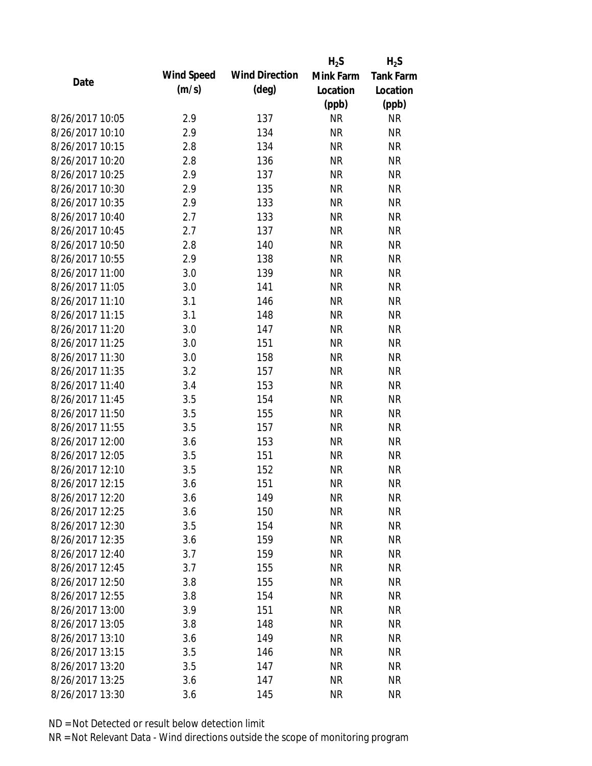|                 |            |                       | $H_2S$    | $H_2S$           |
|-----------------|------------|-----------------------|-----------|------------------|
| Date            | Wind Speed | <b>Wind Direction</b> | Mink Farm | <b>Tank Farm</b> |
|                 | (m/s)      | $(\text{deg})$        | Location  | Location         |
|                 |            |                       | (ppb)     | (ppb)            |
| 8/26/2017 10:05 | 2.9        | 137                   | <b>NR</b> | <b>NR</b>        |
| 8/26/2017 10:10 | 2.9        | 134                   | <b>NR</b> | <b>NR</b>        |
| 8/26/2017 10:15 | 2.8        | 134                   | <b>NR</b> | <b>NR</b>        |
| 8/26/2017 10:20 | 2.8        | 136                   | <b>NR</b> | <b>NR</b>        |
| 8/26/2017 10:25 | 2.9        | 137                   | <b>NR</b> | <b>NR</b>        |
| 8/26/2017 10:30 | 2.9        | 135                   | <b>NR</b> | <b>NR</b>        |
| 8/26/2017 10:35 | 2.9        | 133                   | <b>NR</b> | <b>NR</b>        |
| 8/26/2017 10:40 | 2.7        | 133                   | <b>NR</b> | <b>NR</b>        |
| 8/26/2017 10:45 | 2.7        | 137                   | <b>NR</b> | <b>NR</b>        |
| 8/26/2017 10:50 | 2.8        | 140                   | <b>NR</b> | <b>NR</b>        |
| 8/26/2017 10:55 | 2.9        | 138                   | <b>NR</b> | <b>NR</b>        |
| 8/26/2017 11:00 | 3.0        | 139                   | <b>NR</b> | <b>NR</b>        |
| 8/26/2017 11:05 | 3.0        | 141                   | <b>NR</b> | <b>NR</b>        |
| 8/26/2017 11:10 | 3.1        | 146                   | <b>NR</b> | <b>NR</b>        |
| 8/26/2017 11:15 | 3.1        | 148                   | <b>NR</b> | <b>NR</b>        |
| 8/26/2017 11:20 | 3.0        | 147                   | <b>NR</b> | <b>NR</b>        |
| 8/26/2017 11:25 | 3.0        | 151                   | <b>NR</b> | <b>NR</b>        |
| 8/26/2017 11:30 | 3.0        | 158                   | <b>NR</b> | <b>NR</b>        |
| 8/26/2017 11:35 | 3.2        | 157                   | <b>NR</b> | <b>NR</b>        |
| 8/26/2017 11:40 | 3.4        | 153                   | <b>NR</b> | <b>NR</b>        |
| 8/26/2017 11:45 | 3.5        | 154                   | <b>NR</b> | <b>NR</b>        |
| 8/26/2017 11:50 | 3.5        | 155                   | <b>NR</b> | <b>NR</b>        |
| 8/26/2017 11:55 | 3.5        | 157                   | <b>NR</b> | <b>NR</b>        |
| 8/26/2017 12:00 | 3.6        | 153                   | <b>NR</b> | <b>NR</b>        |
| 8/26/2017 12:05 | 3.5        | 151                   | <b>NR</b> | <b>NR</b>        |
| 8/26/2017 12:10 | 3.5        | 152                   | <b>NR</b> | <b>NR</b>        |
| 8/26/2017 12:15 | 3.6        | 151                   | <b>NR</b> | <b>NR</b>        |
| 8/26/2017 12:20 | 3.6        | 149                   | <b>NR</b> | <b>NR</b>        |
| 8/26/2017 12:25 | 3.6        | 150                   | <b>NR</b> | <b>NR</b>        |
| 8/26/2017 12:30 | 3.5        | 154                   | <b>NR</b> | <b>NR</b>        |
| 8/26/2017 12:35 | 3.6        | 159                   | <b>NR</b> | <b>NR</b>        |
| 8/26/2017 12:40 | 3.7        | 159                   | <b>NR</b> | <b>NR</b>        |
| 8/26/2017 12:45 | 3.7        | 155                   | <b>NR</b> | <b>NR</b>        |
| 8/26/2017 12:50 | 3.8        | 155                   | <b>NR</b> | <b>NR</b>        |
| 8/26/2017 12:55 | 3.8        | 154                   | <b>NR</b> | <b>NR</b>        |
| 8/26/2017 13:00 | 3.9        | 151                   | <b>NR</b> | <b>NR</b>        |
| 8/26/2017 13:05 | 3.8        | 148                   | <b>NR</b> | <b>NR</b>        |
| 8/26/2017 13:10 | 3.6        | 149                   | <b>NR</b> | <b>NR</b>        |
| 8/26/2017 13:15 | 3.5        | 146                   | <b>NR</b> | <b>NR</b>        |
| 8/26/2017 13:20 | 3.5        | 147                   | NR        | <b>NR</b>        |
| 8/26/2017 13:25 | 3.6        | 147                   | <b>NR</b> | <b>NR</b>        |
| 8/26/2017 13:30 | 3.6        | 145                   | <b>NR</b> | <b>NR</b>        |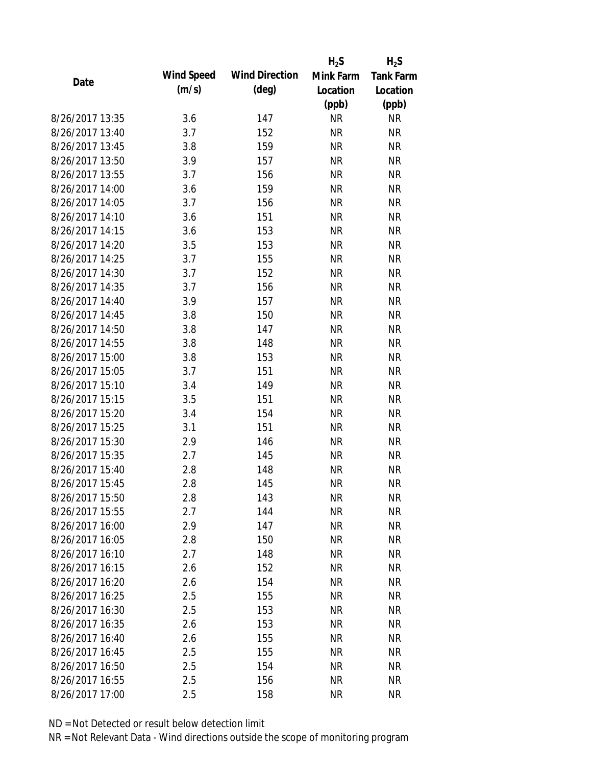|                 |            |                       | $H_2S$    | $H_2S$           |
|-----------------|------------|-----------------------|-----------|------------------|
| Date            | Wind Speed | <b>Wind Direction</b> | Mink Farm | <b>Tank Farm</b> |
|                 | (m/s)      | $(\text{deg})$        | Location  | Location         |
|                 |            |                       | (ppb)     | (ppb)            |
| 8/26/2017 13:35 | 3.6        | 147                   | <b>NR</b> | <b>NR</b>        |
| 8/26/2017 13:40 | 3.7        | 152                   | <b>NR</b> | <b>NR</b>        |
| 8/26/2017 13:45 | 3.8        | 159                   | <b>NR</b> | <b>NR</b>        |
| 8/26/2017 13:50 | 3.9        | 157                   | <b>NR</b> | <b>NR</b>        |
| 8/26/2017 13:55 | 3.7        | 156                   | <b>NR</b> | <b>NR</b>        |
| 8/26/2017 14:00 | 3.6        | 159                   | <b>NR</b> | <b>NR</b>        |
| 8/26/2017 14:05 | 3.7        | 156                   | <b>NR</b> | <b>NR</b>        |
| 8/26/2017 14:10 | 3.6        | 151                   | <b>NR</b> | <b>NR</b>        |
| 8/26/2017 14:15 | 3.6        | 153                   | <b>NR</b> | <b>NR</b>        |
| 8/26/2017 14:20 | 3.5        | 153                   | <b>NR</b> | <b>NR</b>        |
| 8/26/2017 14:25 | 3.7        | 155                   | <b>NR</b> | <b>NR</b>        |
| 8/26/2017 14:30 | 3.7        | 152                   | <b>NR</b> | <b>NR</b>        |
| 8/26/2017 14:35 | 3.7        | 156                   | <b>NR</b> | <b>NR</b>        |
| 8/26/2017 14:40 | 3.9        | 157                   | <b>NR</b> | <b>NR</b>        |
| 8/26/2017 14:45 | 3.8        | 150                   | <b>NR</b> | <b>NR</b>        |
| 8/26/2017 14:50 | 3.8        | 147                   | <b>NR</b> | <b>NR</b>        |
| 8/26/2017 14:55 | 3.8        | 148                   | <b>NR</b> | <b>NR</b>        |
| 8/26/2017 15:00 | 3.8        | 153                   | <b>NR</b> | <b>NR</b>        |
| 8/26/2017 15:05 | 3.7        | 151                   | <b>NR</b> | <b>NR</b>        |
| 8/26/2017 15:10 | 3.4        | 149                   | <b>NR</b> | <b>NR</b>        |
| 8/26/2017 15:15 | 3.5        | 151                   | <b>NR</b> | <b>NR</b>        |
| 8/26/2017 15:20 | 3.4        | 154                   | <b>NR</b> | <b>NR</b>        |
| 8/26/2017 15:25 | 3.1        | 151                   | <b>NR</b> | <b>NR</b>        |
| 8/26/2017 15:30 | 2.9        | 146                   | <b>NR</b> | <b>NR</b>        |
| 8/26/2017 15:35 | 2.7        | 145                   | <b>NR</b> | <b>NR</b>        |
| 8/26/2017 15:40 | 2.8        | 148                   | <b>NR</b> | <b>NR</b>        |
| 8/26/2017 15:45 | 2.8        | 145                   | <b>NR</b> | <b>NR</b>        |
| 8/26/2017 15:50 | 2.8        | 143                   | <b>NR</b> | <b>NR</b>        |
| 8/26/2017 15:55 | 2.7        | 144                   | <b>NR</b> | <b>NR</b>        |
| 8/26/2017 16:00 | 2.9        | 147                   | <b>NR</b> | <b>NR</b>        |
| 8/26/2017 16:05 | 2.8        | 150                   | <b>NR</b> | <b>NR</b>        |
| 8/26/2017 16:10 | 2.7        | 148                   | <b>NR</b> | <b>NR</b>        |
| 8/26/2017 16:15 | 2.6        | 152                   | <b>NR</b> | <b>NR</b>        |
| 8/26/2017 16:20 | 2.6        | 154                   | <b>NR</b> | <b>NR</b>        |
| 8/26/2017 16:25 | 2.5        | 155                   | NR        | <b>NR</b>        |
| 8/26/2017 16:30 | 2.5        | 153                   | <b>NR</b> | <b>NR</b>        |
| 8/26/2017 16:35 | 2.6        | 153                   | <b>NR</b> | <b>NR</b>        |
| 8/26/2017 16:40 | 2.6        | 155                   | NR        | <b>NR</b>        |
| 8/26/2017 16:45 | 2.5        | 155                   | <b>NR</b> | <b>NR</b>        |
| 8/26/2017 16:50 | 2.5        | 154                   | ΝR        | <b>NR</b>        |
| 8/26/2017 16:55 | 2.5        | 156                   | <b>NR</b> | <b>NR</b>        |
| 8/26/2017 17:00 | 2.5        | 158                   | <b>NR</b> | <b>NR</b>        |
|                 |            |                       |           |                  |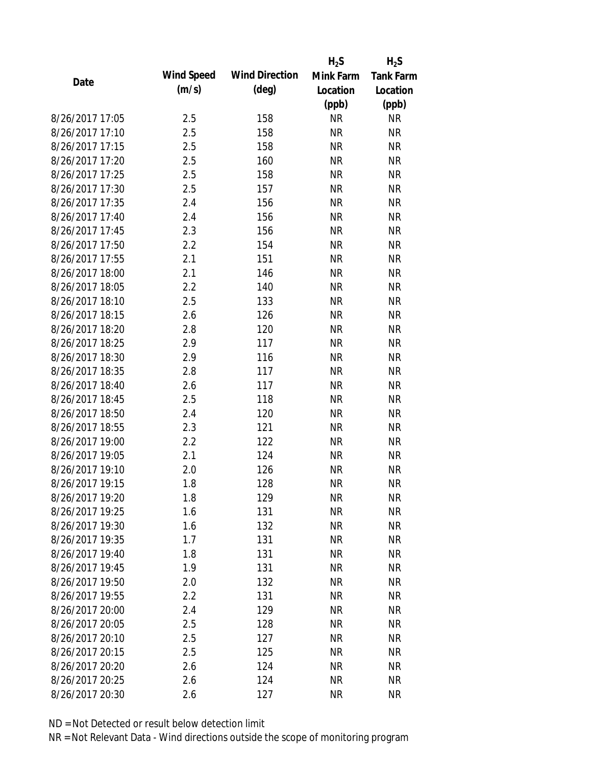|                 |                   |                       | $H_2S$    | $H_2S$           |
|-----------------|-------------------|-----------------------|-----------|------------------|
| Date            | <b>Wind Speed</b> | <b>Wind Direction</b> | Mink Farm | <b>Tank Farm</b> |
|                 | (m/s)             | $(\text{deg})$        | Location  | Location         |
|                 |                   |                       | (ppb)     | (ppb)            |
| 8/26/2017 17:05 | 2.5               | 158                   | <b>NR</b> | <b>NR</b>        |
| 8/26/2017 17:10 | 2.5               | 158                   | <b>NR</b> | <b>NR</b>        |
| 8/26/2017 17:15 | 2.5               | 158                   | <b>NR</b> | <b>NR</b>        |
| 8/26/2017 17:20 | 2.5               | 160                   | <b>NR</b> | <b>NR</b>        |
| 8/26/2017 17:25 | 2.5               | 158                   | <b>NR</b> | <b>NR</b>        |
| 8/26/2017 17:30 | 2.5               | 157                   | <b>NR</b> | <b>NR</b>        |
| 8/26/2017 17:35 | 2.4               | 156                   | <b>NR</b> | <b>NR</b>        |
| 8/26/2017 17:40 | 2.4               | 156                   | <b>NR</b> | <b>NR</b>        |
| 8/26/2017 17:45 | 2.3               | 156                   | <b>NR</b> | <b>NR</b>        |
| 8/26/2017 17:50 | 2.2               | 154                   | <b>NR</b> | <b>NR</b>        |
| 8/26/2017 17:55 | 2.1               | 151                   | <b>NR</b> | <b>NR</b>        |
| 8/26/2017 18:00 | 2.1               | 146                   | <b>NR</b> | <b>NR</b>        |
| 8/26/2017 18:05 | 2.2               | 140                   | <b>NR</b> | <b>NR</b>        |
| 8/26/2017 18:10 | 2.5               | 133                   | <b>NR</b> | <b>NR</b>        |
| 8/26/2017 18:15 | 2.6               | 126                   | <b>NR</b> | <b>NR</b>        |
| 8/26/2017 18:20 | 2.8               | 120                   | <b>NR</b> | <b>NR</b>        |
| 8/26/2017 18:25 | 2.9               | 117                   | <b>NR</b> | <b>NR</b>        |
| 8/26/2017 18:30 | 2.9               | 116                   | <b>NR</b> | <b>NR</b>        |
| 8/26/2017 18:35 | 2.8               | 117                   | <b>NR</b> | <b>NR</b>        |
| 8/26/2017 18:40 | 2.6               | 117                   | <b>NR</b> | <b>NR</b>        |
| 8/26/2017 18:45 | 2.5               | 118                   | <b>NR</b> | <b>NR</b>        |
| 8/26/2017 18:50 | 2.4               | 120                   | <b>NR</b> | <b>NR</b>        |
| 8/26/2017 18:55 | 2.3               | 121                   | <b>NR</b> | <b>NR</b>        |
| 8/26/2017 19:00 | 2.2               | 122                   | <b>NR</b> | <b>NR</b>        |
| 8/26/2017 19:05 | 2.1               | 124                   | <b>NR</b> | <b>NR</b>        |
| 8/26/2017 19:10 | 2.0               | 126                   | <b>NR</b> | <b>NR</b>        |
| 8/26/2017 19:15 | 1.8               | 128                   | <b>NR</b> | <b>NR</b>        |
| 8/26/2017 19:20 | 1.8               | 129                   | ΝR        | <b>NR</b>        |
| 8/26/2017 19:25 | 1.6               | 131                   | <b>NR</b> | <b>NR</b>        |
| 8/26/2017 19:30 | 1.6               | 132                   | <b>NR</b> | <b>NR</b>        |
| 8/26/2017 19:35 | 1.7               | 131                   | <b>NR</b> | <b>NR</b>        |
| 8/26/2017 19:40 | 1.8               | 131                   | <b>NR</b> | <b>NR</b>        |
| 8/26/2017 19:45 | 1.9               | 131                   | <b>NR</b> | <b>NR</b>        |
| 8/26/2017 19:50 | 2.0               | 132                   | <b>NR</b> | <b>NR</b>        |
| 8/26/2017 19:55 | 2.2               | 131                   | <b>NR</b> | <b>NR</b>        |
| 8/26/2017 20:00 | 2.4               | 129                   | <b>NR</b> | <b>NR</b>        |
| 8/26/2017 20:05 | 2.5               | 128                   | <b>NR</b> | <b>NR</b>        |
| 8/26/2017 20:10 | 2.5               | 127                   | <b>NR</b> | <b>NR</b>        |
| 8/26/2017 20:15 | 2.5               | 125                   | <b>NR</b> | <b>NR</b>        |
| 8/26/2017 20:20 | 2.6               | 124                   | ΝR        | <b>NR</b>        |
| 8/26/2017 20:25 | 2.6               | 124                   | <b>NR</b> | <b>NR</b>        |
| 8/26/2017 20:30 | 2.6               | 127                   | <b>NR</b> | <b>NR</b>        |
|                 |                   |                       |           |                  |